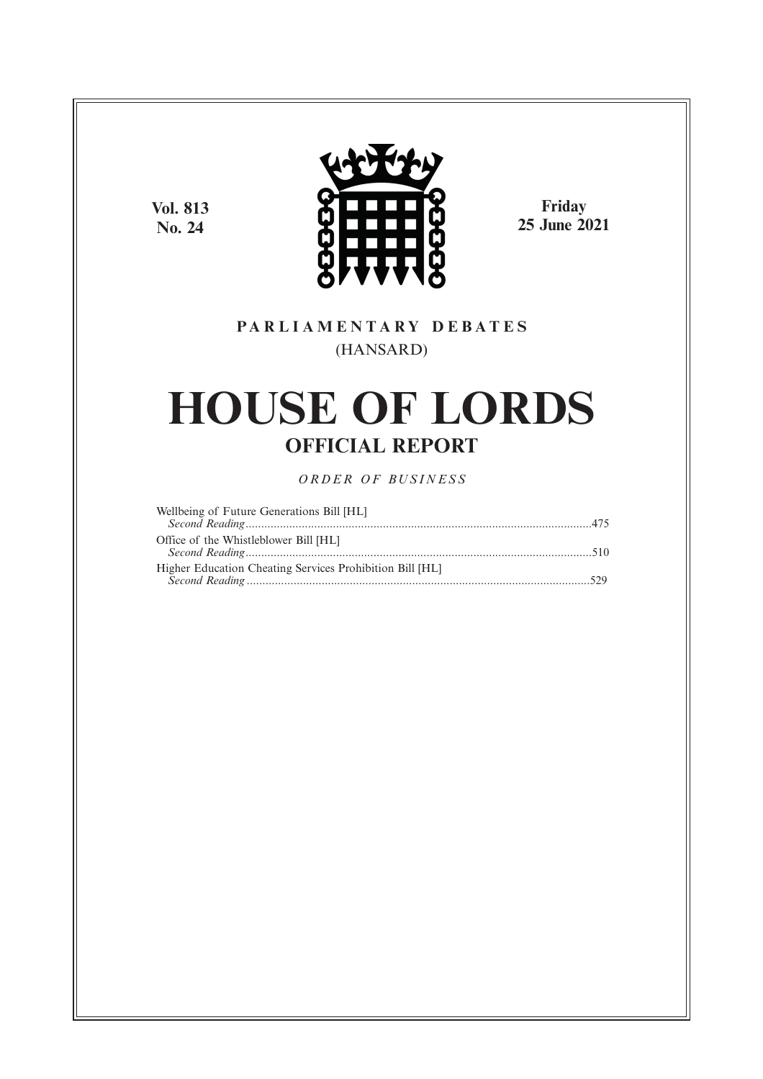**Vol. 813 No. 24**



**Friday 25 June 2021**

# **P A R L I A M E N T A R Y D E B A T E S** (HANSARD)

# **HOUSE OF LORDS OFFICIAL REPORT**

*O R D E R O F BU S I N E S S*

| Wellbeing of Future Generations Bill [HL]                |  |
|----------------------------------------------------------|--|
|                                                          |  |
| Office of the Whistleblower Bill [HL]                    |  |
|                                                          |  |
| Higher Education Cheating Services Prohibition Bill [HL] |  |
|                                                          |  |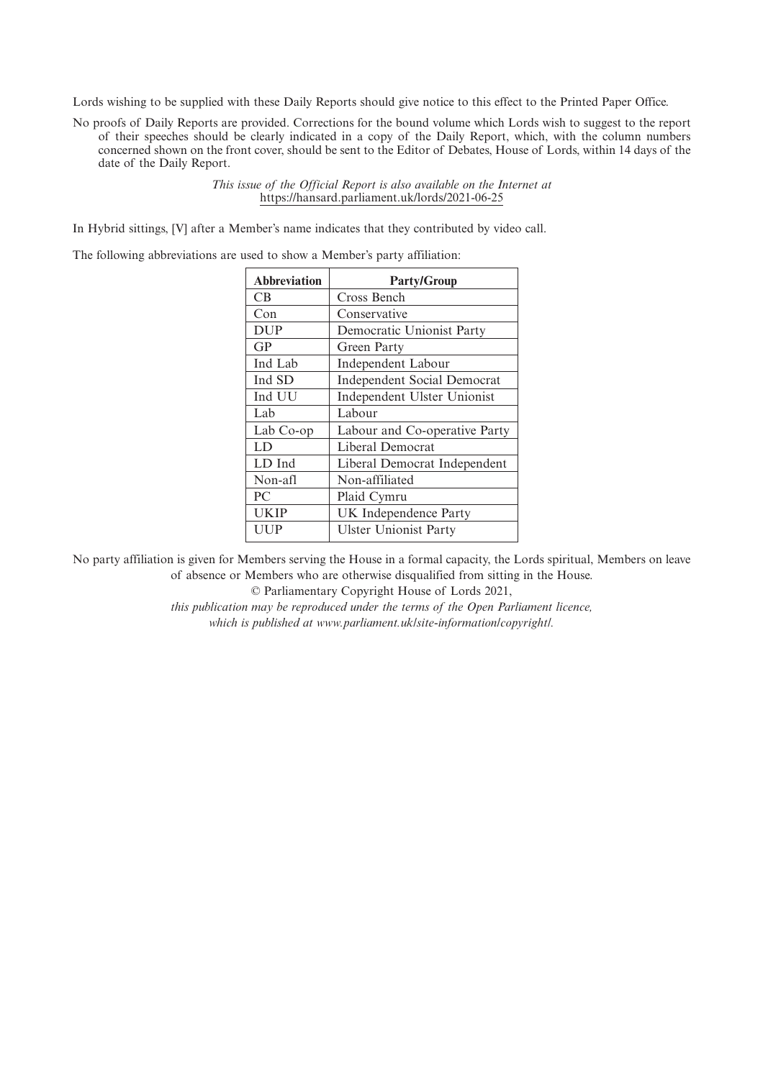Lords wishing to be supplied with these Daily Reports should give notice to this effect to the Printed Paper Office.

No proofs of Daily Reports are provided. Corrections for the bound volume which Lords wish to suggest to the report of their speeches should be clearly indicated in a copy of the Daily Report, which, with the column numbers concerned shown on the front cover, should be sent to the Editor of Debates, House of Lords, within 14 days of the date of the Daily Report.

> *This issue of the Official Report is also available on the Internet at* https://hansard.parliament.uk/lords/2021-06-25

In Hybrid sittings, [V] after a Member's name indicates that they contributed by video call.

The following abbreviations are used to show a Member's party affiliation:

| <b>Abbreviation</b> | <b>Party/Group</b>                 |
|---------------------|------------------------------------|
| CВ                  | Cross Bench                        |
| Con                 | Conservative                       |
| <b>DUP</b>          | Democratic Unionist Party          |
| GP                  | Green Party                        |
| Ind Lab             | Independent Labour                 |
| Ind SD              | <b>Independent Social Democrat</b> |
| Ind UU              | Independent Ulster Unionist        |
| Lab                 | Labour                             |
| Lab Co-op           | Labour and Co-operative Party      |
| LD                  | Liberal Democrat                   |
| LD Ind              | Liberal Democrat Independent       |
| Non-afl             | Non-affiliated                     |
| PC                  | Plaid Cymru                        |
| <b>UKIP</b>         | UK Independence Party              |
| UUP                 | <b>Ulster Unionist Party</b>       |

No party affiliation is given for Members serving the House in a formal capacity, the Lords spiritual, Members on leave of absence or Members who are otherwise disqualified from sitting in the House.

© Parliamentary Copyright House of Lords 2021,

*this publication may be reproduced under the terms of the Open Parliament licence, which is published at www.parliament.uk/site-information/copyright/.*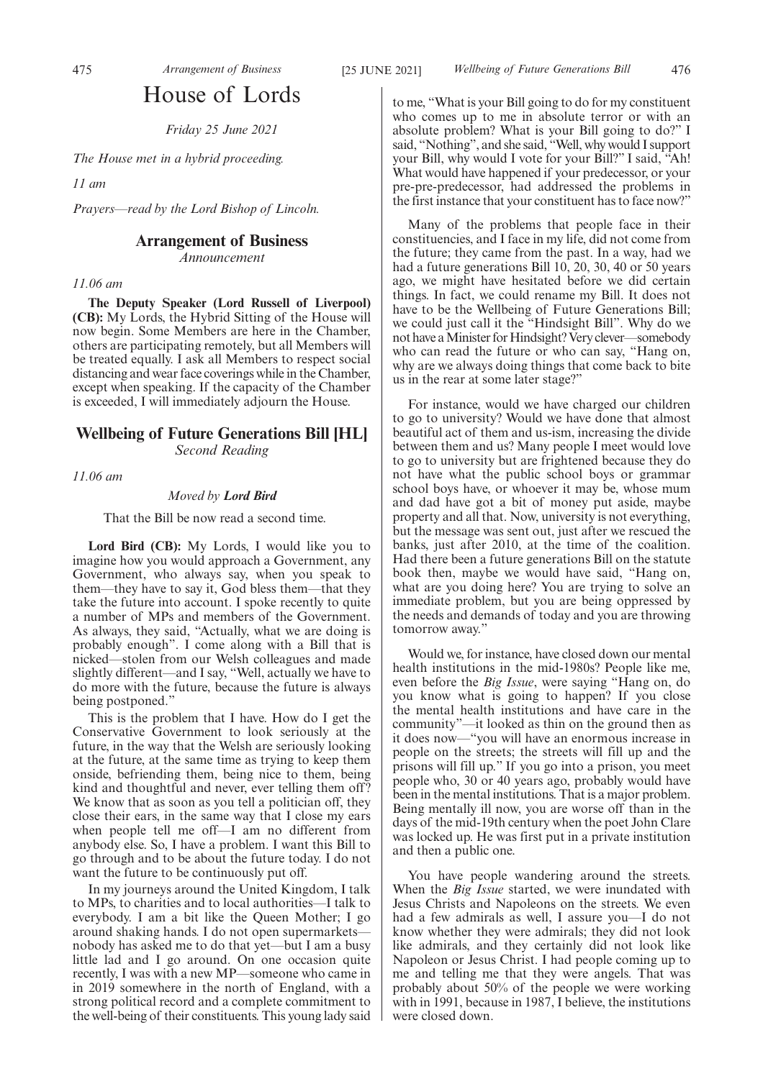# House of Lords

*Friday 25 June 2021*

*The House met in a hybrid proceeding.*

*11 am*

*Prayers—read by the Lord Bishop of Lincoln.*

# **Arrangement of Business**

*Announcement*

#### *11.06 am*

**The Deputy Speaker (Lord Russell of Liverpool) (CB):** My Lords, the Hybrid Sitting of the House will now begin. Some Members are here in the Chamber, others are participating remotely, but all Members will be treated equally. I ask all Members to respect social distancing and wear face coverings while in the Chamber, except when speaking. If the capacity of the Chamber is exceeded, I will immediately adjourn the House.

# **Wellbeing of Future Generations Bill [HL]** *Second Reading*

*11.06 am*

*Moved by Lord Bird*

That the Bill be now read a second time.

Lord Bird (CB): My Lords, I would like you to imagine how you would approach a Government, any Government, who always say, when you speak to them—they have to say it, God bless them—that they take the future into account. I spoke recently to quite a number of MPs and members of the Government. As always, they said, "Actually, what we are doing is probably enough". I come along with a Bill that is nicked—stolen from our Welsh colleagues and made slightly different—and I say, "Well, actually we have to do more with the future, because the future is always being postponed."

This is the problem that I have. How do I get the Conservative Government to look seriously at the future, in the way that the Welsh are seriously looking at the future, at the same time as trying to keep them onside, befriending them, being nice to them, being kind and thoughtful and never, ever telling them off? We know that as soon as you tell a politician off, they close their ears, in the same way that I close my ears when people tell me off—I am no different from anybody else. So, I have a problem. I want this Bill to go through and to be about the future today. I do not want the future to be continuously put off.

In my journeys around the United Kingdom, I talk to MPs, to charities and to local authorities—I talk to everybody. I am a bit like the Queen Mother; I go around shaking hands. I do not open supermarkets nobody has asked me to do that yet—but I am a busy little lad and I go around. On one occasion quite recently, I was with a new MP—someone who came in in 2019 somewhere in the north of England, with a strong political record and a complete commitment to the well-being of their constituents. This young lady said to me, "What is your Bill going to do for my constituent who comes up to me in absolute terror or with an absolute problem? What is your Bill going to do?" I said, "Nothing", and she said, "Well, why would I support your Bill, why would I vote for your Bill?" I said, "Ah! What would have happened if your predecessor, or your pre-pre-predecessor, had addressed the problems in the first instance that your constituent has to face now?"

Many of the problems that people face in their constituencies, and I face in my life, did not come from the future; they came from the past. In a way, had we had a future generations Bill 10, 20, 30, 40 or 50 years ago, we might have hesitated before we did certain things. In fact, we could rename my Bill. It does not have to be the Wellbeing of Future Generations Bill; we could just call it the "Hindsight Bill". Why do we not have a Minister for Hindsight? Very clever—somebody who can read the future or who can say, "Hang on, why are we always doing things that come back to bite us in the rear at some later stage?"

For instance, would we have charged our children to go to university? Would we have done that almost beautiful act of them and us-ism, increasing the divide between them and us? Many people I meet would love to go to university but are frightened because they do not have what the public school boys or grammar school boys have, or whoever it may be, whose mum and dad have got a bit of money put aside, maybe property and all that. Now, university is not everything, but the message was sent out, just after we rescued the banks, just after 2010, at the time of the coalition. Had there been a future generations Bill on the statute book then, maybe we would have said, "Hang on, what are you doing here? You are trying to solve an immediate problem, but you are being oppressed by the needs and demands of today and you are throwing tomorrow away."

Would we, for instance, have closed down our mental health institutions in the mid-1980s? People like me, even before the *Big Issue*, were saying "Hang on, do you know what is going to happen? If you close the mental health institutions and have care in the community"—it looked as thin on the ground then as it does now—"you will have an enormous increase in people on the streets; the streets will fill up and the prisons will fill up." If you go into a prison, you meet people who, 30 or 40 years ago, probably would have been in the mental institutions. That is a major problem. Being mentally ill now, you are worse off than in the days of the mid-19th century when the poet John Clare was locked up. He was first put in a private institution and then a public one.

You have people wandering around the streets. When the *Big Issue* started, we were inundated with Jesus Christs and Napoleons on the streets. We even had a few admirals as well, I assure you—I do not know whether they were admirals; they did not look like admirals, and they certainly did not look like Napoleon or Jesus Christ. I had people coming up to me and telling me that they were angels. That was probably about 50% of the people we were working with in 1991, because in 1987, I believe, the institutions were closed down.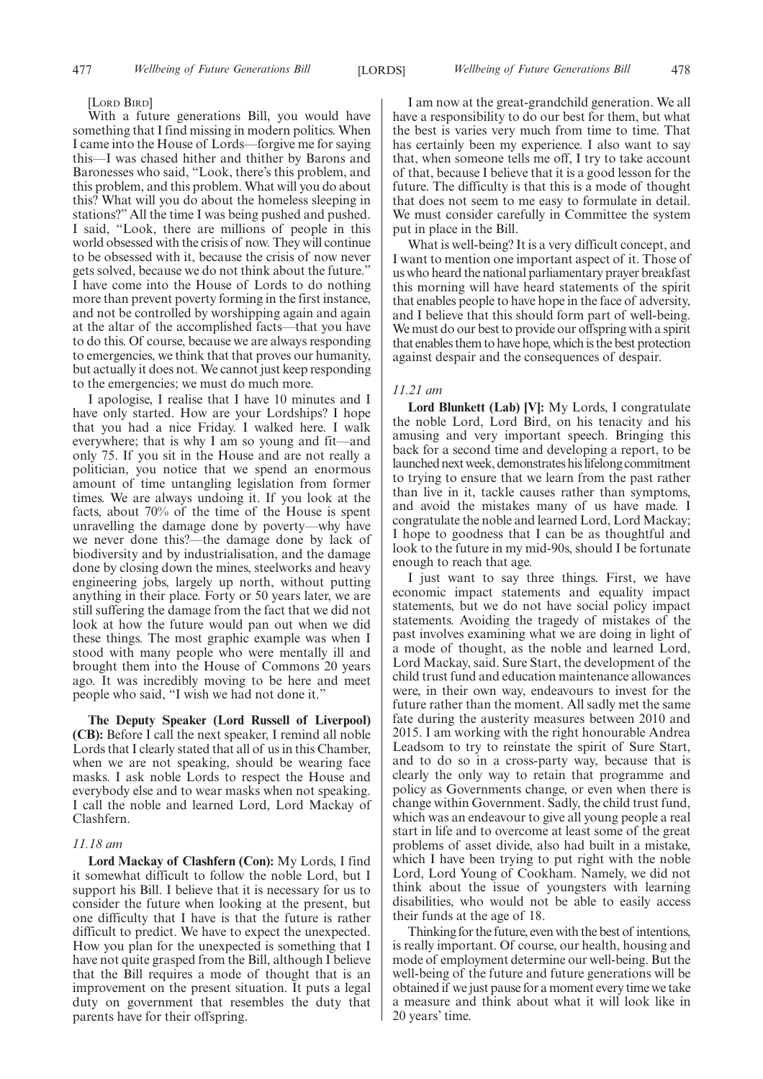#### [LORD BIRD]

With a future generations Bill, you would have something that I find missing in modern politics. When I came into the House of Lords—forgive me for saying this—I was chased hither and thither by Barons and Baronesses who said, "Look, there's this problem, and this problem, and this problem. What will you do about this? What will you do about the homeless sleeping in stations?" All the time I was being pushed and pushed. I said, "Look, there are millions of people in this world obsessed with the crisis of now. They will continue to be obsessed with it, because the crisis of now never gets solved, because we do not think about the future." I have come into the House of Lords to do nothing more than prevent poverty forming in the first instance, and not be controlled by worshipping again and again at the altar of the accomplished facts—that you have to do this. Of course, because we are always responding to emergencies, we think that that proves our humanity, but actually it does not. We cannot just keep responding to the emergencies; we must do much more.

I apologise, I realise that I have 10 minutes and I have only started. How are your Lordships? I hope that you had a nice Friday. I walked here. I walk everywhere; that is why I am so young and fit—and only 75. If you sit in the House and are not really a politician, you notice that we spend an enormous amount of time untangling legislation from former times. We are always undoing it. If you look at the facts, about 70% of the time of the House is spent unravelling the damage done by poverty—why have we never done this?—the damage done by lack of biodiversity and by industrialisation, and the damage done by closing down the mines, steelworks and heavy engineering jobs, largely up north, without putting anything in their place. Forty or 50 years later, we are still suffering the damage from the fact that we did not look at how the future would pan out when we did these things. The most graphic example was when I stood with many people who were mentally ill and brought them into the House of Commons 20 years ago. It was incredibly moving to be here and meet people who said, "I wish we had not done it."

**The Deputy Speaker (Lord Russell of Liverpool) (CB):** Before I call the next speaker, I remind all noble Lords that I clearly stated that all of us in this Chamber, when we are not speaking, should be wearing face masks. I ask noble Lords to respect the House and everybody else and to wear masks when not speaking. I call the noble and learned Lord, Lord Mackay of Clashfern.

#### *11.18 am*

**Lord Mackay of Clashfern (Con):** My Lords, I find it somewhat difficult to follow the noble Lord, but I support his Bill. I believe that it is necessary for us to consider the future when looking at the present, but one difficulty that I have is that the future is rather difficult to predict. We have to expect the unexpected. How you plan for the unexpected is something that I have not quite grasped from the Bill, although I believe that the Bill requires a mode of thought that is an improvement on the present situation. It puts a legal duty on government that resembles the duty that parents have for their offspring.

I am now at the great-grandchild generation. We all have a responsibility to do our best for them, but what the best is varies very much from time to time. That has certainly been my experience. I also want to say that, when someone tells me off, I try to take account of that, because I believe that it is a good lesson for the future. The difficulty is that this is a mode of thought that does not seem to me easy to formulate in detail. We must consider carefully in Committee the system put in place in the Bill.

What is well-being? It is a very difficult concept, and I want to mention one important aspect of it. Those of us who heard the national parliamentary prayer breakfast this morning will have heard statements of the spirit that enables people to have hope in the face of adversity, and I believe that this should form part of well-being. We must do our best to provide our offspring with a spirit that enables them to have hope, which is the best protection against despair and the consequences of despair.

#### *11.21 am*

**Lord Blunkett (Lab) [V]:** My Lords, I congratulate the noble Lord, Lord Bird, on his tenacity and his amusing and very important speech. Bringing this back for a second time and developing a report, to be launched next week, demonstrates his lifelong commitment to trying to ensure that we learn from the past rather than live in it, tackle causes rather than symptoms, and avoid the mistakes many of us have made. I congratulate the noble and learned Lord, Lord Mackay; I hope to goodness that I can be as thoughtful and look to the future in my mid-90s, should I be fortunate enough to reach that age.

I just want to say three things. First, we have economic impact statements and equality impact statements, but we do not have social policy impact statements. Avoiding the tragedy of mistakes of the past involves examining what we are doing in light of a mode of thought, as the noble and learned Lord, Lord Mackay, said. Sure Start, the development of the child trust fund and education maintenance allowances were, in their own way, endeavours to invest for the future rather than the moment. All sadly met the same fate during the austerity measures between 2010 and 2015. I am working with the right honourable Andrea Leadsom to try to reinstate the spirit of Sure Start, and to do so in a cross-party way, because that is clearly the only way to retain that programme and policy as Governments change, or even when there is change within Government. Sadly, the child trust fund, which was an endeavour to give all young people a real start in life and to overcome at least some of the great problems of asset divide, also had built in a mistake, which I have been trying to put right with the noble Lord, Lord Young of Cookham. Namely, we did not think about the issue of youngsters with learning disabilities, who would not be able to easily access their funds at the age of 18.

Thinking for the future, even with the best of intentions, is really important. Of course, our health, housing and mode of employment determine our well-being. But the well-being of the future and future generations will be obtained if we just pause for a moment every time we take a measure and think about what it will look like in 20 years' time.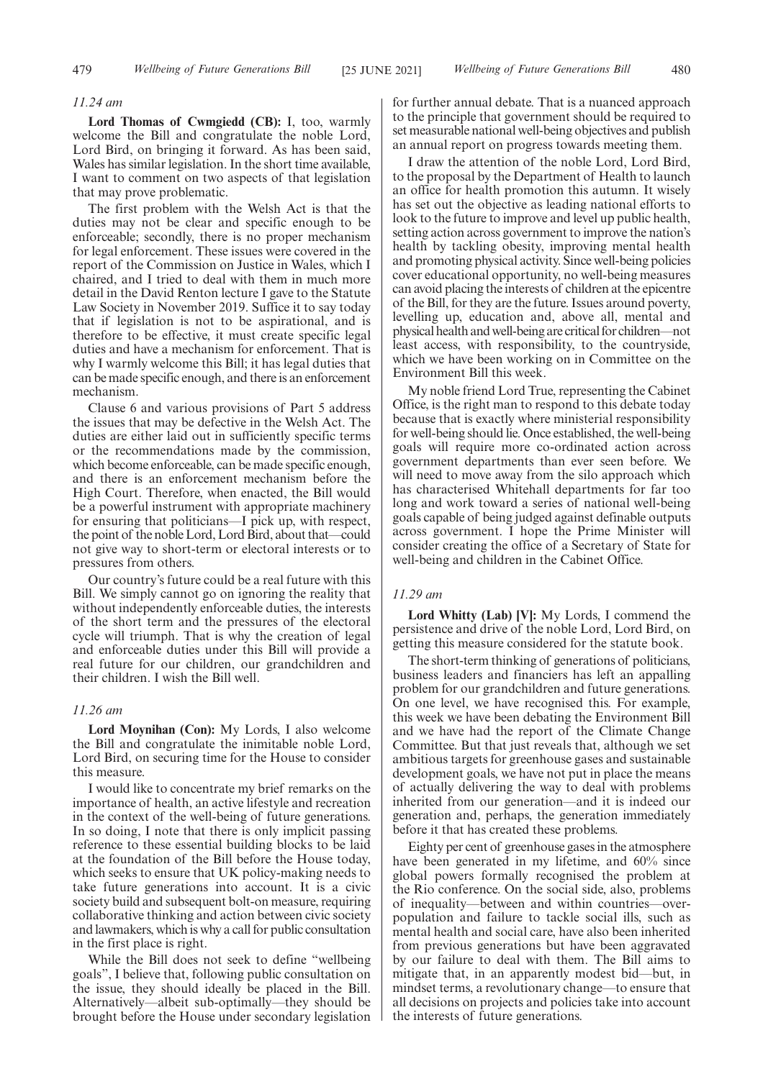#### *11.24 am*

**Lord Thomas of Cwmgiedd (CB):** I, too, warmly welcome the Bill and congratulate the noble Lord, Lord Bird, on bringing it forward. As has been said, Wales has similar legislation. In the short time available, I want to comment on two aspects of that legislation that may prove problematic.

The first problem with the Welsh Act is that the duties may not be clear and specific enough to be enforceable; secondly, there is no proper mechanism for legal enforcement. These issues were covered in the report of the Commission on Justice in Wales, which I chaired, and I tried to deal with them in much more detail in the David Renton lecture I gave to the Statute Law Society in November 2019. Suffice it to say today that if legislation is not to be aspirational, and is therefore to be effective, it must create specific legal duties and have a mechanism for enforcement. That is why I warmly welcome this Bill; it has legal duties that can be made specific enough, and there is an enforcement mechanism.

Clause 6 and various provisions of Part 5 address the issues that may be defective in the Welsh Act. The duties are either laid out in sufficiently specific terms or the recommendations made by the commission, which become enforceable, can be made specific enough, and there is an enforcement mechanism before the High Court. Therefore, when enacted, the Bill would be a powerful instrument with appropriate machinery for ensuring that politicians—I pick up, with respect, the point of the noble Lord, Lord Bird, about that—could not give way to short-term or electoral interests or to pressures from others.

Our country's future could be a real future with this Bill. We simply cannot go on ignoring the reality that without independently enforceable duties, the interests of the short term and the pressures of the electoral cycle will triumph. That is why the creation of legal and enforceable duties under this Bill will provide a real future for our children, our grandchildren and their children. I wish the Bill well.

#### *11.26 am*

**Lord Moynihan (Con):** My Lords, I also welcome the Bill and congratulate the inimitable noble Lord, Lord Bird, on securing time for the House to consider this measure.

I would like to concentrate my brief remarks on the importance of health, an active lifestyle and recreation in the context of the well-being of future generations. In so doing, I note that there is only implicit passing reference to these essential building blocks to be laid at the foundation of the Bill before the House today, which seeks to ensure that UK policy-making needs to take future generations into account. It is a civic society build and subsequent bolt-on measure, requiring collaborative thinking and action between civic society and lawmakers, which is why a call for public consultation in the first place is right.

While the Bill does not seek to define "wellbeing goals", I believe that, following public consultation on the issue, they should ideally be placed in the Bill. Alternatively—albeit sub-optimally—they should be brought before the House under secondary legislation for further annual debate. That is a nuanced approach to the principle that government should be required to set measurable national well-being objectives and publish an annual report on progress towards meeting them.

I draw the attention of the noble Lord, Lord Bird, to the proposal by the Department of Health to launch an office for health promotion this autumn. It wisely has set out the objective as leading national efforts to look to the future to improve and level up public health, setting action across government to improve the nation's health by tackling obesity, improving mental health and promoting physical activity. Since well-being policies cover educational opportunity, no well-being measures can avoid placing the interests of children at the epicentre of the Bill, for they are the future. Issues around poverty, levelling up, education and, above all, mental and physical health and well-being are critical for children—not least access, with responsibility, to the countryside, which we have been working on in Committee on the Environment Bill this week.

My noble friend Lord True, representing the Cabinet Office, is the right man to respond to this debate today because that is exactly where ministerial responsibility for well-being should lie. Once established, the well-being goals will require more co-ordinated action across government departments than ever seen before. We will need to move away from the silo approach which has characterised Whitehall departments for far too long and work toward a series of national well-being goals capable of being judged against definable outputs across government. I hope the Prime Minister will consider creating the office of a Secretary of State for well-being and children in the Cabinet Office.

# *11.29 am*

**Lord Whitty (Lab) [V]:** My Lords, I commend the persistence and drive of the noble Lord, Lord Bird, on getting this measure considered for the statute book.

The short-term thinking of generations of politicians, business leaders and financiers has left an appalling problem for our grandchildren and future generations. On one level, we have recognised this. For example, this week we have been debating the Environment Bill and we have had the report of the Climate Change Committee. But that just reveals that, although we set ambitious targets for greenhouse gases and sustainable development goals, we have not put in place the means of actually delivering the way to deal with problems inherited from our generation—and it is indeed our generation and, perhaps, the generation immediately before it that has created these problems.

Eighty per cent of greenhouse gases in the atmosphere have been generated in my lifetime, and  $60\%$  since global powers formally recognised the problem at the Rio conference. On the social side, also, problems of inequality—between and within countries—overpopulation and failure to tackle social ills, such as mental health and social care, have also been inherited from previous generations but have been aggravated by our failure to deal with them. The Bill aims to mitigate that, in an apparently modest bid—but, in mindset terms, a revolutionary change—to ensure that all decisions on projects and policies take into account the interests of future generations.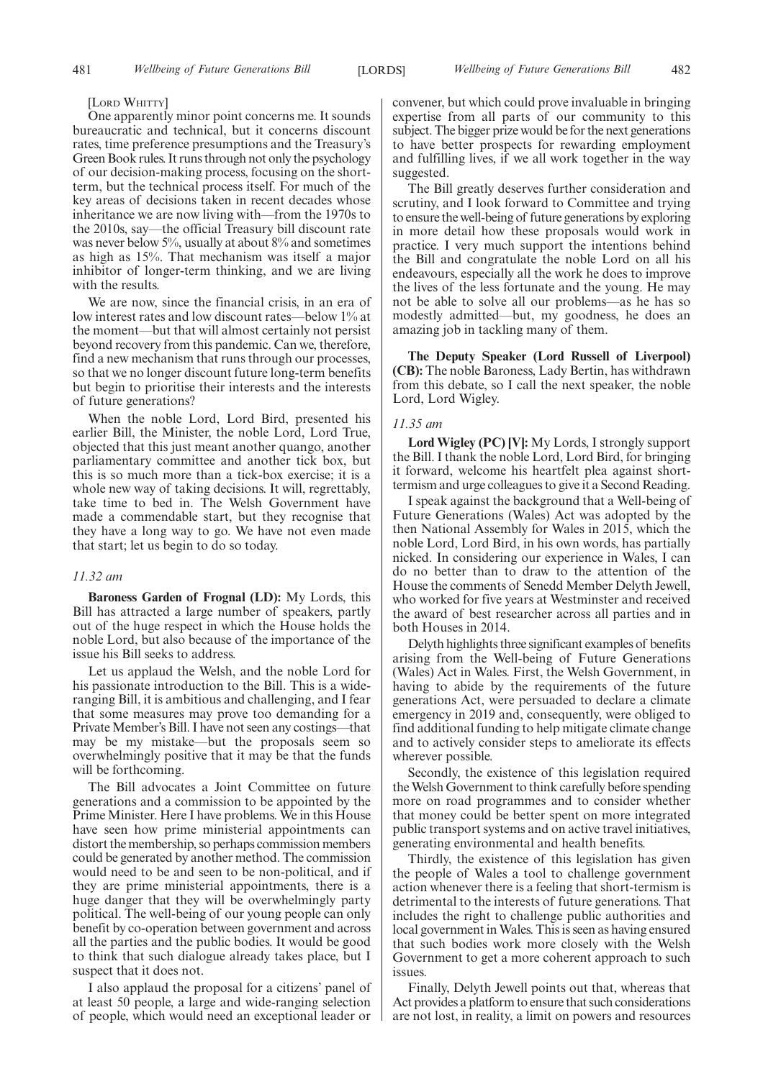#### [LORD WHITTY]

One apparently minor point concerns me. It sounds bureaucratic and technical, but it concerns discount rates, time preference presumptions and the Treasury's Green Book rules. It runs through not only the psychology of our decision-making process, focusing on the shortterm, but the technical process itself. For much of the key areas of decisions taken in recent decades whose inheritance we are now living with—from the 1970s to the 2010s, say—the official Treasury bill discount rate was never below 5%, usually at about 8% and sometimes as high as 15%. That mechanism was itself a major inhibitor of longer-term thinking, and we are living with the results.

We are now, since the financial crisis, in an era of low interest rates and low discount rates—below 1% at the moment—but that will almost certainly not persist beyond recovery from this pandemic. Can we, therefore, find a new mechanism that runs through our processes, so that we no longer discount future long-term benefits but begin to prioritise their interests and the interests of future generations?

When the noble Lord, Lord Bird, presented his earlier Bill, the Minister, the noble Lord, Lord True, objected that this just meant another quango, another parliamentary committee and another tick box, but this is so much more than a tick-box exercise; it is a whole new way of taking decisions. It will, regrettably, take time to bed in. The Welsh Government have made a commendable start, but they recognise that they have a long way to go. We have not even made that start; let us begin to do so today.

#### *11.32 am*

**Baroness Garden of Frognal (LD):** My Lords, this Bill has attracted a large number of speakers, partly out of the huge respect in which the House holds the noble Lord, but also because of the importance of the issue his Bill seeks to address.

Let us applaud the Welsh, and the noble Lord for his passionate introduction to the Bill. This is a wideranging Bill, it is ambitious and challenging, and I fear that some measures may prove too demanding for a Private Member's Bill. I have not seen any costings—that may be my mistake—but the proposals seem so overwhelmingly positive that it may be that the funds will be forthcoming.

The Bill advocates a Joint Committee on future generations and a commission to be appointed by the Prime Minister. Here I have problems. We in this House have seen how prime ministerial appointments can distort the membership, so perhaps commission members could be generated by another method. The commission would need to be and seen to be non-political, and if they are prime ministerial appointments, there is a huge danger that they will be overwhelmingly party political. The well-being of our young people can only benefit by co-operation between government and across all the parties and the public bodies. It would be good to think that such dialogue already takes place, but I suspect that it does not.

I also applaud the proposal for a citizens' panel of at least 50 people, a large and wide-ranging selection of people, which would need an exceptional leader or

convener, but which could prove invaluable in bringing expertise from all parts of our community to this subject. The bigger prize would be for the next generations to have better prospects for rewarding employment and fulfilling lives, if we all work together in the way suggested.

The Bill greatly deserves further consideration and scrutiny, and I look forward to Committee and trying to ensure the well-being of future generations by exploring in more detail how these proposals would work in practice. I very much support the intentions behind the Bill and congratulate the noble Lord on all his endeavours, especially all the work he does to improve the lives of the less fortunate and the young. He may not be able to solve all our problems—as he has so modestly admitted—but, my goodness, he does an amazing job in tackling many of them.

**The Deputy Speaker (Lord Russell of Liverpool) (CB):** The noble Baroness, Lady Bertin, has withdrawn from this debate, so I call the next speaker, the noble Lord, Lord Wigley.

# *11.35 am*

**Lord Wigley (PC) [V]:** My Lords, I strongly support the Bill. I thank the noble Lord, Lord Bird, for bringing it forward, welcome his heartfelt plea against shorttermism and urge colleagues to give it a Second Reading.

I speak against the background that a Well-being of Future Generations (Wales) Act was adopted by the then National Assembly for Wales in 2015, which the noble Lord, Lord Bird, in his own words, has partially nicked. In considering our experience in Wales, I can do no better than to draw to the attention of the House the comments of Senedd Member Delyth Jewell, who worked for five years at Westminster and received the award of best researcher across all parties and in both Houses in 2014.

Delyth highlights three significant examples of benefits arising from the Well-being of Future Generations (Wales) Act in Wales. First, the Welsh Government, in having to abide by the requirements of the future generations Act, were persuaded to declare a climate emergency in 2019 and, consequently, were obliged to find additional funding to help mitigate climate change and to actively consider steps to ameliorate its effects wherever possible.

Secondly, the existence of this legislation required the Welsh Government to think carefully before spending more on road programmes and to consider whether that money could be better spent on more integrated public transport systems and on active travel initiatives, generating environmental and health benefits.

Thirdly, the existence of this legislation has given the people of Wales a tool to challenge government action whenever there is a feeling that short-termism is detrimental to the interests of future generations. That includes the right to challenge public authorities and local government in Wales. This is seen as having ensured that such bodies work more closely with the Welsh Government to get a more coherent approach to such issues.

Finally, Delyth Jewell points out that, whereas that Act provides a platform to ensure that such considerations are not lost, in reality, a limit on powers and resources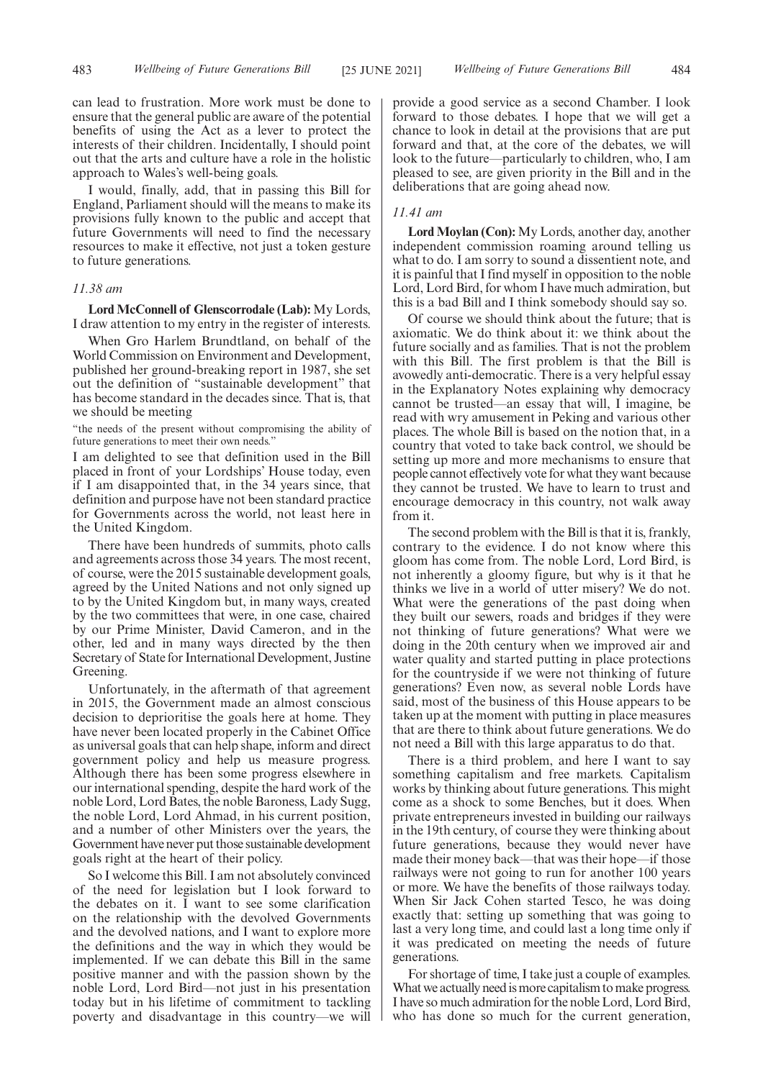can lead to frustration. More work must be done to ensure that the general public are aware of the potential benefits of using the Act as a lever to protect the interests of their children. Incidentally, I should point out that the arts and culture have a role in the holistic approach to Wales's well-being goals.

I would, finally, add, that in passing this Bill for England, Parliament should will the means to make its provisions fully known to the public and accept that future Governments will need to find the necessary resources to make it effective, not just a token gesture to future generations.

# *11.38 am*

**Lord McConnell of Glenscorrodale (Lab):** My Lords, I draw attention to my entry in the register of interests.

When Gro Harlem Brundtland, on behalf of the World Commission on Environment and Development, published her ground-breaking report in 1987, she set out the definition of "sustainable development" that has become standard in the decades since. That is, that we should be meeting

"the needs of the present without compromising the ability of future generations to meet their own needs."

I am delighted to see that definition used in the Bill placed in front of your Lordships' House today, even if I am disappointed that, in the 34 years since, that definition and purpose have not been standard practice for Governments across the world, not least here in the United Kingdom.

There have been hundreds of summits, photo calls and agreements across those 34 years. The most recent, of course, were the 2015 sustainable development goals, agreed by the United Nations and not only signed up to by the United Kingdom but, in many ways, created by the two committees that were, in one case, chaired by our Prime Minister, David Cameron, and in the other, led and in many ways directed by the then Secretary of State for International Development, Justine Greening.

Unfortunately, in the aftermath of that agreement in 2015, the Government made an almost conscious decision to deprioritise the goals here at home. They have never been located properly in the Cabinet Office as universal goals that can help shape, inform and direct government policy and help us measure progress. Although there has been some progress elsewhere in our international spending, despite the hard work of the noble Lord, Lord Bates, the noble Baroness, Lady Sugg, the noble Lord, Lord Ahmad, in his current position, and a number of other Ministers over the years, the Government have never put those sustainable development goals right at the heart of their policy.

So I welcome this Bill. I am not absolutely convinced of the need for legislation but I look forward to the debates on it. I want to see some clarification on the relationship with the devolved Governments and the devolved nations, and I want to explore more the definitions and the way in which they would be implemented. If we can debate this Bill in the same positive manner and with the passion shown by the noble Lord, Lord Bird—not just in his presentation today but in his lifetime of commitment to tackling poverty and disadvantage in this country—we will provide a good service as a second Chamber. I look forward to those debates. I hope that we will get a chance to look in detail at the provisions that are put forward and that, at the core of the debates, we will look to the future—particularly to children, who, I am pleased to see, are given priority in the Bill and in the deliberations that are going ahead now.

# *11.41 am*

**Lord Moylan (Con):** My Lords, another day, another independent commission roaming around telling us what to do. I am sorry to sound a dissentient note, and it is painful that I find myself in opposition to the noble Lord, Lord Bird, for whom I have much admiration, but this is a bad Bill and I think somebody should say so.

Of course we should think about the future; that is axiomatic. We do think about it: we think about the future socially and as families. That is not the problem with this Bill. The first problem is that the Bill is avowedly anti-democratic. There is a very helpful essay in the Explanatory Notes explaining why democracy cannot be trusted—an essay that will, I imagine, be read with wry amusement in Peking and various other places. The whole Bill is based on the notion that, in a country that voted to take back control, we should be setting up more and more mechanisms to ensure that people cannot effectively vote for what they want because they cannot be trusted. We have to learn to trust and encourage democracy in this country, not walk away from it.

The second problem with the Bill is that it is, frankly, contrary to the evidence. I do not know where this gloom has come from. The noble Lord, Lord Bird, is not inherently a gloomy figure, but why is it that he thinks we live in a world of utter misery? We do not. What were the generations of the past doing when they built our sewers, roads and bridges if they were not thinking of future generations? What were we doing in the 20th century when we improved air and water quality and started putting in place protections for the countryside if we were not thinking of future generations? Even now, as several noble Lords have said, most of the business of this House appears to be taken up at the moment with putting in place measures that are there to think about future generations. We do not need a Bill with this large apparatus to do that.

There is a third problem, and here I want to say something capitalism and free markets. Capitalism works by thinking about future generations. This might come as a shock to some Benches, but it does. When private entrepreneurs invested in building our railways in the 19th century, of course they were thinking about future generations, because they would never have made their money back—that was their hope—if those railways were not going to run for another 100 years or more. We have the benefits of those railways today. When Sir Jack Cohen started Tesco, he was doing exactly that: setting up something that was going to last a very long time, and could last a long time only if it was predicated on meeting the needs of future generations.

For shortage of time, I take just a couple of examples. What we actually need is more capitalism to make progress. I have so much admiration for the noble Lord, Lord Bird, who has done so much for the current generation,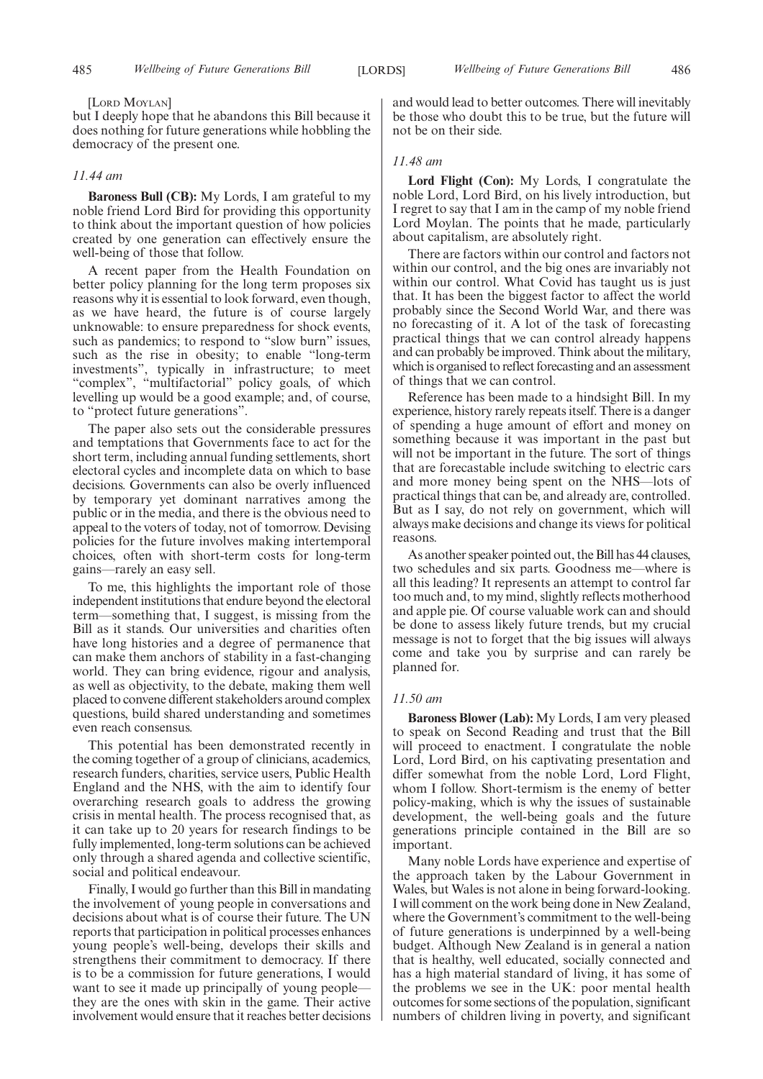[LORD MOYLAN]

but I deeply hope that he abandons this Bill because it does nothing for future generations while hobbling the democracy of the present one.

# *11.44 am*

**Baroness Bull (CB):** My Lords, I am grateful to my noble friend Lord Bird for providing this opportunity to think about the important question of how policies created by one generation can effectively ensure the well-being of those that follow.

A recent paper from the Health Foundation on better policy planning for the long term proposes six reasons why it is essential to look forward, even though, as we have heard, the future is of course largely unknowable: to ensure preparedness for shock events, such as pandemics; to respond to "slow burn" issues, such as the rise in obesity; to enable "long-term investments", typically in infrastructure; to meet "complex", "multifactorial" policy goals, of which levelling up would be a good example; and, of course, to "protect future generations".

The paper also sets out the considerable pressures and temptations that Governments face to act for the short term, including annual funding settlements, short electoral cycles and incomplete data on which to base decisions. Governments can also be overly influenced by temporary yet dominant narratives among the public or in the media, and there is the obvious need to appeal to the voters of today, not of tomorrow. Devising policies for the future involves making intertemporal choices, often with short-term costs for long-term gains—rarely an easy sell.

To me, this highlights the important role of those independent institutions that endure beyond the electoral term—something that, I suggest, is missing from the Bill as it stands. Our universities and charities often have long histories and a degree of permanence that can make them anchors of stability in a fast-changing world. They can bring evidence, rigour and analysis, as well as objectivity, to the debate, making them well placed to convene different stakeholders around complex questions, build shared understanding and sometimes even reach consensus.

This potential has been demonstrated recently in the coming together of a group of clinicians, academics, research funders, charities, service users, Public Health England and the NHS, with the aim to identify four overarching research goals to address the growing crisis in mental health. The process recognised that, as it can take up to 20 years for research findings to be fully implemented, long-term solutions can be achieved only through a shared agenda and collective scientific, social and political endeavour.

Finally, I would go further than this Bill in mandating the involvement of young people in conversations and decisions about what is of course their future. The UN reports that participation in political processes enhances young people's well-being, develops their skills and strengthens their commitment to democracy. If there is to be a commission for future generations, I would want to see it made up principally of young people they are the ones with skin in the game. Their active involvement would ensure that it reaches better decisions and would lead to better outcomes. There will inevitably be those who doubt this to be true, but the future will not be on their side.

# *11.48 am*

**Lord Flight (Con):** My Lords, I congratulate the noble Lord, Lord Bird, on his lively introduction, but I regret to say that I am in the camp of my noble friend Lord Moylan. The points that he made, particularly about capitalism, are absolutely right.

There are factors within our control and factors not within our control, and the big ones are invariably not within our control. What Covid has taught us is just that. It has been the biggest factor to affect the world probably since the Second World War, and there was no forecasting of it. A lot of the task of forecasting practical things that we can control already happens and can probably be improved. Think about the military, which is organised to reflect forecasting and an assessment of things that we can control.

Reference has been made to a hindsight Bill. In my experience, history rarely repeats itself. There is a danger of spending a huge amount of effort and money on something because it was important in the past but will not be important in the future. The sort of things that are forecastable include switching to electric cars and more money being spent on the NHS—lots of practical things that can be, and already are, controlled. But as I say, do not rely on government, which will always make decisions and change its views for political reasons.

As another speaker pointed out, the Bill has 44 clauses, two schedules and six parts. Goodness me—where is all this leading? It represents an attempt to control far too much and, to my mind, slightly reflects motherhood and apple pie. Of course valuable work can and should be done to assess likely future trends, but my crucial message is not to forget that the big issues will always come and take you by surprise and can rarely be planned for.

# *11.50 am*

**Baroness Blower (Lab):** My Lords, I am very pleased to speak on Second Reading and trust that the Bill will proceed to enactment. I congratulate the noble Lord, Lord Bird, on his captivating presentation and differ somewhat from the noble Lord, Lord Flight, whom I follow. Short-termism is the enemy of better policy-making, which is why the issues of sustainable development, the well-being goals and the future generations principle contained in the Bill are so important.

Many noble Lords have experience and expertise of the approach taken by the Labour Government in Wales, but Wales is not alone in being forward-looking. I will comment on the work being done in New Zealand, where the Government's commitment to the well-being of future generations is underpinned by a well-being budget. Although New Zealand is in general a nation that is healthy, well educated, socially connected and has a high material standard of living, it has some of the problems we see in the UK: poor mental health outcomes for some sections of the population, significant numbers of children living in poverty, and significant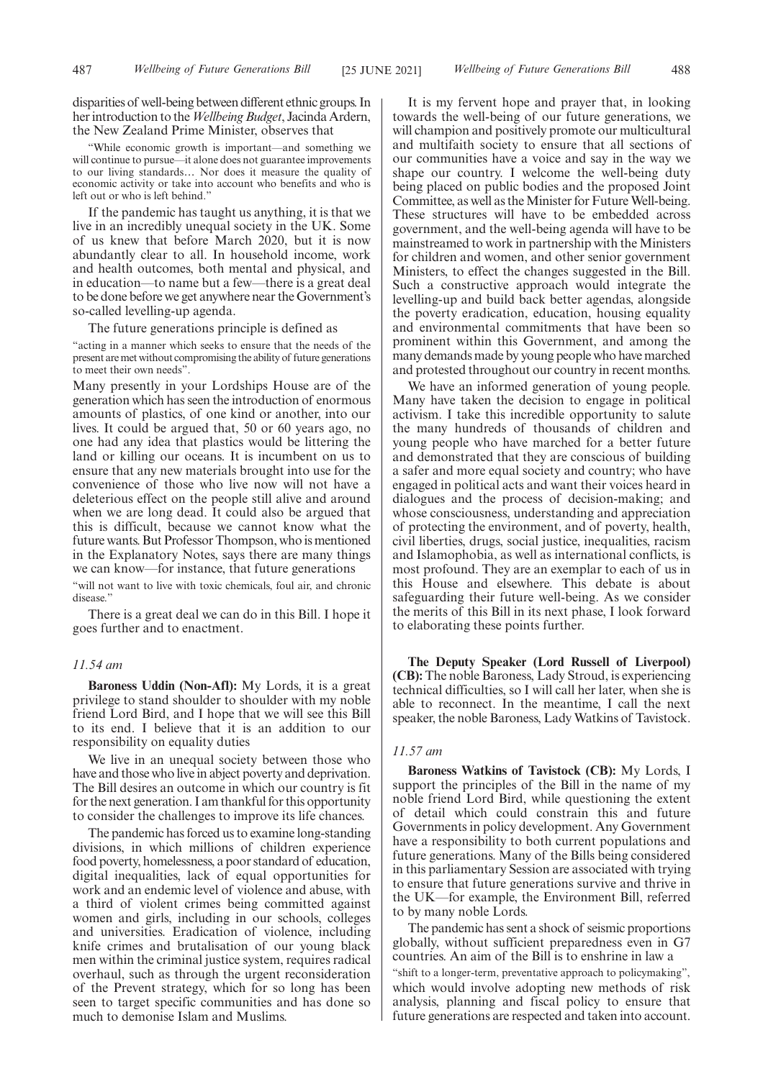disparities of well-being between different ethnic groups. In her introduction to the*Wellbeing Budget*, Jacinda Ardern, the New Zealand Prime Minister, observes that

"While economic growth is important—and something we will continue to pursue—it alone does not guarantee improvements to our living standards… Nor does it measure the quality of economic activity or take into account who benefits and who is left out or who is left behind."

If the pandemic has taught us anything, it is that we live in an incredibly unequal society in the UK. Some of us knew that before March 2020, but it is now abundantly clear to all. In household income, work and health outcomes, both mental and physical, and in education—to name but a few—there is a great deal to be done before we get anywhere near the Government's so-called levelling-up agenda.

The future generations principle is defined as

"acting in a manner which seeks to ensure that the needs of the present are met without compromising the ability of future generations to meet their own needs".

Many presently in your Lordships House are of the generation which has seen the introduction of enormous amounts of plastics, of one kind or another, into our lives. It could be argued that, 50 or 60 years ago, no one had any idea that plastics would be littering the land or killing our oceans. It is incumbent on us to ensure that any new materials brought into use for the convenience of those who live now will not have a deleterious effect on the people still alive and around when we are long dead. It could also be argued that this is difficult, because we cannot know what the future wants. But Professor Thompson, who is mentioned in the Explanatory Notes, says there are many things we can know—for instance, that future generations

"will not want to live with toxic chemicals, foul air, and chronic disease.'

There is a great deal we can do in this Bill. I hope it goes further and to enactment.

# *11.54 am*

**Baroness Uddin (Non-Afl):** My Lords, it is a great privilege to stand shoulder to shoulder with my noble friend Lord Bird, and I hope that we will see this Bill to its end. I believe that it is an addition to our responsibility on equality duties

We live in an unequal society between those who have and those who live in abject poverty and deprivation. The Bill desires an outcome in which our country is fit for the next generation. I am thankful for this opportunity to consider the challenges to improve its life chances.

The pandemic has forced us to examine long-standing divisions, in which millions of children experience food poverty, homelessness, a poor standard of education, digital inequalities, lack of equal opportunities for work and an endemic level of violence and abuse, with a third of violent crimes being committed against women and girls, including in our schools, colleges and universities. Eradication of violence, including knife crimes and brutalisation of our young black men within the criminal justice system, requires radical overhaul, such as through the urgent reconsideration of the Prevent strategy, which for so long has been seen to target specific communities and has done so much to demonise Islam and Muslims.

It is my fervent hope and prayer that, in looking towards the well-being of our future generations, we will champion and positively promote our multicultural and multifaith society to ensure that all sections of our communities have a voice and say in the way we shape our country. I welcome the well-being duty being placed on public bodies and the proposed Joint Committee, as well as the Minister for Future Well-being. These structures will have to be embedded across government, and the well-being agenda will have to be mainstreamed to work in partnership with the Ministers for children and women, and other senior government Ministers, to effect the changes suggested in the Bill. Such a constructive approach would integrate the levelling-up and build back better agendas, alongside the poverty eradication, education, housing equality and environmental commitments that have been so prominent within this Government, and among the many demands made by young people who have marched and protested throughout our country in recent months.

We have an informed generation of young people. Many have taken the decision to engage in political activism. I take this incredible opportunity to salute the many hundreds of thousands of children and young people who have marched for a better future and demonstrated that they are conscious of building a safer and more equal society and country; who have engaged in political acts and want their voices heard in dialogues and the process of decision-making; and whose consciousness, understanding and appreciation of protecting the environment, and of poverty, health, civil liberties, drugs, social justice, inequalities, racism and Islamophobia, as well as international conflicts, is most profound. They are an exemplar to each of us in this House and elsewhere. This debate is about safeguarding their future well-being. As we consider the merits of this Bill in its next phase, I look forward to elaborating these points further.

**The Deputy Speaker (Lord Russell of Liverpool) (CB):** The noble Baroness, Lady Stroud, is experiencing technical difficulties, so I will call her later, when she is able to reconnect. In the meantime, I call the next speaker, the noble Baroness, Lady Watkins of Tavistock.

# *11.57 am*

**Baroness Watkins of Tavistock (CB):** My Lords, I support the principles of the Bill in the name of my noble friend Lord Bird, while questioning the extent of detail which could constrain this and future Governments in policy development. Any Government have a responsibility to both current populations and future generations. Many of the Bills being considered in this parliamentary Session are associated with trying to ensure that future generations survive and thrive in the UK—for example, the Environment Bill, referred to by many noble Lords.

The pandemic has sent a shock of seismic proportions globally, without sufficient preparedness even in G7 countries. An aim of the Bill is to enshrine in law a "shift to a longer-term, preventative approach to policymaking", which would involve adopting new methods of risk analysis, planning and fiscal policy to ensure that future generations are respected and taken into account.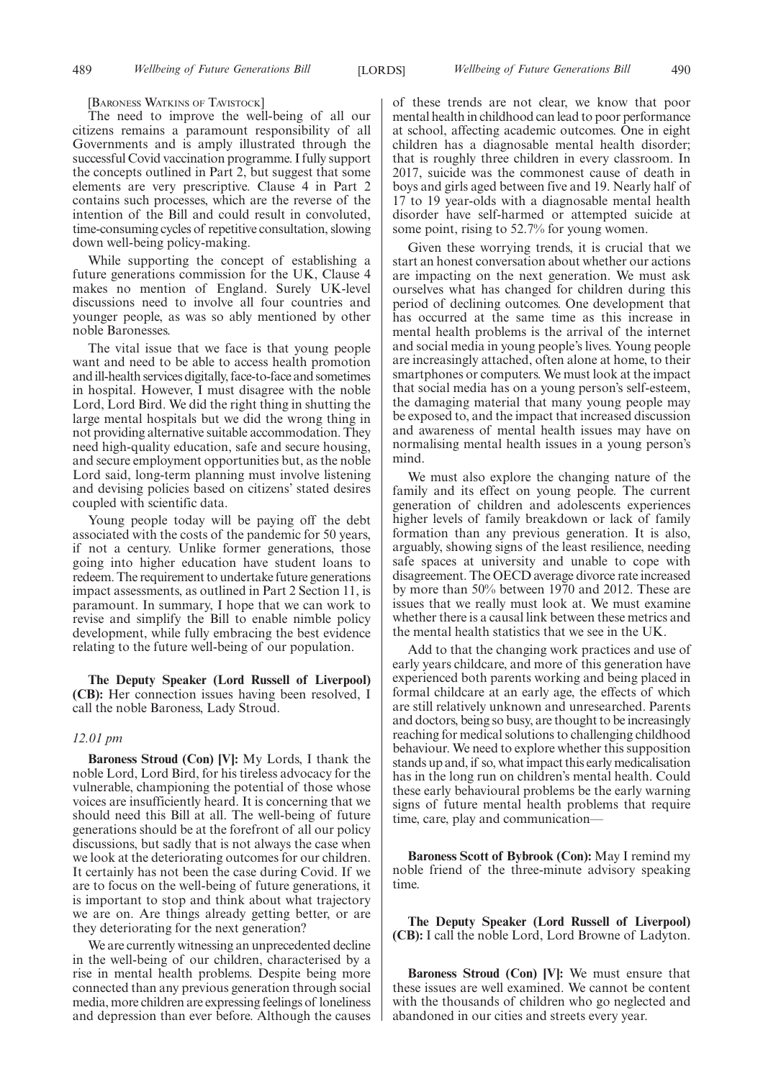[BARONESS WATKINS OF TAVISTOCK]

The need to improve the well-being of all our citizens remains a paramount responsibility of all Governments and is amply illustrated through the successful Covid vaccination programme. I fully support the concepts outlined in Part 2, but suggest that some elements are very prescriptive. Clause 4 in Part 2 contains such processes, which are the reverse of the intention of the Bill and could result in convoluted, time-consuming cycles of repetitive consultation, slowing down well-being policy-making.

While supporting the concept of establishing a future generations commission for the UK, Clause 4 makes no mention of England. Surely UK-level discussions need to involve all four countries and younger people, as was so ably mentioned by other noble Baronesses.

The vital issue that we face is that young people want and need to be able to access health promotion and ill-health services digitally, face-to-face and sometimes in hospital. However, I must disagree with the noble Lord, Lord Bird. We did the right thing in shutting the large mental hospitals but we did the wrong thing in not providing alternative suitable accommodation. They need high-quality education, safe and secure housing, and secure employment opportunities but, as the noble Lord said, long-term planning must involve listening and devising policies based on citizens' stated desires coupled with scientific data.

Young people today will be paying off the debt associated with the costs of the pandemic for 50 years, if not a century. Unlike former generations, those going into higher education have student loans to redeem. The requirement to undertake future generations impact assessments, as outlined in Part 2 Section 11, is paramount. In summary, I hope that we can work to revise and simplify the Bill to enable nimble policy development, while fully embracing the best evidence relating to the future well-being of our population.

**The Deputy Speaker (Lord Russell of Liverpool) (CB):** Her connection issues having been resolved, I call the noble Baroness, Lady Stroud.

# *12.01 pm*

**Baroness Stroud (Con) [V]:** My Lords, I thank the noble Lord, Lord Bird, for his tireless advocacy for the vulnerable, championing the potential of those whose voices are insufficiently heard. It is concerning that we should need this Bill at all. The well-being of future generations should be at the forefront of all our policy discussions, but sadly that is not always the case when we look at the deteriorating outcomes for our children. It certainly has not been the case during Covid. If we are to focus on the well-being of future generations, it is important to stop and think about what trajectory we are on. Are things already getting better, or are they deteriorating for the next generation?

We are currently witnessing an unprecedented decline in the well-being of our children, characterised by a rise in mental health problems. Despite being more connected than any previous generation through social media, more children are expressing feelings of loneliness and depression than ever before. Although the causes of these trends are not clear, we know that poor mental health in childhood can lead to poor performance at school, affecting academic outcomes. One in eight children has a diagnosable mental health disorder; that is roughly three children in every classroom. In 2017, suicide was the commonest cause of death in boys and girls aged between five and 19. Nearly half of 17 to 19 year-olds with a diagnosable mental health disorder have self-harmed or attempted suicide at some point, rising to 52.7% for young women.

Given these worrying trends, it is crucial that we start an honest conversation about whether our actions are impacting on the next generation. We must ask ourselves what has changed for children during this period of declining outcomes. One development that has occurred at the same time as this increase in mental health problems is the arrival of the internet and social media in young people's lives. Young people are increasingly attached, often alone at home, to their smartphones or computers. We must look at the impact that social media has on a young person's self-esteem, the damaging material that many young people may be exposed to, and the impact that increased discussion and awareness of mental health issues may have on normalising mental health issues in a young person's mind.

We must also explore the changing nature of the family and its effect on young people. The current generation of children and adolescents experiences higher levels of family breakdown or lack of family formation than any previous generation. It is also, arguably, showing signs of the least resilience, needing safe spaces at university and unable to cope with disagreement. The OECD average divorce rate increased by more than 50% between 1970 and 2012. These are issues that we really must look at. We must examine whether there is a causal link between these metrics and the mental health statistics that we see in the UK.

Add to that the changing work practices and use of early years childcare, and more of this generation have experienced both parents working and being placed in formal childcare at an early age, the effects of which are still relatively unknown and unresearched. Parents and doctors, being so busy, are thought to be increasingly reaching for medical solutions to challenging childhood behaviour. We need to explore whether this supposition stands up and, if so, what impact this early medicalisation has in the long run on children's mental health. Could these early behavioural problems be the early warning signs of future mental health problems that require time, care, play and communication—

**Baroness Scott of Bybrook (Con):** May I remind my noble friend of the three-minute advisory speaking time.

**The Deputy Speaker (Lord Russell of Liverpool) (CB):** I call the noble Lord, Lord Browne of Ladyton.

**Baroness Stroud (Con) [V]:** We must ensure that these issues are well examined. We cannot be content with the thousands of children who go neglected and abandoned in our cities and streets every year.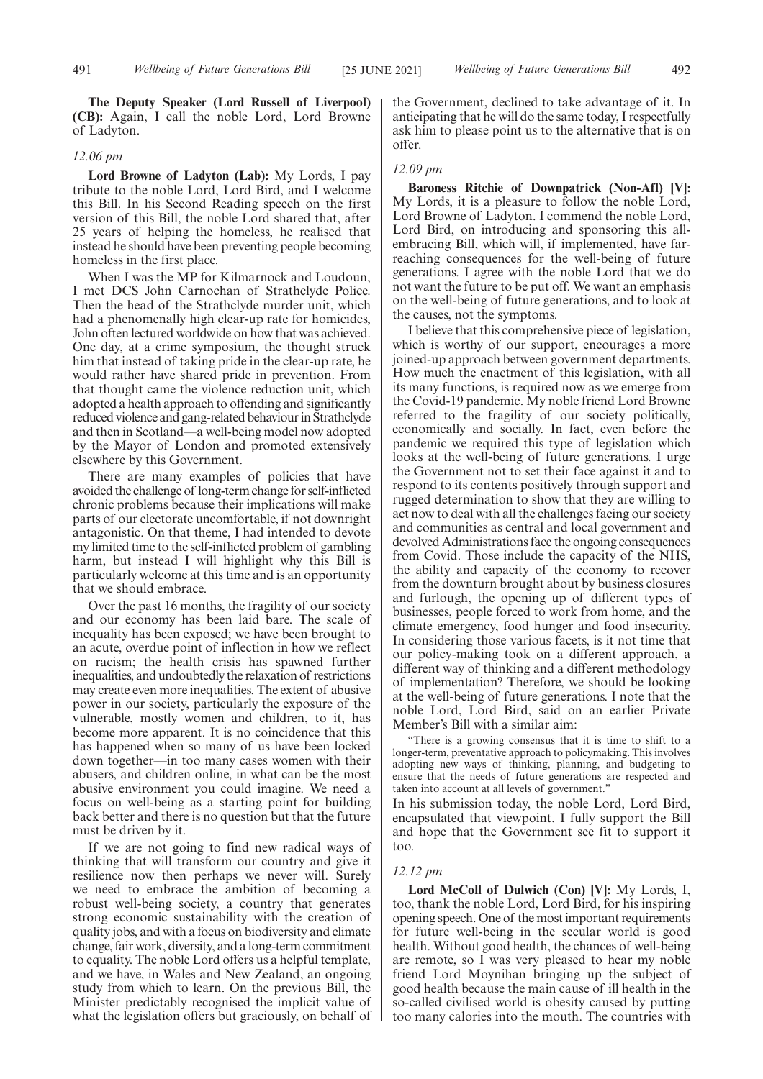**The Deputy Speaker (Lord Russell of Liverpool) (CB):** Again, I call the noble Lord, Lord Browne of Ladyton.

#### *12.06 pm*

**Lord Browne of Ladyton (Lab):** My Lords, I pay tribute to the noble Lord, Lord Bird, and I welcome this Bill. In his Second Reading speech on the first version of this Bill, the noble Lord shared that, after 25 years of helping the homeless, he realised that instead he should have been preventing people becoming homeless in the first place.

When I was the MP for Kilmarnock and Loudoun, I met DCS John Carnochan of Strathclyde Police. Then the head of the Strathclyde murder unit, which had a phenomenally high clear-up rate for homicides, John often lectured worldwide on how that was achieved. One day, at a crime symposium, the thought struck him that instead of taking pride in the clear-up rate, he would rather have shared pride in prevention. From that thought came the violence reduction unit, which adopted a health approach to offending and significantly reduced violence and gang-related behaviour in Strathclyde and then in Scotland—a well-being model now adopted by the Mayor of London and promoted extensively elsewhere by this Government.

There are many examples of policies that have avoided the challenge of long-term change for self-inflicted chronic problems because their implications will make parts of our electorate uncomfortable, if not downright antagonistic. On that theme, I had intended to devote my limited time to the self-inflicted problem of gambling harm, but instead I will highlight why this Bill is particularly welcome at this time and is an opportunity that we should embrace.

Over the past 16 months, the fragility of our society and our economy has been laid bare. The scale of inequality has been exposed; we have been brought to an acute, overdue point of inflection in how we reflect on racism; the health crisis has spawned further inequalities, and undoubtedly the relaxation of restrictions may create even more inequalities. The extent of abusive power in our society, particularly the exposure of the vulnerable, mostly women and children, to it, has become more apparent. It is no coincidence that this has happened when so many of us have been locked down together—in too many cases women with their abusers, and children online, in what can be the most abusive environment you could imagine. We need a focus on well-being as a starting point for building back better and there is no question but that the future must be driven by it.

If we are not going to find new radical ways of thinking that will transform our country and give it resilience now then perhaps we never will. Surely we need to embrace the ambition of becoming a robust well-being society, a country that generates strong economic sustainability with the creation of quality jobs, and with a focus on biodiversity and climate change, fair work, diversity, and a long-term commitment to equality. The noble Lord offers us a helpful template, and we have, in Wales and New Zealand, an ongoing study from which to learn. On the previous Bill, the Minister predictably recognised the implicit value of what the legislation offers but graciously, on behalf of the Government, declined to take advantage of it. In anticipating that he will do the same today, I respectfully ask him to please point us to the alternative that is on offer.

## *12.09 pm*

**Baroness Ritchie of Downpatrick (Non-Afl) [V]:** My Lords, it is a pleasure to follow the noble Lord, Lord Browne of Ladyton. I commend the noble Lord, Lord Bird, on introducing and sponsoring this allembracing Bill, which will, if implemented, have farreaching consequences for the well-being of future generations. I agree with the noble Lord that we do not want the future to be put off. We want an emphasis on the well-being of future generations, and to look at the causes, not the symptoms.

I believe that this comprehensive piece of legislation, which is worthy of our support, encourages a more joined-up approach between government departments. How much the enactment of this legislation, with all its many functions, is required now as we emerge from the Covid-19 pandemic. My noble friend Lord Browne referred to the fragility of our society politically, economically and socially. In fact, even before the pandemic we required this type of legislation which looks at the well-being of future generations. I urge the Government not to set their face against it and to respond to its contents positively through support and rugged determination to show that they are willing to act now to deal with all the challenges facing our society and communities as central and local government and devolved Administrations face the ongoing consequences from Covid. Those include the capacity of the NHS, the ability and capacity of the economy to recover from the downturn brought about by business closures and furlough, the opening up of different types of businesses, people forced to work from home, and the climate emergency, food hunger and food insecurity. In considering those various facets, is it not time that our policy-making took on a different approach, a different way of thinking and a different methodology of implementation? Therefore, we should be looking at the well-being of future generations. I note that the noble Lord, Lord Bird, said on an earlier Private Member's Bill with a similar aim:

"There is a growing consensus that it is time to shift to a longer-term, preventative approach to policymaking. This involves adopting new ways of thinking, planning, and budgeting to ensure that the needs of future generations are respected and taken into account at all levels of government."

In his submission today, the noble Lord, Lord Bird, encapsulated that viewpoint. I fully support the Bill and hope that the Government see fit to support it too.

# *12.12 pm*

**Lord McColl of Dulwich (Con) [V]:** My Lords, I, too, thank the noble Lord, Lord Bird, for his inspiring opening speech. One of the most important requirements for future well-being in the secular world is good health. Without good health, the chances of well-being are remote, so I was very pleased to hear my noble friend Lord Moynihan bringing up the subject of good health because the main cause of ill health in the so-called civilised world is obesity caused by putting too many calories into the mouth. The countries with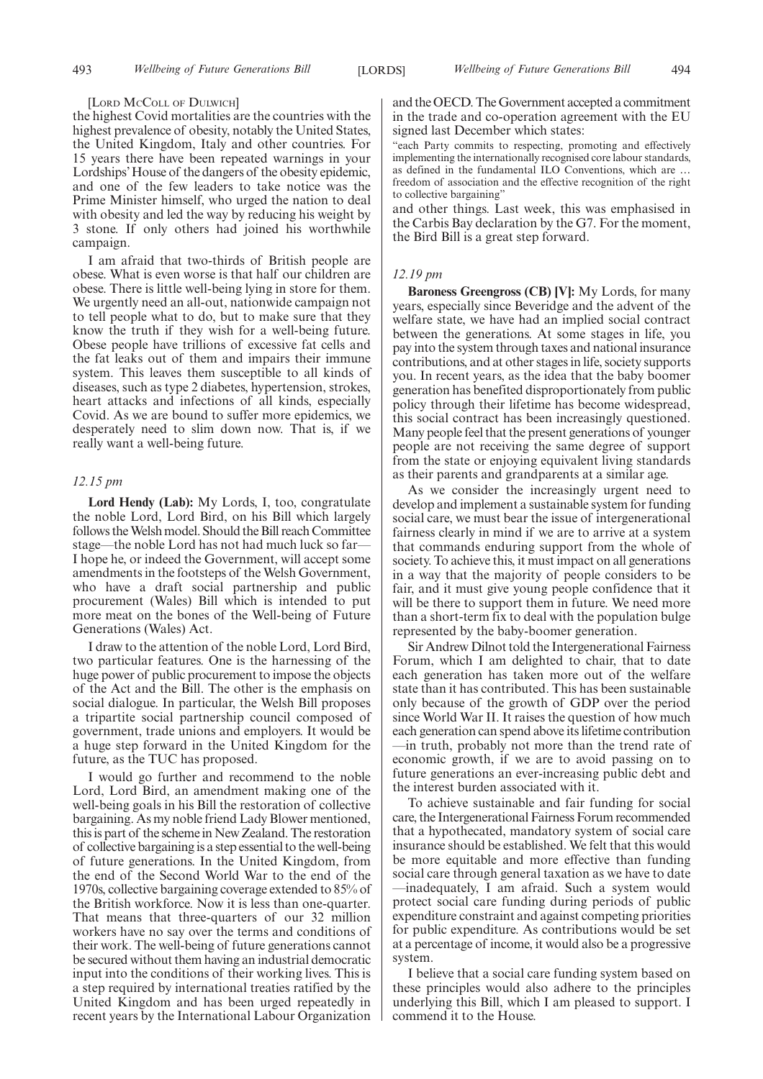#### [LORD MCCOLL OF DULWICH]

the highest Covid mortalities are the countries with the highest prevalence of obesity, notably the United States, the United Kingdom, Italy and other countries. For 15 years there have been repeated warnings in your Lordships'House of the dangers of the obesity epidemic, and one of the few leaders to take notice was the Prime Minister himself, who urged the nation to deal with obesity and led the way by reducing his weight by 3 stone. If only others had joined his worthwhile campaign.

I am afraid that two-thirds of British people are obese. What is even worse is that half our children are obese. There is little well-being lying in store for them. We urgently need an all-out, nationwide campaign not to tell people what to do, but to make sure that they know the truth if they wish for a well-being future. Obese people have trillions of excessive fat cells and the fat leaks out of them and impairs their immune system. This leaves them susceptible to all kinds of diseases, such as type 2 diabetes, hypertension, strokes, heart attacks and infections of all kinds, especially Covid. As we are bound to suffer more epidemics, we desperately need to slim down now. That is, if we really want a well-being future.

# *12.15 pm*

**Lord Hendy (Lab):** My Lords, I, too, congratulate the noble Lord, Lord Bird, on his Bill which largely follows the Welsh model. Should the Bill reach Committee stage—the noble Lord has not had much luck so far— I hope he, or indeed the Government, will accept some amendments in the footsteps of the Welsh Government, who have a draft social partnership and public procurement (Wales) Bill which is intended to put more meat on the bones of the Well-being of Future Generations (Wales) Act.

I draw to the attention of the noble Lord, Lord Bird, two particular features. One is the harnessing of the huge power of public procurement to impose the objects of the Act and the Bill. The other is the emphasis on social dialogue. In particular, the Welsh Bill proposes a tripartite social partnership council composed of government, trade unions and employers. It would be a huge step forward in the United Kingdom for the future, as the TUC has proposed.

I would go further and recommend to the noble Lord, Lord Bird, an amendment making one of the well-being goals in his Bill the restoration of collective bargaining. As my noble friend Lady Blower mentioned, this is part of the scheme in New Zealand. The restoration of collective bargaining is a step essential to the well-being of future generations. In the United Kingdom, from the end of the Second World War to the end of the 1970s, collective bargaining coverage extended to 85% of the British workforce. Now it is less than one-quarter. That means that three-quarters of our 32 million workers have no say over the terms and conditions of their work. The well-being of future generations cannot be secured without them having an industrial democratic input into the conditions of their working lives. This is a step required by international treaties ratified by the United Kingdom and has been urged repeatedly in recent years by the International Labour Organization

and the OECD. The Government accepted a commitment in the trade and co-operation agreement with the EU signed last December which states:

'each Party commits to respecting, promoting and effectively implementing the internationally recognised core labour standards, as defined in the fundamental ILO Conventions, which are … freedom of association and the effective recognition of the right to collective bargaining"

and other things. Last week, this was emphasised in the Carbis Bay declaration by the G7. For the moment, the Bird Bill is a great step forward.

# *12.19 pm*

**Baroness Greengross (CB) [V]:** My Lords, for many years, especially since Beveridge and the advent of the welfare state, we have had an implied social contract between the generations. At some stages in life, you pay into the system through taxes and national insurance contributions, and at other stages in life, society supports you. In recent years, as the idea that the baby boomer generation has benefited disproportionately from public policy through their lifetime has become widespread, this social contract has been increasingly questioned. Many people feel that the present generations of younger people are not receiving the same degree of support from the state or enjoying equivalent living standards as their parents and grandparents at a similar age.

As we consider the increasingly urgent need to develop and implement a sustainable system for funding social care, we must bear the issue of intergenerational fairness clearly in mind if we are to arrive at a system that commands enduring support from the whole of society. To achieve this, it must impact on all generations in a way that the majority of people considers to be fair, and it must give young people confidence that it will be there to support them in future. We need more than a short-term fix to deal with the population bulge represented by the baby-boomer generation.

Sir Andrew Dilnot told the Intergenerational Fairness Forum, which I am delighted to chair, that to date each generation has taken more out of the welfare state than it has contributed. This has been sustainable only because of the growth of GDP over the period since World War II. It raises the question of how much each generation can spend above its lifetime contribution —in truth, probably not more than the trend rate of economic growth, if we are to avoid passing on to future generations an ever-increasing public debt and the interest burden associated with it.

To achieve sustainable and fair funding for social care, the Intergenerational Fairness Forum recommended that a hypothecated, mandatory system of social care insurance should be established. We felt that this would be more equitable and more effective than funding social care through general taxation as we have to date —inadequately, I am afraid. Such a system would protect social care funding during periods of public expenditure constraint and against competing priorities for public expenditure. As contributions would be set at a percentage of income, it would also be a progressive system.

I believe that a social care funding system based on these principles would also adhere to the principles underlying this Bill, which I am pleased to support. I commend it to the House.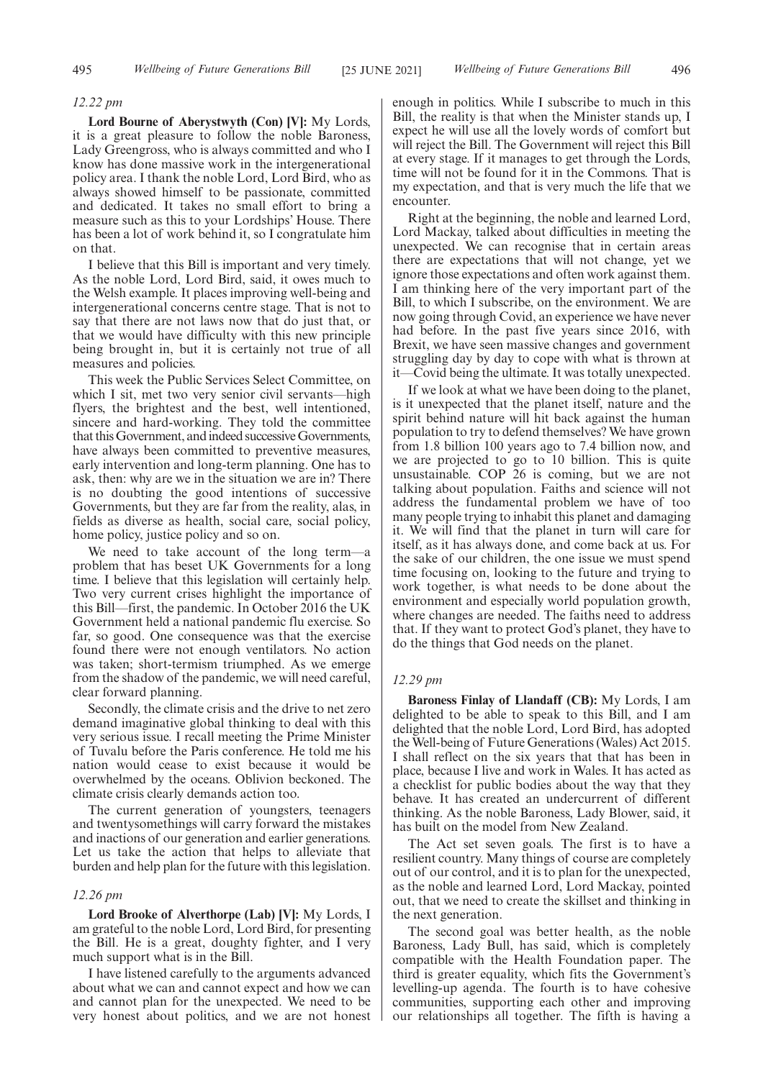#### *12.22 pm*

**Lord Bourne of Aberystwyth (Con) [V]:** My Lords, it is a great pleasure to follow the noble Baroness, Lady Greengross, who is always committed and who I know has done massive work in the intergenerational policy area. I thank the noble Lord, Lord Bird, who as always showed himself to be passionate, committed and dedicated. It takes no small effort to bring a measure such as this to your Lordships' House. There has been a lot of work behind it, so I congratulate him on that.

I believe that this Bill is important and very timely. As the noble Lord, Lord Bird, said, it owes much to the Welsh example. It places improving well-being and intergenerational concerns centre stage. That is not to say that there are not laws now that do just that, or that we would have difficulty with this new principle being brought in, but it is certainly not true of all measures and policies.

This week the Public Services Select Committee, on which I sit, met two very senior civil servants—high flyers, the brightest and the best, well intentioned, sincere and hard-working. They told the committee that this Government, and indeed successive Governments, have always been committed to preventive measures, early intervention and long-term planning. One has to ask, then: why are we in the situation we are in? There is no doubting the good intentions of successive Governments, but they are far from the reality, alas, in fields as diverse as health, social care, social policy, home policy, justice policy and so on.

We need to take account of the long term—a problem that has beset UK Governments for a long time. I believe that this legislation will certainly help. Two very current crises highlight the importance of this Bill—first, the pandemic. In October 2016 the UK Government held a national pandemic flu exercise. So far, so good. One consequence was that the exercise found there were not enough ventilators. No action was taken; short-termism triumphed. As we emerge from the shadow of the pandemic, we will need careful, clear forward planning.

Secondly, the climate crisis and the drive to net zero demand imaginative global thinking to deal with this very serious issue. I recall meeting the Prime Minister of Tuvalu before the Paris conference. He told me his nation would cease to exist because it would be overwhelmed by the oceans. Oblivion beckoned. The climate crisis clearly demands action too.

The current generation of youngsters, teenagers and twentysomethings will carry forward the mistakes and inactions of our generation and earlier generations. Let us take the action that helps to alleviate that burden and help plan for the future with this legislation.

# *12.26 pm*

**Lord Brooke of Alverthorpe (Lab) [V]:** My Lords, I am grateful to the noble Lord, Lord Bird, for presenting the Bill. He is a great, doughty fighter, and I very much support what is in the Bill.

I have listened carefully to the arguments advanced about what we can and cannot expect and how we can and cannot plan for the unexpected. We need to be very honest about politics, and we are not honest enough in politics. While I subscribe to much in this Bill, the reality is that when the Minister stands up, I expect he will use all the lovely words of comfort but will reject the Bill. The Government will reject this Bill at every stage. If it manages to get through the Lords, time will not be found for it in the Commons. That is my expectation, and that is very much the life that we encounter.

Right at the beginning, the noble and learned Lord, Lord Mackay, talked about difficulties in meeting the unexpected. We can recognise that in certain areas there are expectations that will not change, yet we ignore those expectations and often work against them. I am thinking here of the very important part of the Bill, to which I subscribe, on the environment. We are now going through Covid, an experience we have never had before. In the past five years since 2016, with Brexit, we have seen massive changes and government struggling day by day to cope with what is thrown at it—Covid being the ultimate. It was totally unexpected.

If we look at what we have been doing to the planet, is it unexpected that the planet itself, nature and the spirit behind nature will hit back against the human population to try to defend themselves? We have grown from 1.8 billion 100 years ago to 7.4 billion now, and we are projected to go to 10 billion. This is quite unsustainable. COP 26 is coming, but we are not talking about population. Faiths and science will not address the fundamental problem we have of too many people trying to inhabit this planet and damaging it. We will find that the planet in turn will care for itself, as it has always done, and come back at us. For the sake of our children, the one issue we must spend time focusing on, looking to the future and trying to work together, is what needs to be done about the environment and especially world population growth, where changes are needed. The faiths need to address that. If they want to protect God's planet, they have to do the things that God needs on the planet.

# *12.29 pm*

**Baroness Finlay of Llandaff (CB):** My Lords, I am delighted to be able to speak to this Bill, and I am delighted that the noble Lord, Lord Bird, has adopted the Well-being of Future Generations (Wales) Act 2015. I shall reflect on the six years that that has been in place, because I live and work in Wales. It has acted as a checklist for public bodies about the way that they behave. It has created an undercurrent of different thinking. As the noble Baroness, Lady Blower, said, it has built on the model from New Zealand.

The Act set seven goals. The first is to have a resilient country. Many things of course are completely out of our control, and it is to plan for the unexpected, as the noble and learned Lord, Lord Mackay, pointed out, that we need to create the skillset and thinking in the next generation.

The second goal was better health, as the noble Baroness, Lady Bull, has said, which is completely compatible with the Health Foundation paper. The third is greater equality, which fits the Government's levelling-up agenda. The fourth is to have cohesive communities, supporting each other and improving our relationships all together. The fifth is having a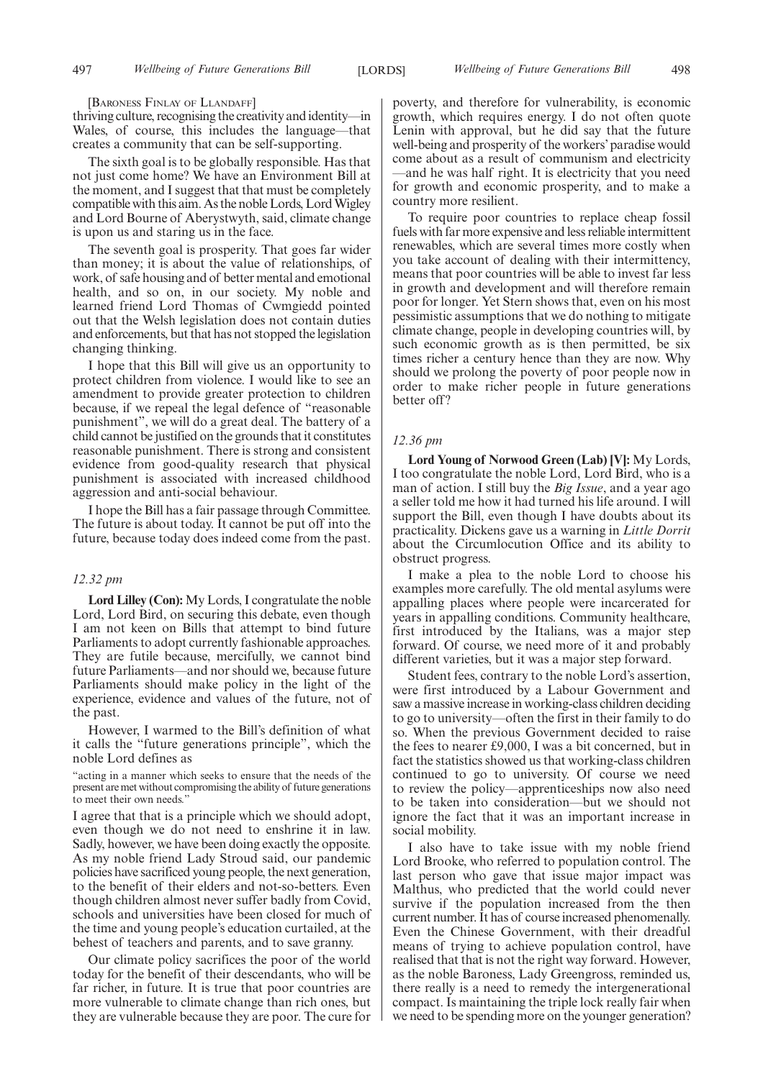[BARONESS FINLAY OF LLANDAFF]

thriving culture, recognising the creativity and identity—in Wales, of course, this includes the language—that creates a community that can be self-supporting.

The sixth goal is to be globally responsible. Has that not just come home? We have an Environment Bill at the moment, and I suggest that that must be completely compatible with this aim. As the noble Lords, Lord Wigley and Lord Bourne of Aberystwyth, said, climate change is upon us and staring us in the face.

The seventh goal is prosperity. That goes far wider than money; it is about the value of relationships, of work, of safe housing and of better mental and emotional health, and so on, in our society. My noble and learned friend Lord Thomas of Cwmgiedd pointed out that the Welsh legislation does not contain duties and enforcements, but that has not stopped the legislation changing thinking.

I hope that this Bill will give us an opportunity to protect children from violence. I would like to see an amendment to provide greater protection to children because, if we repeal the legal defence of "reasonable punishment", we will do a great deal. The battery of a child cannot be justified on the grounds that it constitutes reasonable punishment. There is strong and consistent evidence from good-quality research that physical punishment is associated with increased childhood aggression and anti-social behaviour.

I hope the Bill has a fair passage through Committee. The future is about today. It cannot be put off into the future, because today does indeed come from the past.

# *12.32 pm*

**Lord Lilley (Con):** My Lords, I congratulate the noble Lord, Lord Bird, on securing this debate, even though I am not keen on Bills that attempt to bind future Parliaments to adopt currently fashionable approaches. They are futile because, mercifully, we cannot bind future Parliaments—and nor should we, because future Parliaments should make policy in the light of the experience, evidence and values of the future, not of the past.

However, I warmed to the Bill's definition of what it calls the "future generations principle", which the noble Lord defines as

"acting in a manner which seeks to ensure that the needs of the present are met without compromising the ability of future generations to meet their own needs."

I agree that that is a principle which we should adopt, even though we do not need to enshrine it in law. Sadly, however, we have been doing exactly the opposite. As my noble friend Lady Stroud said, our pandemic policies have sacrificed young people, the next generation, to the benefit of their elders and not-so-betters. Even though children almost never suffer badly from Covid, schools and universities have been closed for much of the time and young people's education curtailed, at the behest of teachers and parents, and to save granny.

Our climate policy sacrifices the poor of the world today for the benefit of their descendants, who will be far richer, in future. It is true that poor countries are more vulnerable to climate change than rich ones, but they are vulnerable because they are poor. The cure for poverty, and therefore for vulnerability, is economic growth, which requires energy. I do not often quote Lenin with approval, but he did say that the future well-being and prosperity of the workers'paradise would come about as a result of communism and electricity —and he was half right. It is electricity that you need for growth and economic prosperity, and to make a country more resilient.

To require poor countries to replace cheap fossil fuels with far more expensive and less reliable intermittent renewables, which are several times more costly when you take account of dealing with their intermittency, means that poor countries will be able to invest far less in growth and development and will therefore remain poor for longer. Yet Stern shows that, even on his most pessimistic assumptions that we do nothing to mitigate climate change, people in developing countries will, by such economic growth as is then permitted, be six times richer a century hence than they are now. Why should we prolong the poverty of poor people now in order to make richer people in future generations better off?

# *12.36 pm*

**Lord Young of Norwood Green (Lab) [V]:** My Lords, I too congratulate the noble Lord, Lord Bird, who is a man of action. I still buy the *Big Issue*, and a year ago a seller told me how it had turned his life around. I will support the Bill, even though I have doubts about its practicality. Dickens gave us a warning in *Little Dorrit* about the Circumlocution Office and its ability to obstruct progress.

I make a plea to the noble Lord to choose his examples more carefully. The old mental asylums were appalling places where people were incarcerated for years in appalling conditions. Community healthcare, first introduced by the Italians, was a major step forward. Of course, we need more of it and probably different varieties, but it was a major step forward.

Student fees, contrary to the noble Lord's assertion, were first introduced by a Labour Government and saw a massive increase in working-class children deciding to go to university—often the first in their family to do so. When the previous Government decided to raise the fees to nearer £9,000, I was a bit concerned, but in fact the statistics showed us that working-class children continued to go to university. Of course we need to review the policy—apprenticeships now also need to be taken into consideration—but we should not ignore the fact that it was an important increase in social mobility.

I also have to take issue with my noble friend Lord Brooke, who referred to population control. The last person who gave that issue major impact was Malthus, who predicted that the world could never survive if the population increased from the then current number. It has of course increased phenomenally. Even the Chinese Government, with their dreadful means of trying to achieve population control, have realised that that is not the right way forward. However, as the noble Baroness, Lady Greengross, reminded us, there really is a need to remedy the intergenerational compact. Is maintaining the triple lock really fair when we need to be spending more on the younger generation?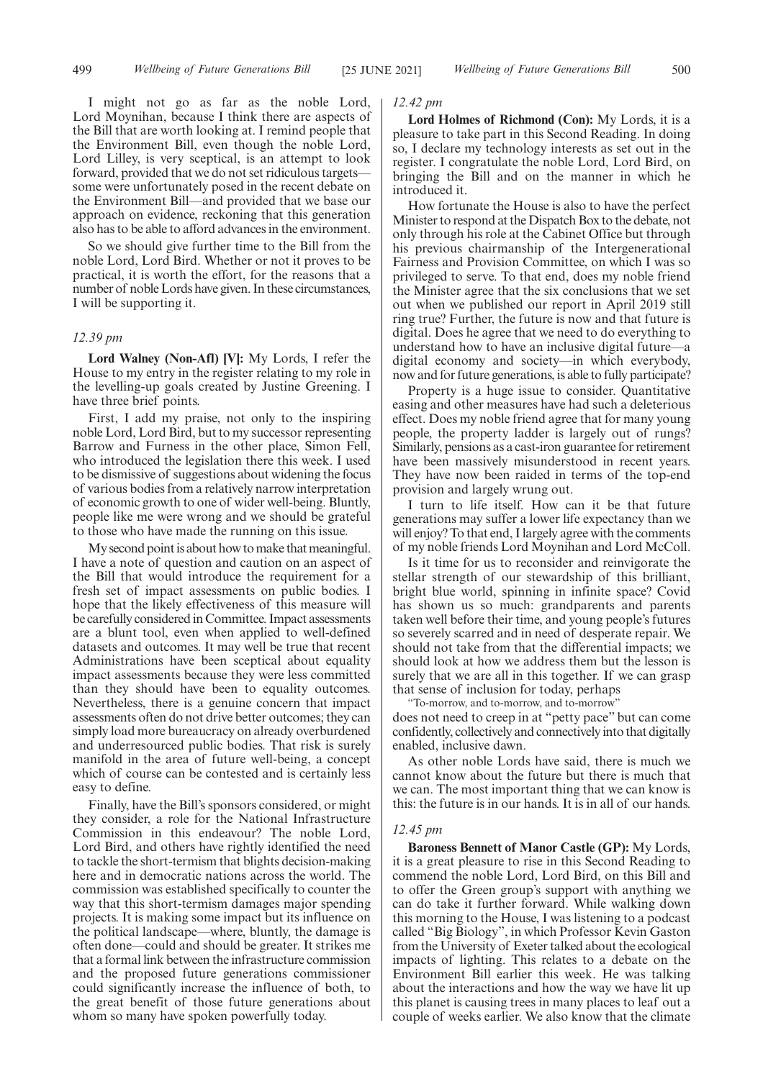I might not go as far as the noble Lord, Lord Moynihan, because I think there are aspects of the Bill that are worth looking at. I remind people that the Environment Bill, even though the noble Lord, Lord Lilley, is very sceptical, is an attempt to look forward, provided that we do not set ridiculous targets some were unfortunately posed in the recent debate on the Environment Bill—and provided that we base our approach on evidence, reckoning that this generation also has to be able to afford advances in the environment.

So we should give further time to the Bill from the noble Lord, Lord Bird. Whether or not it proves to be practical, it is worth the effort, for the reasons that a number of noble Lords have given. In these circumstances, I will be supporting it.

#### *12.39 pm*

**Lord Walney (Non-Afl) [V]:** My Lords, I refer the House to my entry in the register relating to my role in the levelling-up goals created by Justine Greening. I have three brief points.

First, I add my praise, not only to the inspiring noble Lord, Lord Bird, but to my successor representing Barrow and Furness in the other place, Simon Fell, who introduced the legislation there this week. I used to be dismissive of suggestions about widening the focus of various bodies from a relatively narrow interpretation of economic growth to one of wider well-being. Bluntly, people like me were wrong and we should be grateful to those who have made the running on this issue.

My second point is about how to make that meaningful. I have a note of question and caution on an aspect of the Bill that would introduce the requirement for a fresh set of impact assessments on public bodies. I hope that the likely effectiveness of this measure will be carefully considered in Committee. Impact assessments are a blunt tool, even when applied to well-defined datasets and outcomes. It may well be true that recent Administrations have been sceptical about equality impact assessments because they were less committed than they should have been to equality outcomes. Nevertheless, there is a genuine concern that impact assessments often do not drive better outcomes; they can simply load more bureaucracy on already overburdened and underresourced public bodies. That risk is surely manifold in the area of future well-being, a concept which of course can be contested and is certainly less easy to define.

Finally, have the Bill's sponsors considered, or might they consider, a role for the National Infrastructure Commission in this endeavour? The noble Lord, Lord Bird, and others have rightly identified the need to tackle the short-termism that blights decision-making here and in democratic nations across the world. The commission was established specifically to counter the way that this short-termism damages major spending projects. It is making some impact but its influence on the political landscape—where, bluntly, the damage is often done—could and should be greater. It strikes me that a formal link between the infrastructure commission and the proposed future generations commissioner could significantly increase the influence of both, to the great benefit of those future generations about whom so many have spoken powerfully today.

#### *12.42 pm*

**Lord Holmes of Richmond (Con):** My Lords, it is a pleasure to take part in this Second Reading. In doing so, I declare my technology interests as set out in the register. I congratulate the noble Lord, Lord Bird, on bringing the Bill and on the manner in which he introduced it.

How fortunate the House is also to have the perfect Minister to respond at the Dispatch Box to the debate, not only through his role at the Cabinet Office but through his previous chairmanship of the Intergenerational Fairness and Provision Committee, on which I was so privileged to serve. To that end, does my noble friend the Minister agree that the six conclusions that we set out when we published our report in April 2019 still ring true? Further, the future is now and that future is digital. Does he agree that we need to do everything to understand how to have an inclusive digital future—a digital economy and society—in which everybody, now and for future generations, is able to fully participate?

Property is a huge issue to consider. Quantitative easing and other measures have had such a deleterious effect. Does my noble friend agree that for many young people, the property ladder is largely out of rungs? Similarly, pensions as a cast-iron guarantee for retirement have been massively misunderstood in recent years. They have now been raided in terms of the top-end provision and largely wrung out.

I turn to life itself. How can it be that future generations may suffer a lower life expectancy than we will enjoy? To that end, I largely agree with the comments of my noble friends Lord Moynihan and Lord McColl.

Is it time for us to reconsider and reinvigorate the stellar strength of our stewardship of this brilliant, bright blue world, spinning in infinite space? Covid has shown us so much: grandparents and parents taken well before their time, and young people's futures so severely scarred and in need of desperate repair. We should not take from that the differential impacts; we should look at how we address them but the lesson is surely that we are all in this together. If we can grasp that sense of inclusion for today, perhaps

"To-morrow, and to-morrow, and to-morrow"

does not need to creep in at "petty pace" but can come confidently, collectively and connectively into that digitally enabled, inclusive dawn.

As other noble Lords have said, there is much we cannot know about the future but there is much that we can. The most important thing that we can know is this: the future is in our hands. It is in all of our hands.

#### *12.45 pm*

**Baroness Bennett of Manor Castle (GP):** My Lords, it is a great pleasure to rise in this Second Reading to commend the noble Lord, Lord Bird, on this Bill and to offer the Green group's support with anything we can do take it further forward. While walking down this morning to the House, I was listening to a podcast called "Big Biology", in which Professor Kevin Gaston from the University of Exeter talked about the ecological impacts of lighting. This relates to a debate on the Environment Bill earlier this week. He was talking about the interactions and how the way we have lit up this planet is causing trees in many places to leaf out a couple of weeks earlier. We also know that the climate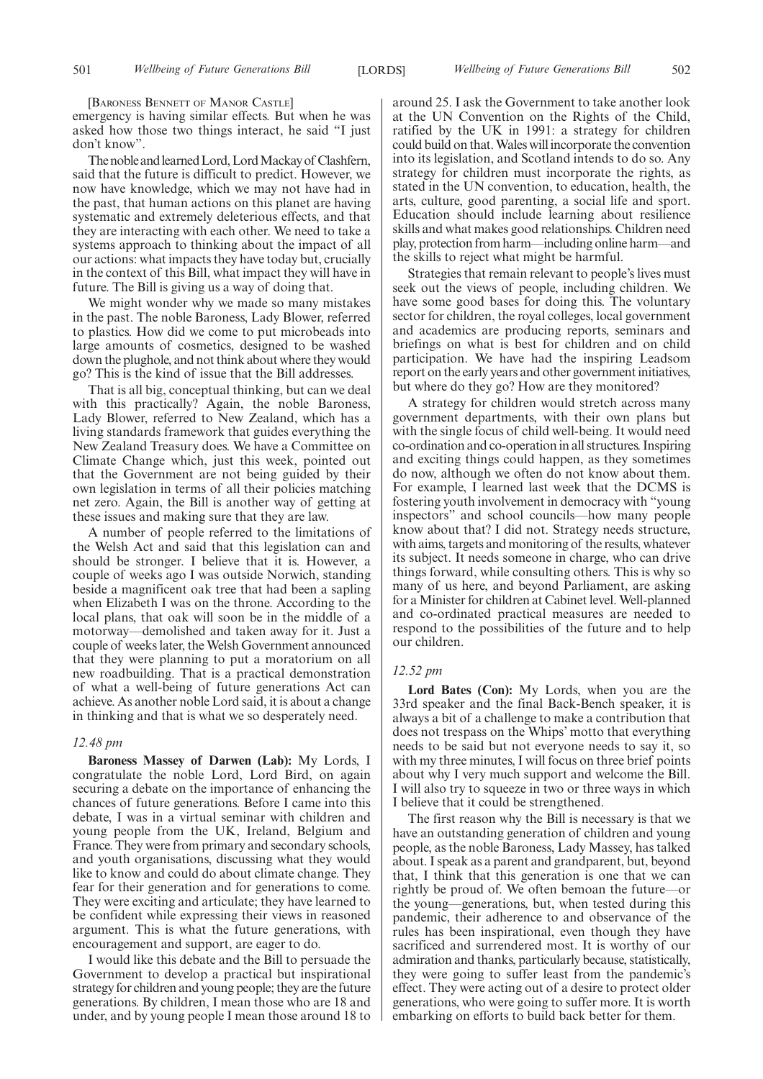[BARONESS BENNETT OF MANOR CASTLE]

emergency is having similar effects. But when he was asked how those two things interact, he said "I just don't know".

The noble and learned Lord, Lord Mackay of Clashfern, said that the future is difficult to predict. However, we now have knowledge, which we may not have had in the past, that human actions on this planet are having systematic and extremely deleterious effects, and that they are interacting with each other. We need to take a systems approach to thinking about the impact of all our actions: what impacts they have today but, crucially in the context of this Bill, what impact they will have in future. The Bill is giving us a way of doing that.

We might wonder why we made so many mistakes in the past. The noble Baroness, Lady Blower, referred to plastics. How did we come to put microbeads into large amounts of cosmetics, designed to be washed down the plughole, and not think about where they would go? This is the kind of issue that the Bill addresses.

That is all big, conceptual thinking, but can we deal with this practically? Again, the noble Baroness, Lady Blower, referred to New Zealand, which has a living standards framework that guides everything the New Zealand Treasury does. We have a Committee on Climate Change which, just this week, pointed out that the Government are not being guided by their own legislation in terms of all their policies matching net zero. Again, the Bill is another way of getting at these issues and making sure that they are law.

A number of people referred to the limitations of the Welsh Act and said that this legislation can and should be stronger. I believe that it is. However, a couple of weeks ago I was outside Norwich, standing beside a magnificent oak tree that had been a sapling when Elizabeth I was on the throne. According to the local plans, that oak will soon be in the middle of a motorway—demolished and taken away for it. Just a couple of weeks later, the Welsh Government announced that they were planning to put a moratorium on all new roadbuilding. That is a practical demonstration of what a well-being of future generations Act can achieve. As another noble Lord said, it is about a change in thinking and that is what we so desperately need.

#### *12.48 pm*

**Baroness Massey of Darwen (Lab):** My Lords, I congratulate the noble Lord, Lord Bird, on again securing a debate on the importance of enhancing the chances of future generations. Before I came into this debate, I was in a virtual seminar with children and young people from the UK, Ireland, Belgium and France. They were from primary and secondary schools, and youth organisations, discussing what they would like to know and could do about climate change. They fear for their generation and for generations to come. They were exciting and articulate; they have learned to be confident while expressing their views in reasoned argument. This is what the future generations, with encouragement and support, are eager to do.

I would like this debate and the Bill to persuade the Government to develop a practical but inspirational strategy for children and young people; they are the future generations. By children, I mean those who are 18 and under, and by young people I mean those around 18 to around 25. I ask the Government to take another look at the UN Convention on the Rights of the Child, ratified by the UK in 1991: a strategy for children could build on that. Wales will incorporate the convention into its legislation, and Scotland intends to do so. Any strategy for children must incorporate the rights, as stated in the UN convention, to education, health, the arts, culture, good parenting, a social life and sport. Education should include learning about resilience skills and what makes good relationships. Children need play, protection from harm—including online harm—and the skills to reject what might be harmful.

Strategies that remain relevant to people's lives must seek out the views of people, including children. We have some good bases for doing this. The voluntary sector for children, the royal colleges, local government and academics are producing reports, seminars and briefings on what is best for children and on child participation. We have had the inspiring Leadsom report on the early years and other government initiatives, but where do they go? How are they monitored?

A strategy for children would stretch across many government departments, with their own plans but with the single focus of child well-being. It would need co-ordination and co-operation in all structures. Inspiring and exciting things could happen, as they sometimes do now, although we often do not know about them. For example, I learned last week that the DCMS is fostering youth involvement in democracy with "young inspectors" and school councils—how many people know about that? I did not. Strategy needs structure, with aims, targets and monitoring of the results, whatever its subject. It needs someone in charge, who can drive things forward, while consulting others. This is why so many of us here, and beyond Parliament, are asking for a Minister for children at Cabinet level. Well-planned and co-ordinated practical measures are needed to respond to the possibilities of the future and to help our children.

#### *12.52 pm*

**Lord Bates (Con):** My Lords, when you are the 33rd speaker and the final Back-Bench speaker, it is always a bit of a challenge to make a contribution that does not trespass on the Whips' motto that everything needs to be said but not everyone needs to say it, so with my three minutes, I will focus on three brief points about why I very much support and welcome the Bill. I will also try to squeeze in two or three ways in which I believe that it could be strengthened.

The first reason why the Bill is necessary is that we have an outstanding generation of children and young people, as the noble Baroness, Lady Massey, has talked about. I speak as a parent and grandparent, but, beyond that, I think that this generation is one that we can rightly be proud of. We often bemoan the future—or the young—generations, but, when tested during this pandemic, their adherence to and observance of the rules has been inspirational, even though they have sacrificed and surrendered most. It is worthy of our admiration and thanks, particularly because, statistically, they were going to suffer least from the pandemic's effect. They were acting out of a desire to protect older generations, who were going to suffer more. It is worth embarking on efforts to build back better for them.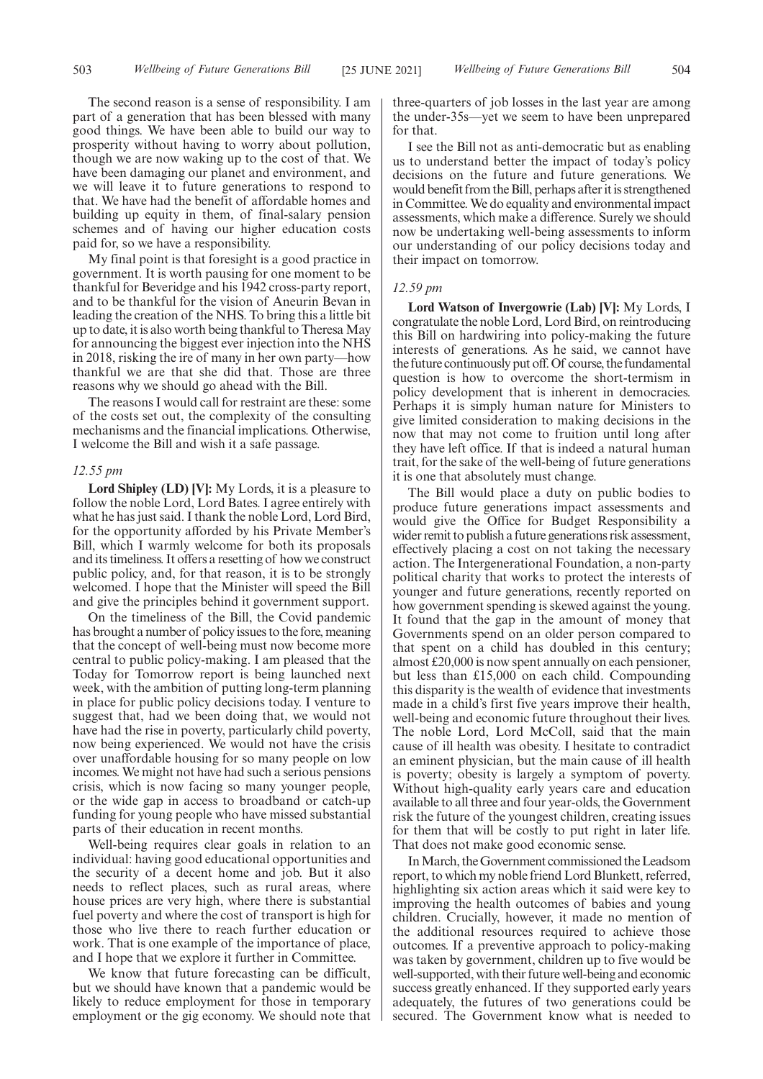The second reason is a sense of responsibility. I am part of a generation that has been blessed with many good things. We have been able to build our way to prosperity without having to worry about pollution, though we are now waking up to the cost of that. We have been damaging our planet and environment, and we will leave it to future generations to respond to that. We have had the benefit of affordable homes and building up equity in them, of final-salary pension schemes and of having our higher education costs paid for, so we have a responsibility.

My final point is that foresight is a good practice in government. It is worth pausing for one moment to be thankful for Beveridge and his 1942 cross-party report, and to be thankful for the vision of Aneurin Bevan in leading the creation of the NHS. To bring this a little bit up to date, it is also worth being thankful to Theresa May for announcing the biggest ever injection into the NHS in 2018, risking the ire of many in her own party—how thankful we are that she did that. Those are three reasons why we should go ahead with the Bill.

The reasons I would call for restraint are these: some of the costs set out, the complexity of the consulting mechanisms and the financial implications. Otherwise, I welcome the Bill and wish it a safe passage.

# *12.55 pm*

**Lord Shipley (LD) [V]:** My Lords, it is a pleasure to follow the noble Lord, Lord Bates. I agree entirely with what he has just said. I thank the noble Lord, Lord Bird, for the opportunity afforded by his Private Member's Bill, which I warmly welcome for both its proposals and its timeliness. It offers a resetting of how we construct public policy, and, for that reason, it is to be strongly welcomed. I hope that the Minister will speed the Bill and give the principles behind it government support.

On the timeliness of the Bill, the Covid pandemic has brought a number of policy issues to the fore, meaning that the concept of well-being must now become more central to public policy-making. I am pleased that the Today for Tomorrow report is being launched next week, with the ambition of putting long-term planning in place for public policy decisions today. I venture to suggest that, had we been doing that, we would not have had the rise in poverty, particularly child poverty, now being experienced. We would not have the crisis over unaffordable housing for so many people on low incomes. We might not have had such a serious pensions crisis, which is now facing so many younger people, or the wide gap in access to broadband or catch-up funding for young people who have missed substantial parts of their education in recent months.

Well-being requires clear goals in relation to an individual: having good educational opportunities and the security of a decent home and job. But it also needs to reflect places, such as rural areas, where house prices are very high, where there is substantial fuel poverty and where the cost of transport is high for those who live there to reach further education or work. That is one example of the importance of place, and I hope that we explore it further in Committee.

We know that future forecasting can be difficult, but we should have known that a pandemic would be likely to reduce employment for those in temporary employment or the gig economy. We should note that three-quarters of job losses in the last year are among the under-35s—yet we seem to have been unprepared for that.

I see the Bill not as anti-democratic but as enabling us to understand better the impact of today's policy decisions on the future and future generations. We would benefit from the Bill, perhaps after it is strengthened in Committee. We do equality and environmental impact assessments, which make a difference. Surely we should now be undertaking well-being assessments to inform our understanding of our policy decisions today and their impact on tomorrow.

# *12.59 pm*

**Lord Watson of Invergowrie (Lab) [V]:** My Lords, I congratulate the noble Lord, Lord Bird, on reintroducing this Bill on hardwiring into policy-making the future interests of generations. As he said, we cannot have the future continuously put off. Of course, the fundamental question is how to overcome the short-termism in policy development that is inherent in democracies. Perhaps it is simply human nature for Ministers to give limited consideration to making decisions in the now that may not come to fruition until long after they have left office. If that is indeed a natural human trait, for the sake of the well-being of future generations it is one that absolutely must change.

The Bill would place a duty on public bodies to produce future generations impact assessments and would give the Office for Budget Responsibility a wider remit to publish a future generations risk assessment, effectively placing a cost on not taking the necessary action. The Intergenerational Foundation, a non-party political charity that works to protect the interests of younger and future generations, recently reported on how government spending is skewed against the young. It found that the gap in the amount of money that Governments spend on an older person compared to that spent on a child has doubled in this century; almost £20,000 is now spent annually on each pensioner, but less than £15,000 on each child. Compounding this disparity is the wealth of evidence that investments made in a child's first five years improve their health, well-being and economic future throughout their lives. The noble Lord, Lord McColl, said that the main cause of ill health was obesity. I hesitate to contradict an eminent physician, but the main cause of ill health is poverty; obesity is largely a symptom of poverty. Without high-quality early years care and education available to all three and four year-olds, the Government risk the future of the youngest children, creating issues for them that will be costly to put right in later life. That does not make good economic sense.

In March, the Government commissioned the Leadsom report, to which my noble friend Lord Blunkett, referred, highlighting six action areas which it said were key to improving the health outcomes of babies and young children. Crucially, however, it made no mention of the additional resources required to achieve those outcomes. If a preventive approach to policy-making was taken by government, children up to five would be well-supported, with their future well-being and economic success greatly enhanced. If they supported early years adequately, the futures of two generations could be secured. The Government know what is needed to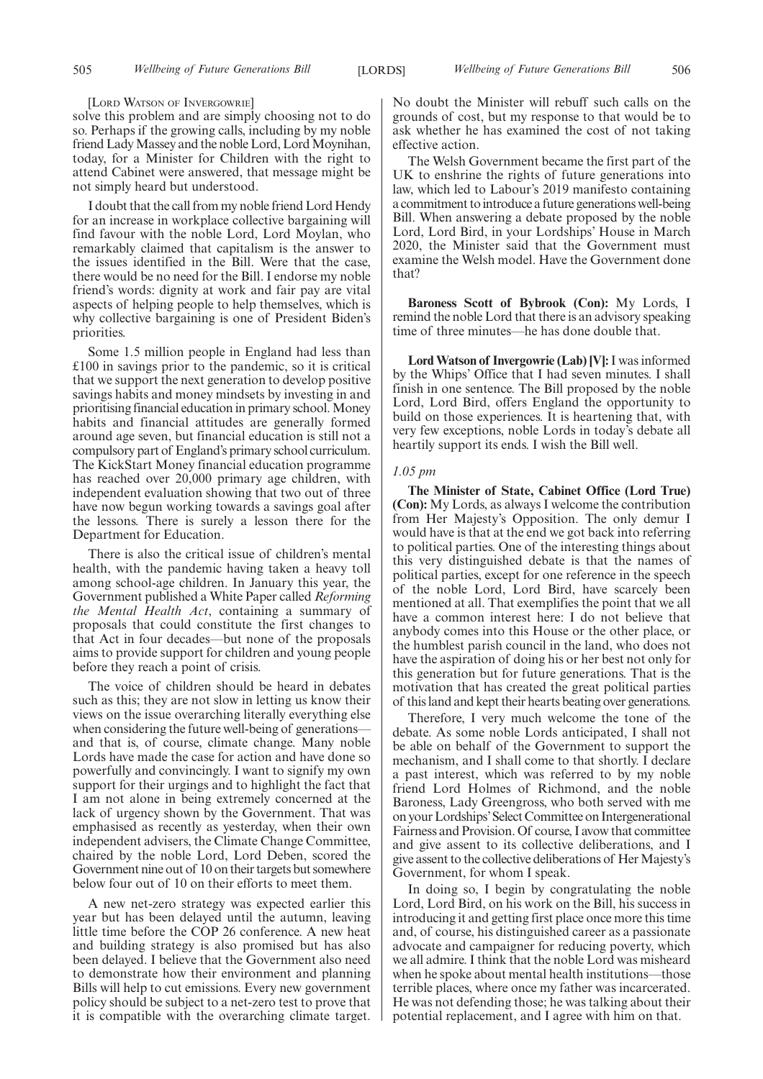#### [LORD WATSON OF INVERGOWRIE]

solve this problem and are simply choosing not to do so. Perhaps if the growing calls, including by my noble friend Lady Massey and the noble Lord, Lord Moynihan, today, for a Minister for Children with the right to attend Cabinet were answered, that message might be not simply heard but understood.

I doubt that the call from my noble friend Lord Hendy for an increase in workplace collective bargaining will find favour with the noble Lord, Lord Moylan, who remarkably claimed that capitalism is the answer to the issues identified in the Bill. Were that the case, there would be no need for the Bill. I endorse my noble friend's words: dignity at work and fair pay are vital aspects of helping people to help themselves, which is why collective bargaining is one of President Biden's priorities.

Some 1.5 million people in England had less than £100 in savings prior to the pandemic, so it is critical that we support the next generation to develop positive savings habits and money mindsets by investing in and prioritising financial education in primary school. Money habits and financial attitudes are generally formed around age seven, but financial education is still not a compulsory part of England's primary school curriculum. The KickStart Money financial education programme has reached over 20,000 primary age children, with independent evaluation showing that two out of three have now begun working towards a savings goal after the lessons. There is surely a lesson there for the Department for Education.

There is also the critical issue of children's mental health, with the pandemic having taken a heavy toll among school-age children. In January this year, the Government published a White Paper called *Reforming the Mental Health Act*, containing a summary of proposals that could constitute the first changes to that Act in four decades—but none of the proposals aims to provide support for children and young people before they reach a point of crisis.

The voice of children should be heard in debates such as this; they are not slow in letting us know their views on the issue overarching literally everything else when considering the future well-being of generations and that is, of course, climate change. Many noble Lords have made the case for action and have done so powerfully and convincingly. I want to signify my own support for their urgings and to highlight the fact that I am not alone in being extremely concerned at the lack of urgency shown by the Government. That was emphasised as recently as yesterday, when their own independent advisers, the Climate Change Committee, chaired by the noble Lord, Lord Deben, scored the Government nine out of 10 on their targets but somewhere below four out of 10 on their efforts to meet them.

A new net-zero strategy was expected earlier this year but has been delayed until the autumn, leaving little time before the COP 26 conference. A new heat and building strategy is also promised but has also been delayed. I believe that the Government also need to demonstrate how their environment and planning Bills will help to cut emissions. Every new government policy should be subject to a net-zero test to prove that it is compatible with the overarching climate target. No doubt the Minister will rebuff such calls on the grounds of cost, but my response to that would be to ask whether he has examined the cost of not taking effective action.

The Welsh Government became the first part of the UK to enshrine the rights of future generations into law, which led to Labour's 2019 manifesto containing a commitment to introduce a future generations well-being Bill. When answering a debate proposed by the noble Lord, Lord Bird, in your Lordships' House in March 2020, the Minister said that the Government must examine the Welsh model. Have the Government done that?

**Baroness Scott of Bybrook (Con):** My Lords, I remind the noble Lord that there is an advisory speaking time of three minutes—he has done double that.

**Lord Watson of Invergowrie (Lab) [V]:**I was informed by the Whips' Office that I had seven minutes. I shall finish in one sentence. The Bill proposed by the noble Lord, Lord Bird, offers England the opportunity to build on those experiences. It is heartening that, with very few exceptions, noble Lords in today's debate all heartily support its ends. I wish the Bill well.

# *1.05 pm*

**The Minister of State, Cabinet Office (Lord True) (Con):** My Lords, as always I welcome the contribution from Her Majesty's Opposition. The only demur I would have is that at the end we got back into referring to political parties. One of the interesting things about this very distinguished debate is that the names of political parties, except for one reference in the speech of the noble Lord, Lord Bird, have scarcely been mentioned at all. That exemplifies the point that we all have a common interest here: I do not believe that anybody comes into this House or the other place, or the humblest parish council in the land, who does not have the aspiration of doing his or her best not only for this generation but for future generations. That is the motivation that has created the great political parties of this land and kept their hearts beating over generations.

Therefore, I very much welcome the tone of the debate. As some noble Lords anticipated, I shall not be able on behalf of the Government to support the mechanism, and I shall come to that shortly. I declare a past interest, which was referred to by my noble friend Lord Holmes of Richmond, and the noble Baroness, Lady Greengross, who both served with me on your Lordships'Select Committee on Intergenerational Fairness and Provision. Of course, I avow that committee and give assent to its collective deliberations, and I give assent to the collective deliberations of Her Majesty's Government, for whom I speak.

In doing so, I begin by congratulating the noble Lord, Lord Bird, on his work on the Bill, his success in introducing it and getting first place once more this time and, of course, his distinguished career as a passionate advocate and campaigner for reducing poverty, which we all admire. I think that the noble Lord was misheard when he spoke about mental health institutions—those terrible places, where once my father was incarcerated. He was not defending those; he was talking about their potential replacement, and I agree with him on that.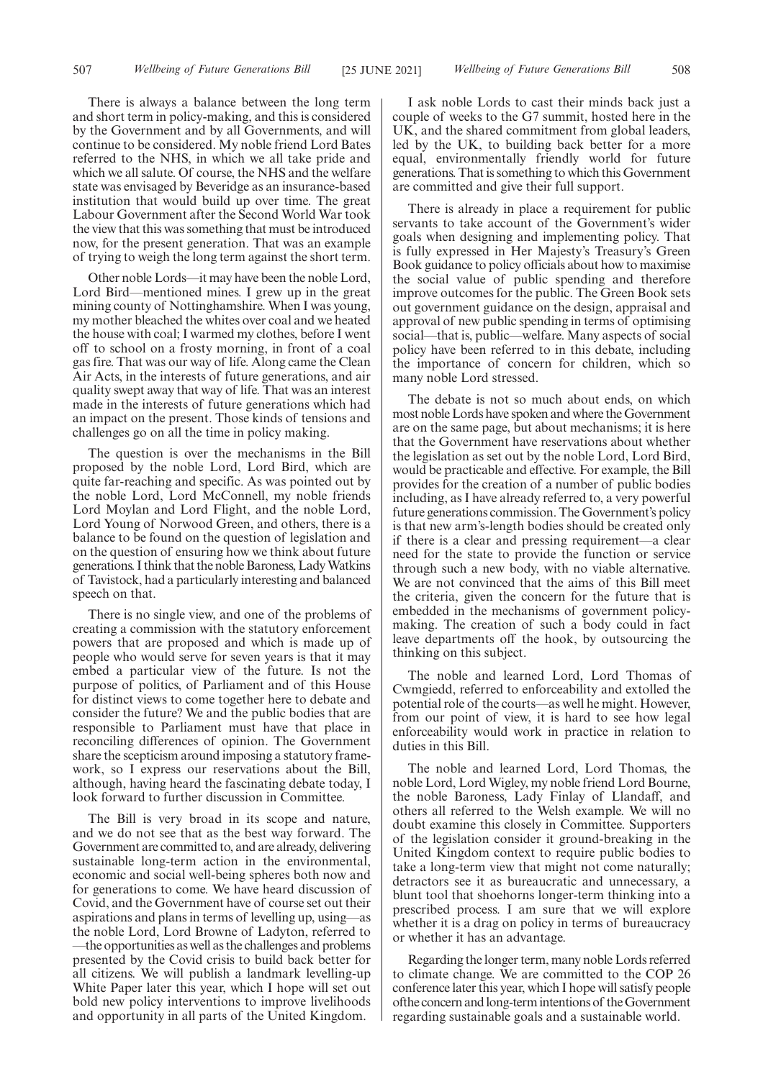There is always a balance between the long term and short term in policy-making, and this is considered by the Government and by all Governments, and will continue to be considered. My noble friend Lord Bates referred to the NHS, in which we all take pride and which we all salute. Of course, the NHS and the welfare state was envisaged by Beveridge as an insurance-based institution that would build up over time. The great Labour Government after the Second World War took the view that this was something that must be introduced now, for the present generation. That was an example of trying to weigh the long term against the short term.

Other noble Lords—it may have been the noble Lord, Lord Bird—mentioned mines. I grew up in the great mining county of Nottinghamshire. When I was young, my mother bleached the whites over coal and we heated the house with coal; I warmed my clothes, before I went off to school on a frosty morning, in front of a coal gas fire. That was our way of life. Along came the Clean Air Acts, in the interests of future generations, and air quality swept away that way of life. That was an interest made in the interests of future generations which had an impact on the present. Those kinds of tensions and challenges go on all the time in policy making.

The question is over the mechanisms in the Bill proposed by the noble Lord, Lord Bird, which are quite far-reaching and specific. As was pointed out by the noble Lord, Lord McConnell, my noble friends Lord Moylan and Lord Flight, and the noble Lord, Lord Young of Norwood Green, and others, there is a balance to be found on the question of legislation and on the question of ensuring how we think about future generations. I think that the noble Baroness, Lady Watkins of Tavistock, had a particularly interesting and balanced speech on that.

There is no single view, and one of the problems of creating a commission with the statutory enforcement powers that are proposed and which is made up of people who would serve for seven years is that it may embed a particular view of the future. Is not the purpose of politics, of Parliament and of this House for distinct views to come together here to debate and consider the future? We and the public bodies that are responsible to Parliament must have that place in reconciling differences of opinion. The Government share the scepticism around imposing a statutory framework, so I express our reservations about the Bill, although, having heard the fascinating debate today, I look forward to further discussion in Committee.

The Bill is very broad in its scope and nature, and we do not see that as the best way forward. The Government are committed to, and are already, delivering sustainable long-term action in the environmental, economic and social well-being spheres both now and for generations to come. We have heard discussion of Covid, and the Government have of course set out their aspirations and plans in terms of levelling up, using—as the noble Lord, Lord Browne of Ladyton, referred to —the opportunities as well as the challenges and problems presented by the Covid crisis to build back better for all citizens. We will publish a landmark levelling-up White Paper later this year, which I hope will set out bold new policy interventions to improve livelihoods and opportunity in all parts of the United Kingdom.

I ask noble Lords to cast their minds back just a couple of weeks to the G7 summit, hosted here in the UK, and the shared commitment from global leaders, led by the UK, to building back better for a more equal, environmentally friendly world for future generations. That is something to which this Government are committed and give their full support.

There is already in place a requirement for public servants to take account of the Government's wider goals when designing and implementing policy. That is fully expressed in Her Majesty's Treasury's Green Book guidance to policy officials about how to maximise the social value of public spending and therefore improve outcomes for the public. The Green Book sets out government guidance on the design, appraisal and approval of new public spending in terms of optimising social—that is, public—welfare. Many aspects of social policy have been referred to in this debate, including the importance of concern for children, which so many noble Lord stressed.

The debate is not so much about ends, on which most noble Lords have spoken and where the Government are on the same page, but about mechanisms; it is here that the Government have reservations about whether the legislation as set out by the noble Lord, Lord Bird, would be practicable and effective. For example, the Bill provides for the creation of a number of public bodies including, as I have already referred to, a very powerful future generations commission. The Government's policy is that new arm's-length bodies should be created only if there is a clear and pressing requirement—a clear need for the state to provide the function or service through such a new body, with no viable alternative. We are not convinced that the aims of this Bill meet the criteria, given the concern for the future that is embedded in the mechanisms of government policymaking. The creation of such a body could in fact leave departments off the hook, by outsourcing the thinking on this subject.

The noble and learned Lord, Lord Thomas of Cwmgiedd, referred to enforceability and extolled the potential role of the courts—as well he might. However, from our point of view, it is hard to see how legal enforceability would work in practice in relation to duties in this Bill.

The noble and learned Lord, Lord Thomas, the noble Lord, Lord Wigley, my noble friend Lord Bourne, the noble Baroness, Lady Finlay of Llandaff, and others all referred to the Welsh example. We will no doubt examine this closely in Committee. Supporters of the legislation consider it ground-breaking in the United Kingdom context to require public bodies to take a long-term view that might not come naturally; detractors see it as bureaucratic and unnecessary, a blunt tool that shoehorns longer-term thinking into a prescribed process. I am sure that we will explore whether it is a drag on policy in terms of bureaucracy or whether it has an advantage.

Regarding the longer term, many noble Lords referred to climate change. We are committed to the COP 26 conference later this year, which I hope will satisfy people ofthe concern and long-term intentions of the Government regarding sustainable goals and a sustainable world.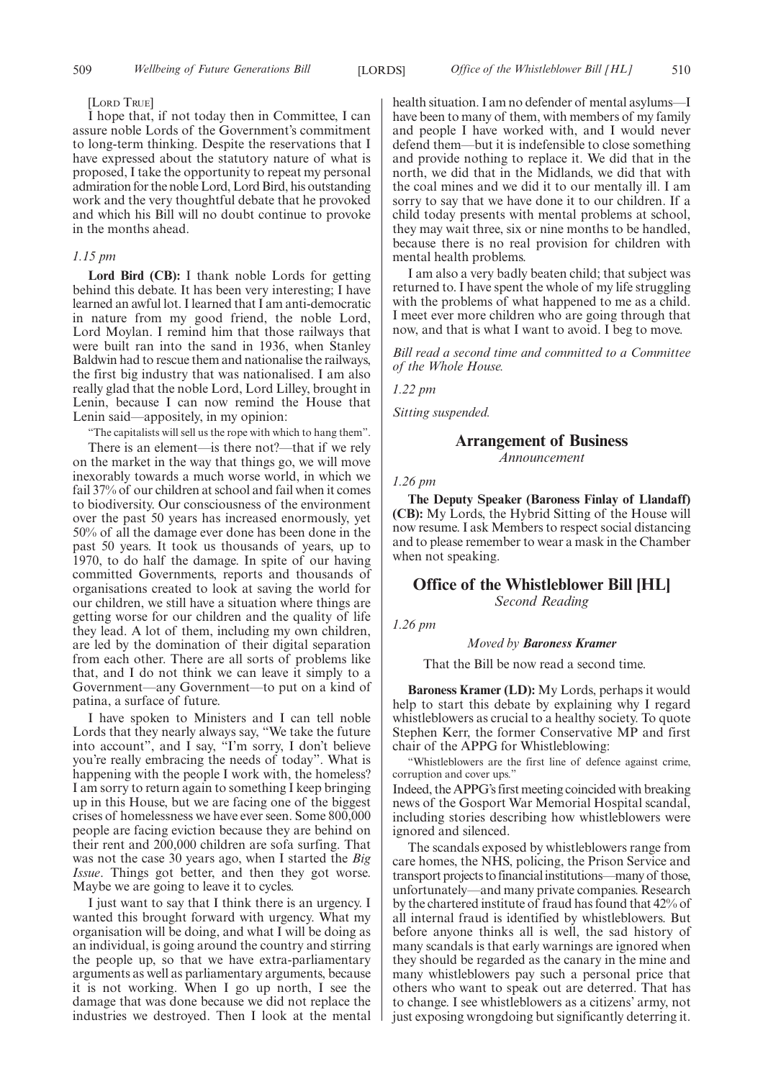#### [LORD TRUE]

I hope that, if not today then in Committee, I can assure noble Lords of the Government's commitment to long-term thinking. Despite the reservations that I have expressed about the statutory nature of what is proposed, I take the opportunity to repeat my personal admiration for the noble Lord, Lord Bird, his outstanding work and the very thoughtful debate that he provoked and which his Bill will no doubt continue to provoke in the months ahead.

#### *1.15 pm*

**Lord Bird (CB):** I thank noble Lords for getting behind this debate. It has been very interesting; I have learned an awful lot. I learned that I am anti-democratic in nature from my good friend, the noble Lord, Lord Moylan. I remind him that those railways that were built ran into the sand in 1936, when Stanley Baldwin had to rescue them and nationalise the railways, the first big industry that was nationalised. I am also really glad that the noble Lord, Lord Lilley, brought in Lenin, because I can now remind the House that Lenin said—appositely, in my opinion:

"The capitalists will sell us the rope with which to hang them".

There is an element—is there not?—that if we rely on the market in the way that things go, we will move inexorably towards a much worse world, in which we fail 37% of our children at school and fail when it comes to biodiversity. Our consciousness of the environment over the past 50 years has increased enormously, yet 50% of all the damage ever done has been done in the past 50 years. It took us thousands of years, up to 1970, to do half the damage. In spite of our having committed Governments, reports and thousands of organisations created to look at saving the world for our children, we still have a situation where things are getting worse for our children and the quality of life they lead. A lot of them, including my own children, are led by the domination of their digital separation from each other. There are all sorts of problems like that, and I do not think we can leave it simply to a Government—any Government—to put on a kind of patina, a surface of future.

I have spoken to Ministers and I can tell noble Lords that they nearly always say, "We take the future into account", and I say, "I'm sorry, I don't believe you're really embracing the needs of today". What is happening with the people I work with, the homeless? I am sorry to return again to something I keep bringing up in this House, but we are facing one of the biggest crises of homelessness we have ever seen. Some 800,000 people are facing eviction because they are behind on their rent and 200,000 children are sofa surfing. That was not the case 30 years ago, when I started the *Big Issue*. Things got better, and then they got worse. Maybe we are going to leave it to cycles.

I just want to say that I think there is an urgency. I wanted this brought forward with urgency. What my organisation will be doing, and what I will be doing as an individual, is going around the country and stirring the people up, so that we have extra-parliamentary arguments as well as parliamentary arguments, because it is not working. When I go up north, I see the damage that was done because we did not replace the industries we destroyed. Then I look at the mental health situation. I am no defender of mental asylums—I have been to many of them, with members of my family and people I have worked with, and I would never defend them—but it is indefensible to close something and provide nothing to replace it. We did that in the north, we did that in the Midlands, we did that with the coal mines and we did it to our mentally ill. I am sorry to say that we have done it to our children. If a child today presents with mental problems at school, they may wait three, six or nine months to be handled, because there is no real provision for children with mental health problems.

I am also a very badly beaten child; that subject was returned to. I have spent the whole of my life struggling with the problems of what happened to me as a child. I meet ever more children who are going through that now, and that is what I want to avoid. I beg to move.

*Bill read a second time and committed to a Committee of the Whole House.*

*1.22 pm*

*Sitting suspended.*

# **Arrangement of Business**

*Announcement*

*1.26 pm*

**The Deputy Speaker (Baroness Finlay of Llandaff) (CB):** My Lords, the Hybrid Sitting of the House will now resume. I ask Members to respect social distancing and to please remember to wear a mask in the Chamber when not speaking.

# **Office of the Whistleblower Bill [HL]**

*Second Reading*

*1.26 pm*

# *Moved by Baroness Kramer*

That the Bill be now read a second time.

**Baroness Kramer (LD):** My Lords, perhaps it would help to start this debate by explaining why I regard whistleblowers as crucial to a healthy society. To quote Stephen Kerr, the former Conservative MP and first chair of the APPG for Whistleblowing:

"Whistleblowers are the first line of defence against crime, corruption and cover ups."

Indeed, the APPG's first meeting coincided with breaking news of the Gosport War Memorial Hospital scandal, including stories describing how whistleblowers were ignored and silenced.

The scandals exposed by whistleblowers range from care homes, the NHS, policing, the Prison Service and transport projects to financial institutions—many of those, unfortunately—and many private companies. Research by the chartered institute of fraud has found that 42% of all internal fraud is identified by whistleblowers. But before anyone thinks all is well, the sad history of many scandals is that early warnings are ignored when they should be regarded as the canary in the mine and many whistleblowers pay such a personal price that others who want to speak out are deterred. That has to change. I see whistleblowers as a citizens' army, not just exposing wrongdoing but significantly deterring it.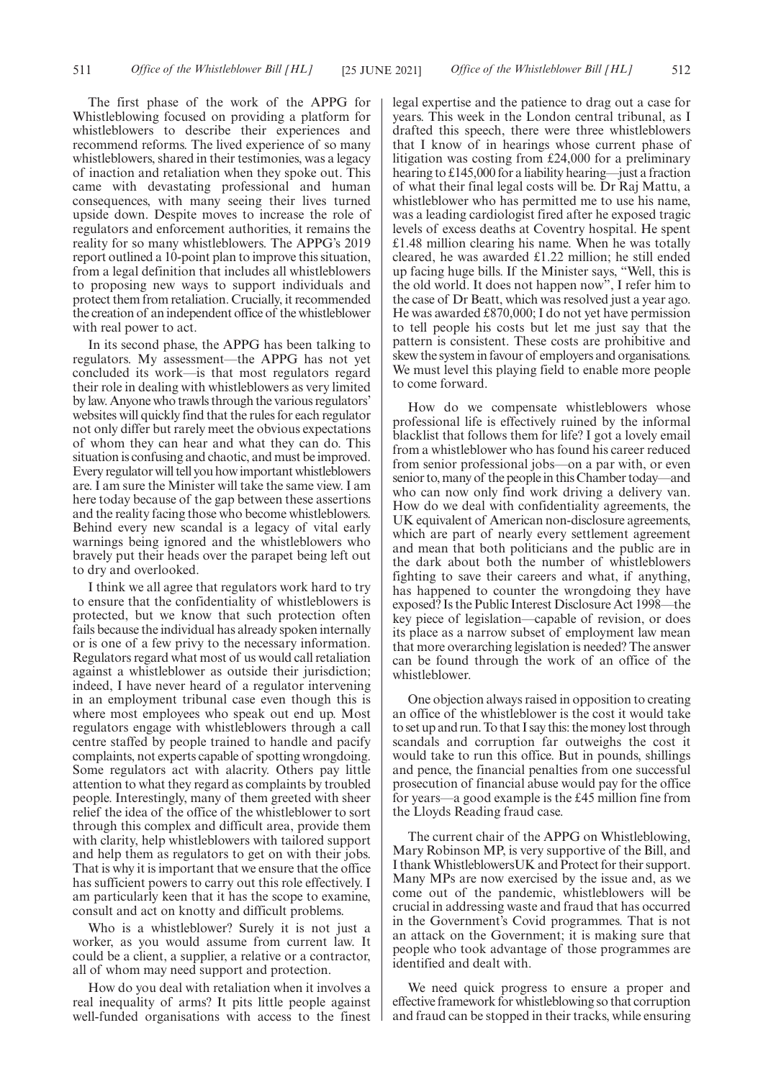The first phase of the work of the APPG for Whistleblowing focused on providing a platform for whistleblowers to describe their experiences and recommend reforms. The lived experience of so many whistleblowers, shared in their testimonies, was a legacy of inaction and retaliation when they spoke out. This came with devastating professional and human consequences, with many seeing their lives turned upside down. Despite moves to increase the role of regulators and enforcement authorities, it remains the reality for so many whistleblowers. The APPG's 2019 report outlined a 10-point plan to improve this situation, from a legal definition that includes all whistleblowers to proposing new ways to support individuals and protect them from retaliation. Crucially, it recommended the creation of an independent office of the whistleblower with real power to act.

In its second phase, the APPG has been talking to regulators. My assessment—the APPG has not yet concluded its work—is that most regulators regard their role in dealing with whistleblowers as very limited by law. Anyone who trawls through the various regulators' websites will quickly find that the rules for each regulator not only differ but rarely meet the obvious expectations of whom they can hear and what they can do. This situation is confusing and chaotic, and must be improved. Every regulator will tell you how important whistleblowers are. I am sure the Minister will take the same view. I am here today because of the gap between these assertions and the reality facing those who become whistleblowers. Behind every new scandal is a legacy of vital early warnings being ignored and the whistleblowers who bravely put their heads over the parapet being left out to dry and overlooked.

I think we all agree that regulators work hard to try to ensure that the confidentiality of whistleblowers is protected, but we know that such protection often fails because the individual has already spoken internally or is one of a few privy to the necessary information. Regulators regard what most of us would call retaliation against a whistleblower as outside their jurisdiction; indeed, I have never heard of a regulator intervening in an employment tribunal case even though this is where most employees who speak out end up. Most regulators engage with whistleblowers through a call centre staffed by people trained to handle and pacify complaints, not experts capable of spotting wrongdoing. Some regulators act with alacrity. Others pay little attention to what they regard as complaints by troubled people. Interestingly, many of them greeted with sheer relief the idea of the office of the whistleblower to sort through this complex and difficult area, provide them with clarity, help whistleblowers with tailored support and help them as regulators to get on with their jobs. That is why it is important that we ensure that the office has sufficient powers to carry out this role effectively. I am particularly keen that it has the scope to examine, consult and act on knotty and difficult problems.

Who is a whistleblower? Surely it is not just a worker, as you would assume from current law. It could be a client, a supplier, a relative or a contractor, all of whom may need support and protection.

How do you deal with retaliation when it involves a real inequality of arms? It pits little people against well-funded organisations with access to the finest legal expertise and the patience to drag out a case for years. This week in the London central tribunal, as I drafted this speech, there were three whistleblowers that I know of in hearings whose current phase of litigation was costing from £24,000 for a preliminary hearing to £145,000 for a liability hearing—just a fraction of what their final legal costs will be. Dr Raj Mattu, a whistleblower who has permitted me to use his name, was a leading cardiologist fired after he exposed tragic levels of excess deaths at Coventry hospital. He spent £1.48 million clearing his name. When he was totally cleared, he was awarded £1.22 million; he still ended up facing huge bills. If the Minister says, "Well, this is the old world. It does not happen now", I refer him to the case of Dr Beatt, which was resolved just a year ago. He was awarded £870,000; I do not yet have permission to tell people his costs but let me just say that the pattern is consistent. These costs are prohibitive and skew the system in favour of employers and organisations. We must level this playing field to enable more people to come forward.

How do we compensate whistleblowers whose professional life is effectively ruined by the informal blacklist that follows them for life? I got a lovely email from a whistleblower who has found his career reduced from senior professional jobs—on a par with, or even senior to, many of the people in this Chamber today—and who can now only find work driving a delivery van. How do we deal with confidentiality agreements, the UK equivalent of American non-disclosure agreements, which are part of nearly every settlement agreement and mean that both politicians and the public are in the dark about both the number of whistleblowers fighting to save their careers and what, if anything, has happened to counter the wrongdoing they have exposed? Is the Public Interest Disclosure Act 1998—the key piece of legislation—capable of revision, or does its place as a narrow subset of employment law mean that more overarching legislation is needed? The answer can be found through the work of an office of the whistleblower.

One objection always raised in opposition to creating an office of the whistleblower is the cost it would take to set up and run. To that I say this: the money lost through scandals and corruption far outweighs the cost it would take to run this office. But in pounds, shillings and pence, the financial penalties from one successful prosecution of financial abuse would pay for the office for years—a good example is the £45 million fine from the Lloyds Reading fraud case.

The current chair of the APPG on Whistleblowing, Mary Robinson MP, is very supportive of the Bill, and I thank WhistleblowersUK and Protect for their support. Many MPs are now exercised by the issue and, as we come out of the pandemic, whistleblowers will be crucial in addressing waste and fraud that has occurred in the Government's Covid programmes. That is not an attack on the Government; it is making sure that people who took advantage of those programmes are identified and dealt with.

We need quick progress to ensure a proper and effective framework for whistleblowing so that corruption and fraud can be stopped in their tracks, while ensuring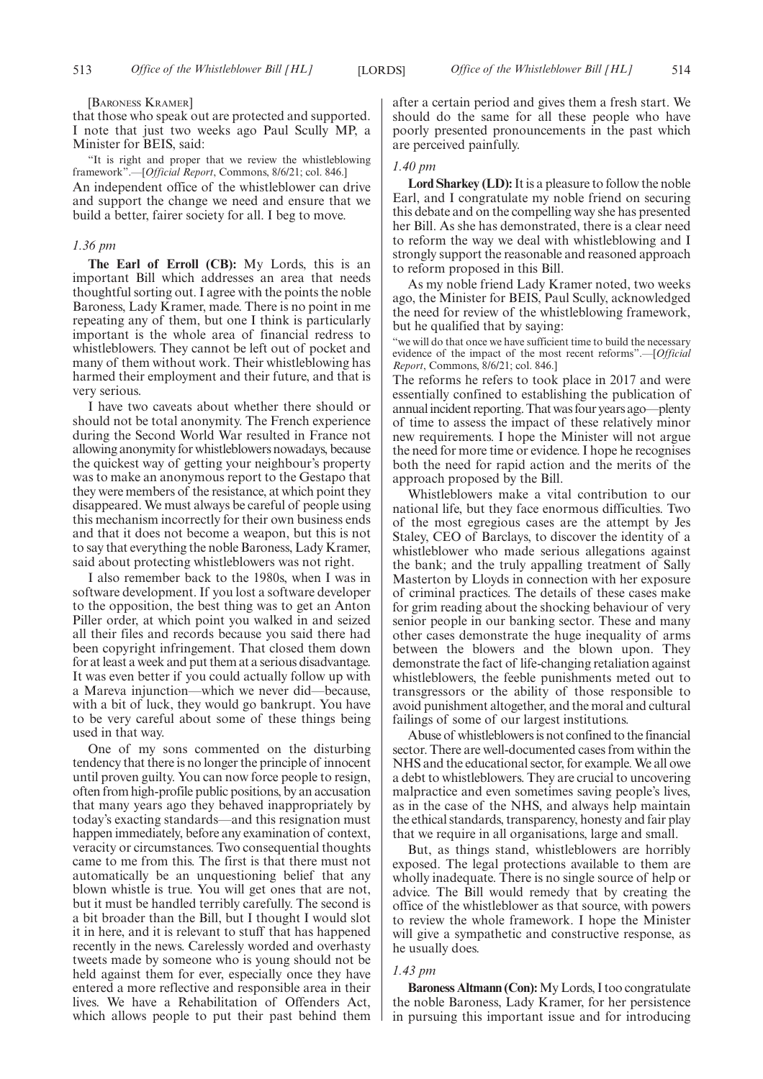[BARONESS KRAMER]

that those who speak out are protected and supported. I note that just two weeks ago Paul Scully MP, a Minister for BEIS, said:

"It is right and proper that we review the whistleblowing framework".—[*Official Report*, Commons, 8/6/21; col. 846.] An independent office of the whistleblower can drive and support the change we need and ensure that we build a better, fairer society for all. I beg to move.

# *1.36 pm*

**The Earl of Erroll (CB):** My Lords, this is an important Bill which addresses an area that needs thoughtful sorting out. I agree with the points the noble Baroness, Lady Kramer, made. There is no point in me repeating any of them, but one I think is particularly important is the whole area of financial redress to whistleblowers. They cannot be left out of pocket and many of them without work. Their whistleblowing has harmed their employment and their future, and that is very serious.

I have two caveats about whether there should or should not be total anonymity. The French experience during the Second World War resulted in France not allowing anonymity for whistleblowers nowadays, because the quickest way of getting your neighbour's property was to make an anonymous report to the Gestapo that they were members of the resistance, at which point they disappeared. We must always be careful of people using this mechanism incorrectly for their own business ends and that it does not become a weapon, but this is not to say that everything the noble Baroness, Lady Kramer, said about protecting whistleblowers was not right.

I also remember back to the 1980s, when I was in software development. If you lost a software developer to the opposition, the best thing was to get an Anton Piller order, at which point you walked in and seized all their files and records because you said there had been copyright infringement. That closed them down for at least a week and put them at a serious disadvantage. It was even better if you could actually follow up with a Mareva injunction—which we never did—because, with a bit of luck, they would go bankrupt. You have to be very careful about some of these things being used in that way.

One of my sons commented on the disturbing tendency that there is no longer the principle of innocent until proven guilty. You can now force people to resign, often from high-profile public positions, by an accusation that many years ago they behaved inappropriately by today's exacting standards—and this resignation must happen immediately, before any examination of context, veracity or circumstances. Two consequential thoughts came to me from this. The first is that there must not automatically be an unquestioning belief that any blown whistle is true. You will get ones that are not, but it must be handled terribly carefully. The second is a bit broader than the Bill, but I thought I would slot it in here, and it is relevant to stuff that has happened recently in the news. Carelessly worded and overhasty tweets made by someone who is young should not be held against them for ever, especially once they have entered a more reflective and responsible area in their lives. We have a Rehabilitation of Offenders Act, which allows people to put their past behind them after a certain period and gives them a fresh start. We should do the same for all these people who have poorly presented pronouncements in the past which are perceived painfully.

#### *1.40 pm*

**Lord Sharkey (LD):**It is a pleasure to follow the noble Earl, and I congratulate my noble friend on securing this debate and on the compelling way she has presented her Bill. As she has demonstrated, there is a clear need to reform the way we deal with whistleblowing and I strongly support the reasonable and reasoned approach to reform proposed in this Bill.

As my noble friend Lady Kramer noted, two weeks ago, the Minister for BEIS, Paul Scully, acknowledged the need for review of the whistleblowing framework, but he qualified that by saying:

"we will do that once we have sufficient time to build the necessary evidence of the impact of the most recent reforms".—[*Official Report*, Commons, 8/6/21; col. 846.]

The reforms he refers to took place in 2017 and were essentially confined to establishing the publication of annual incident reporting. That was four years ago—plenty of time to assess the impact of these relatively minor new requirements. I hope the Minister will not argue the need for more time or evidence. I hope he recognises both the need for rapid action and the merits of the approach proposed by the Bill.

Whistleblowers make a vital contribution to our national life, but they face enormous difficulties. Two of the most egregious cases are the attempt by Jes Staley, CEO of Barclays, to discover the identity of a whistleblower who made serious allegations against the bank; and the truly appalling treatment of Sally Masterton by Lloyds in connection with her exposure of criminal practices. The details of these cases make for grim reading about the shocking behaviour of very senior people in our banking sector. These and many other cases demonstrate the huge inequality of arms between the blowers and the blown upon. They demonstrate the fact of life-changing retaliation against whistleblowers, the feeble punishments meted out to transgressors or the ability of those responsible to avoid punishment altogether, and the moral and cultural failings of some of our largest institutions.

Abuse of whistleblowers is not confined to the financial sector. There are well-documented cases from within the NHS and the educational sector, for example. We all owe a debt to whistleblowers. They are crucial to uncovering malpractice and even sometimes saving people's lives, as in the case of the NHS, and always help maintain the ethical standards, transparency, honesty and fair play that we require in all organisations, large and small.

But, as things stand, whistleblowers are horribly exposed. The legal protections available to them are wholly inadequate. There is no single source of help or advice. The Bill would remedy that by creating the office of the whistleblower as that source, with powers to review the whole framework. I hope the Minister will give a sympathetic and constructive response, as he usually does.

#### *1.43 pm*

**Baroness Altmann (Con):**My Lords, I too congratulate the noble Baroness, Lady Kramer, for her persistence in pursuing this important issue and for introducing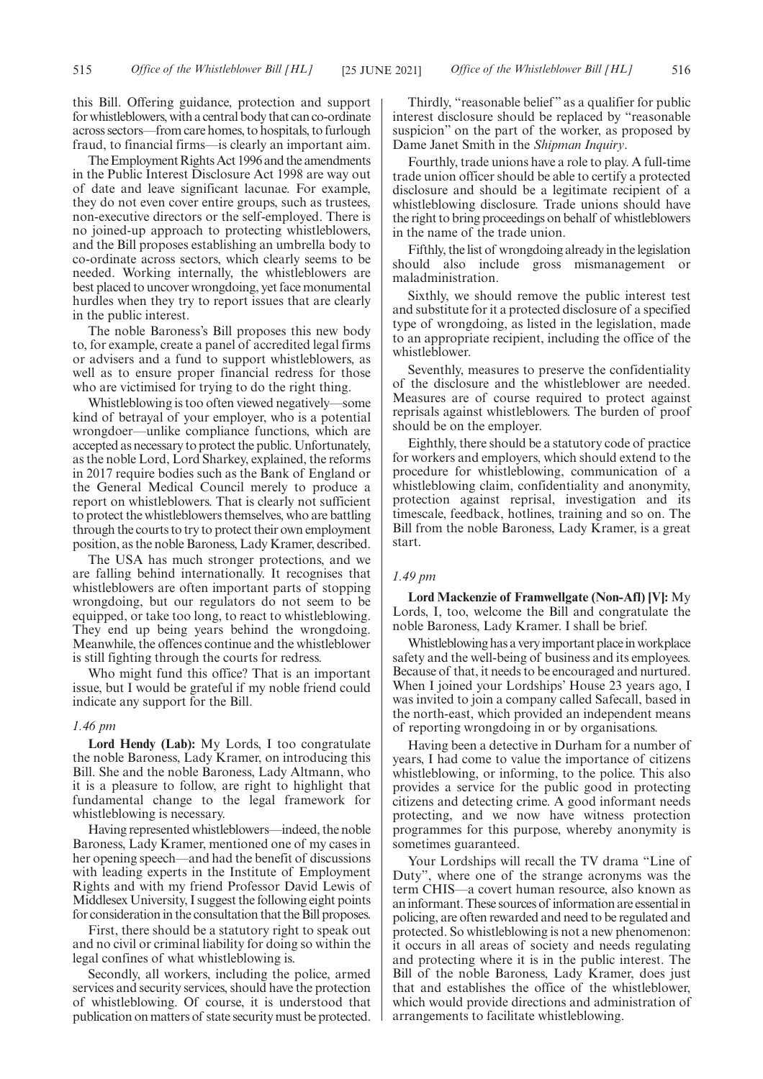this Bill. Offering guidance, protection and support for whistleblowers, with a central body that can co-ordinate across sectors—from care homes, to hospitals, to furlough fraud, to financial firms—is clearly an important aim.

The Employment Rights Act 1996 and the amendments in the Public Interest Disclosure Act 1998 are way out of date and leave significant lacunae. For example, they do not even cover entire groups, such as trustees, non-executive directors or the self-employed. There is no joined-up approach to protecting whistleblowers, and the Bill proposes establishing an umbrella body to co-ordinate across sectors, which clearly seems to be needed. Working internally, the whistleblowers are best placed to uncover wrongdoing, yet face monumental hurdles when they try to report issues that are clearly in the public interest.

The noble Baroness's Bill proposes this new body to, for example, create a panel of accredited legal firms or advisers and a fund to support whistleblowers, as well as to ensure proper financial redress for those who are victimised for trying to do the right thing.

Whistleblowing is too often viewed negatively—some kind of betrayal of your employer, who is a potential wrongdoer—unlike compliance functions, which are accepted as necessary to protect the public. Unfortunately, as the noble Lord, Lord Sharkey, explained, the reforms in 2017 require bodies such as the Bank of England or the General Medical Council merely to produce a report on whistleblowers. That is clearly not sufficient to protect the whistleblowers themselves, who are battling through the courts to try to protect their own employment position, as the noble Baroness, Lady Kramer, described.

The USA has much stronger protections, and we are falling behind internationally. It recognises that whistleblowers are often important parts of stopping wrongdoing, but our regulators do not seem to be equipped, or take too long, to react to whistleblowing. They end up being years behind the wrongdoing. Meanwhile, the offences continue and the whistleblower is still fighting through the courts for redress.

Who might fund this office? That is an important issue, but I would be grateful if my noble friend could indicate any support for the Bill.

#### *1.46 pm*

**Lord Hendy (Lab):** My Lords, I too congratulate the noble Baroness, Lady Kramer, on introducing this Bill. She and the noble Baroness, Lady Altmann, who it is a pleasure to follow, are right to highlight that fundamental change to the legal framework for whistleblowing is necessary.

Having represented whistleblowers—indeed, the noble Baroness, Lady Kramer, mentioned one of my cases in her opening speech—and had the benefit of discussions with leading experts in the Institute of Employment Rights and with my friend Professor David Lewis of Middlesex University, I suggest the following eight points for consideration in the consultation that the Bill proposes.

First, there should be a statutory right to speak out and no civil or criminal liability for doing so within the legal confines of what whistleblowing is.

Secondly, all workers, including the police, armed services and security services, should have the protection of whistleblowing. Of course, it is understood that publication on matters of state security must be protected.

Thirdly, "reasonable belief" as a qualifier for public interest disclosure should be replaced by "reasonable suspicion" on the part of the worker, as proposed by Dame Janet Smith in the *Shipman Inquiry*.

Fourthly, trade unions have a role to play. A full-time trade union officer should be able to certify a protected disclosure and should be a legitimate recipient of a whistleblowing disclosure. Trade unions should have the right to bring proceedings on behalf of whistleblowers in the name of the trade union.

Fifthly, the list of wrongdoing already in the legislation should also include gross mismanagement or maladministration.

Sixthly, we should remove the public interest test and substitute for it a protected disclosure of a specified type of wrongdoing, as listed in the legislation, made to an appropriate recipient, including the office of the whistleblower.

Seventhly, measures to preserve the confidentiality of the disclosure and the whistleblower are needed. Measures are of course required to protect against reprisals against whistleblowers. The burden of proof should be on the employer.

Eighthly, there should be a statutory code of practice for workers and employers, which should extend to the procedure for whistleblowing, communication of a whistleblowing claim, confidentiality and anonymity, protection against reprisal, investigation and its timescale, feedback, hotlines, training and so on. The Bill from the noble Baroness, Lady Kramer, is a great start.

# *1.49 pm*

**Lord Mackenzie of Framwellgate (Non-Afl) [V]:** My Lords, I, too, welcome the Bill and congratulate the noble Baroness, Lady Kramer. I shall be brief.

Whistleblowing has a very important place in workplace safety and the well-being of business and its employees. Because of that, it needs to be encouraged and nurtured. When I joined your Lordships' House 23 years ago, I was invited to join a company called Safecall, based in the north-east, which provided an independent means of reporting wrongdoing in or by organisations.

Having been a detective in Durham for a number of years, I had come to value the importance of citizens whistleblowing, or informing, to the police. This also provides a service for the public good in protecting citizens and detecting crime. A good informant needs protecting, and we now have witness protection programmes for this purpose, whereby anonymity is sometimes guaranteed.

Your Lordships will recall the TV drama "Line of Duty", where one of the strange acronyms was the term CHIS—a covert human resource, also known as an informant. These sources of information are essential in policing, are often rewarded and need to be regulated and protected. So whistleblowing is not a new phenomenon: it occurs in all areas of society and needs regulating and protecting where it is in the public interest. The Bill of the noble Baroness, Lady Kramer, does just that and establishes the office of the whistleblower, which would provide directions and administration of arrangements to facilitate whistleblowing.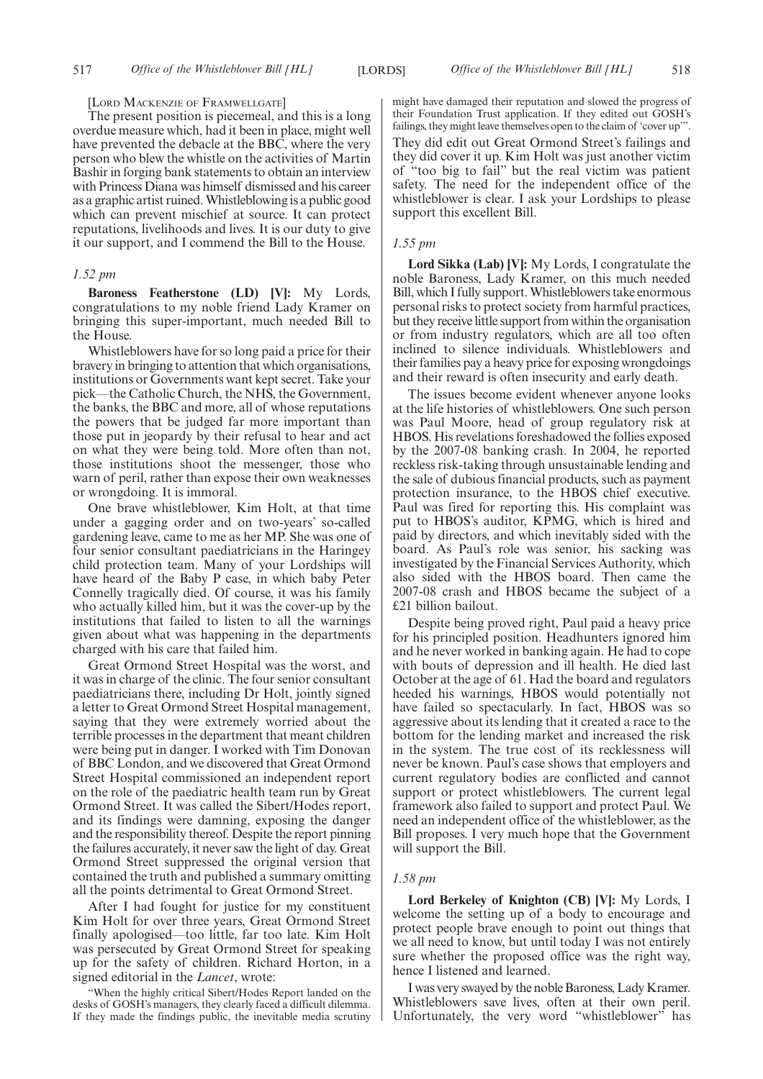#### [LORD MACKENZIE OF FRAMWELLGATE]

The present position is piecemeal, and this is a long overdue measure which, had it been in place, might well have prevented the debacle at the BBC, where the very person who blew the whistle on the activities of Martin Bashir in forging bank statements to obtain an interview with Princess Diana was himself dismissed and his career as a graphic artist ruined. Whistleblowing is a public good which can prevent mischief at source. It can protect reputations, livelihoods and lives. It is our duty to give it our support, and I commend the Bill to the House.

# *1.52 pm*

**Baroness Featherstone (LD) [V]:** My Lords, congratulations to my noble friend Lady Kramer on bringing this super-important, much needed Bill to the House.

Whistleblowers have for so long paid a price for their bravery in bringing to attention that which organisations, institutions or Governments want kept secret. Take your pick—the Catholic Church, the NHS, the Government, the banks, the BBC and more, all of whose reputations the powers that be judged far more important than those put in jeopardy by their refusal to hear and act on what they were being told. More often than not, those institutions shoot the messenger, those who warn of peril, rather than expose their own weaknesses or wrongdoing. It is immoral.

One brave whistleblower, Kim Holt, at that time under a gagging order and on two-years' so-called gardening leave, came to me as her MP. She was one of four senior consultant paediatricians in the Haringey child protection team. Many of your Lordships will have heard of the Baby P case, in which baby Peter Connelly tragically died. Of course, it was his family who actually killed him, but it was the cover-up by the institutions that failed to listen to all the warnings given about what was happening in the departments charged with his care that failed him.

Great Ormond Street Hospital was the worst, and it was in charge of the clinic. The four senior consultant paediatricians there, including Dr Holt, jointly signed a letter to Great Ormond Street Hospital management, saying that they were extremely worried about the terrible processes in the department that meant children were being put in danger. I worked with Tim Donovan of BBC London, and we discovered that Great Ormond Street Hospital commissioned an independent report on the role of the paediatric health team run by Great Ormond Street. It was called the Sibert/Hodes report, and its findings were damning, exposing the danger and the responsibility thereof. Despite the report pinning the failures accurately, it never saw the light of day. Great Ormond Street suppressed the original version that contained the truth and published a summary omitting all the points detrimental to Great Ormond Street.

After I had fought for justice for my constituent Kim Holt for over three years, Great Ormond Street finally apologised—too little, far too late. Kim Holt was persecuted by Great Ormond Street for speaking up for the safety of children. Richard Horton, in a signed editorial in the *Lancet*, wrote:

"When the highly critical Sibert/Hodes Report landed on the desks of GOSH's managers, they clearly faced a difficult dilemma. If they made the findings public, the inevitable media scrutiny might have damaged their reputation and slowed the progress of their Foundation Trust application. If they edited out GOSH's failings, they might leave themselves open to the claim of 'cover up'". They did edit out Great Ormond Street's failings and they did cover it up. Kim Holt was just another victim of "too big to fail" but the real victim was patient safety. The need for the independent office of the whistleblower is clear. I ask your Lordships to please support this excellent Bill.

#### *1.55 pm*

**Lord Sikka (Lab) [V]:** My Lords, I congratulate the noble Baroness, Lady Kramer, on this much needed Bill, which I fully support. Whistleblowers take enormous personal risks to protect society from harmful practices, but they receive little support from within the organisation or from industry regulators, which are all too often inclined to silence individuals. Whistleblowers and their families pay a heavy price for exposing wrongdoings and their reward is often insecurity and early death.

The issues become evident whenever anyone looks at the life histories of whistleblowers. One such person was Paul Moore, head of group regulatory risk at HBOS. His revelations foreshadowed the follies exposed by the 2007-08 banking crash. In 2004, he reported reckless risk-taking through unsustainable lending and the sale of dubious financial products, such as payment protection insurance, to the HBOS chief executive. Paul was fired for reporting this. His complaint was put to HBOS's auditor, KPMG, which is hired and paid by directors, and which inevitably sided with the board. As Paul's role was senior, his sacking was investigated by the Financial Services Authority, which also sided with the HBOS board. Then came the 2007-08 crash and HBOS became the subject of a £21 billion bailout.

Despite being proved right, Paul paid a heavy price for his principled position. Headhunters ignored him and he never worked in banking again. He had to cope with bouts of depression and ill health. He died last October at the age of 61. Had the board and regulators heeded his warnings, HBOS would potentially not have failed so spectacularly. In fact, HBOS was so aggressive about its lending that it created a race to the bottom for the lending market and increased the risk in the system. The true cost of its recklessness will never be known. Paul's case shows that employers and current regulatory bodies are conflicted and cannot support or protect whistleblowers. The current legal framework also failed to support and protect Paul. We need an independent office of the whistleblower, as the Bill proposes. I very much hope that the Government will support the Bill.

#### *1.58 pm*

**Lord Berkeley of Knighton (CB) [V]:** My Lords, I welcome the setting up of a body to encourage and protect people brave enough to point out things that we all need to know, but until today I was not entirely sure whether the proposed office was the right way, hence I listened and learned.

I was very swayed by the noble Baroness, Lady Kramer. Whistleblowers save lives, often at their own peril. Unfortunately, the very word "whistleblower" has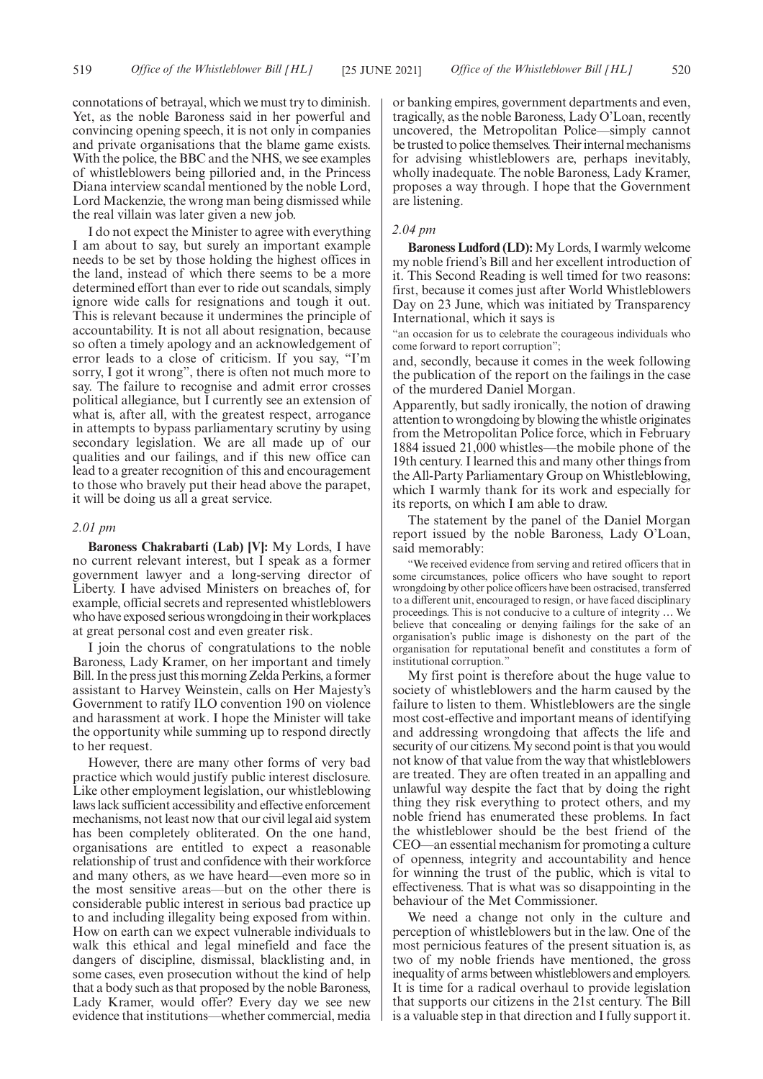connotations of betrayal, which we must try to diminish. Yet, as the noble Baroness said in her powerful and convincing opening speech, it is not only in companies and private organisations that the blame game exists. With the police, the BBC and the NHS, we see examples of whistleblowers being pilloried and, in the Princess Diana interview scandal mentioned by the noble Lord, Lord Mackenzie, the wrong man being dismissed while the real villain was later given a new job.

I do not expect the Minister to agree with everything I am about to say, but surely an important example needs to be set by those holding the highest offices in the land, instead of which there seems to be a more determined effort than ever to ride out scandals, simply ignore wide calls for resignations and tough it out. This is relevant because it undermines the principle of accountability. It is not all about resignation, because so often a timely apology and an acknowledgement of error leads to a close of criticism. If you say, "I'm sorry, I got it wrong", there is often not much more to say. The failure to recognise and admit error crosses political allegiance, but I currently see an extension of what is, after all, with the greatest respect, arrogance in attempts to bypass parliamentary scrutiny by using secondary legislation. We are all made up of our qualities and our failings, and if this new office can lead to a greater recognition of this and encouragement to those who bravely put their head above the parapet, it will be doing us all a great service.

#### *2.01 pm*

**Baroness Chakrabarti (Lab) [V]:** My Lords, I have no current relevant interest, but I speak as a former government lawyer and a long-serving director of Liberty. I have advised Ministers on breaches of, for example, official secrets and represented whistleblowers who have exposed serious wrongdoing in their workplaces at great personal cost and even greater risk.

I join the chorus of congratulations to the noble Baroness, Lady Kramer, on her important and timely Bill. In the press just this morning Zelda Perkins, a former assistant to Harvey Weinstein, calls on Her Majesty's Government to ratify ILO convention 190 on violence and harassment at work. I hope the Minister will take the opportunity while summing up to respond directly to her request.

However, there are many other forms of very bad practice which would justify public interest disclosure. Like other employment legislation, our whistleblowing laws lack sufficient accessibility and effective enforcement mechanisms, not least now that our civil legal aid system has been completely obliterated. On the one hand, organisations are entitled to expect a reasonable relationship of trust and confidence with their workforce and many others, as we have heard—even more so in the most sensitive areas—but on the other there is considerable public interest in serious bad practice up to and including illegality being exposed from within. How on earth can we expect vulnerable individuals to walk this ethical and legal minefield and face the dangers of discipline, dismissal, blacklisting and, in some cases, even prosecution without the kind of help that a body such as that proposed by the noble Baroness, Lady Kramer, would offer? Every day we see new evidence that institutions—whether commercial, media or banking empires, government departments and even, tragically, as the noble Baroness, Lady O'Loan, recently uncovered, the Metropolitan Police—simply cannot be trusted to police themselves. Their internal mechanisms for advising whistleblowers are, perhaps inevitably, wholly inadequate. The noble Baroness, Lady Kramer, proposes a way through. I hope that the Government are listening.

# *2.04 pm*

**Baroness Ludford (LD):** My Lords, I warmly welcome my noble friend's Bill and her excellent introduction of it. This Second Reading is well timed for two reasons: first, because it comes just after World Whistleblowers Day on 23 June, which was initiated by Transparency International, which it says is

"an occasion for us to celebrate the courageous individuals who come forward to report corruption";

and, secondly, because it comes in the week following the publication of the report on the failings in the case of the murdered Daniel Morgan.

Apparently, but sadly ironically, the notion of drawing attention to wrongdoing by blowing the whistle originates from the Metropolitan Police force, which in February 1884 issued 21,000 whistles—the mobile phone of the 19th century. I learned this and many other things from the All-Party Parliamentary Group on Whistleblowing, which I warmly thank for its work and especially for its reports, on which I am able to draw.

The statement by the panel of the Daniel Morgan report issued by the noble Baroness, Lady O'Loan, said memorably:

"We received evidence from serving and retired officers that in some circumstances, police officers who have sought to report wrongdoing by other police officers have been ostracised, transferred to a different unit, encouraged to resign, or have faced disciplinary proceedings. This is not conducive to a culture of integrity … We believe that concealing or denying failings for the sake of an organisation's public image is dishonesty on the part of the organisation for reputational benefit and constitutes a form of institutional corruption."

My first point is therefore about the huge value to society of whistleblowers and the harm caused by the failure to listen to them. Whistleblowers are the single most cost-effective and important means of identifying and addressing wrongdoing that affects the life and security of our citizens. My second point is that you would not know of that value from the way that whistleblowers are treated. They are often treated in an appalling and unlawful way despite the fact that by doing the right thing they risk everything to protect others, and my noble friend has enumerated these problems. In fact the whistleblower should be the best friend of the CEO—an essential mechanism for promoting a culture of openness, integrity and accountability and hence for winning the trust of the public, which is vital to effectiveness. That is what was so disappointing in the behaviour of the Met Commissioner.

We need a change not only in the culture and perception of whistleblowers but in the law. One of the most pernicious features of the present situation is, as two of my noble friends have mentioned, the gross inequality of arms between whistleblowers and employers. It is time for a radical overhaul to provide legislation that supports our citizens in the 21st century. The Bill is a valuable step in that direction and I fully support it.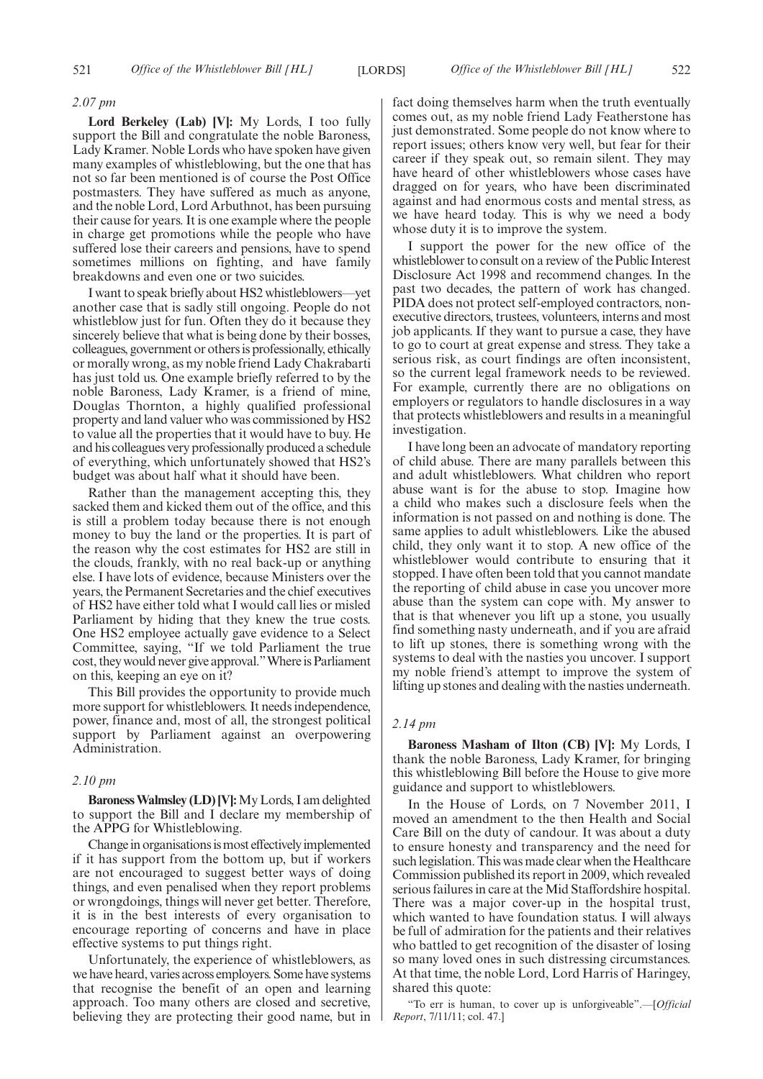#### *2.07 pm*

**Lord Berkeley (Lab) [V]:** My Lords, I too fully support the Bill and congratulate the noble Baroness, Lady Kramer. Noble Lords who have spoken have given many examples of whistleblowing, but the one that has not so far been mentioned is of course the Post Office postmasters. They have suffered as much as anyone, and the noble Lord, Lord Arbuthnot, has been pursuing their cause for years. It is one example where the people in charge get promotions while the people who have suffered lose their careers and pensions, have to spend sometimes millions on fighting, and have family breakdowns and even one or two suicides.

I want to speak briefly about HS2 whistleblowers—yet another case that is sadly still ongoing. People do not whistleblow just for fun. Often they do it because they sincerely believe that what is being done by their bosses, colleagues, government or others is professionally, ethically or morally wrong, as my noble friend Lady Chakrabarti has just told us. One example briefly referred to by the noble Baroness, Lady Kramer, is a friend of mine, Douglas Thornton, a highly qualified professional property and land valuer who was commissioned by HS2 to value all the properties that it would have to buy. He and his colleagues very professionally produced a schedule of everything, which unfortunately showed that HS2's budget was about half what it should have been.

Rather than the management accepting this, they sacked them and kicked them out of the office, and this is still a problem today because there is not enough money to buy the land or the properties. It is part of the reason why the cost estimates for HS2 are still in the clouds, frankly, with no real back-up or anything else. I have lots of evidence, because Ministers over the years, the Permanent Secretaries and the chief executives of HS2 have either told what I would call lies or misled Parliament by hiding that they knew the true costs. One HS2 employee actually gave evidence to a Select Committee, saying, "If we told Parliament the true cost, they would never give approval."Where is Parliament on this, keeping an eye on it?

This Bill provides the opportunity to provide much more support for whistleblowers. It needs independence, power, finance and, most of all, the strongest political support by Parliament against an overpowering Administration.

# *2.10 pm*

**Baroness Walmsley (LD) [V]:**My Lords, I am delighted to support the Bill and I declare my membership of the APPG for Whistleblowing.

Change in organisations is most effectively implemented if it has support from the bottom up, but if workers are not encouraged to suggest better ways of doing things, and even penalised when they report problems or wrongdoings, things will never get better. Therefore, it is in the best interests of every organisation to encourage reporting of concerns and have in place effective systems to put things right.

Unfortunately, the experience of whistleblowers, as we have heard, varies across employers. Some have systems that recognise the benefit of an open and learning approach. Too many others are closed and secretive, believing they are protecting their good name, but in fact doing themselves harm when the truth eventually comes out, as my noble friend Lady Featherstone has just demonstrated. Some people do not know where to report issues; others know very well, but fear for their career if they speak out, so remain silent. They may have heard of other whistleblowers whose cases have dragged on for years, who have been discriminated against and had enormous costs and mental stress, as we have heard today. This is why we need a body whose duty it is to improve the system.

I support the power for the new office of the whistleblower to consult on a review of the Public Interest Disclosure Act 1998 and recommend changes. In the past two decades, the pattern of work has changed. PIDA does not protect self-employed contractors, nonexecutive directors, trustees, volunteers, interns and most job applicants. If they want to pursue a case, they have to go to court at great expense and stress. They take a serious risk, as court findings are often inconsistent, so the current legal framework needs to be reviewed. For example, currently there are no obligations on employers or regulators to handle disclosures in a way that protects whistleblowers and results in a meaningful investigation.

I have long been an advocate of mandatory reporting of child abuse. There are many parallels between this and adult whistleblowers. What children who report abuse want is for the abuse to stop. Imagine how a child who makes such a disclosure feels when the information is not passed on and nothing is done. The same applies to adult whistleblowers. Like the abused child, they only want it to stop. A new office of the whistleblower would contribute to ensuring that it stopped. I have often been told that you cannot mandate the reporting of child abuse in case you uncover more abuse than the system can cope with. My answer to that is that whenever you lift up a stone, you usually find something nasty underneath, and if you are afraid to lift up stones, there is something wrong with the systems to deal with the nasties you uncover. I support my noble friend's attempt to improve the system of lifting up stones and dealing with the nasties underneath.

#### *2.14 pm*

**Baroness Masham of Ilton (CB) [V]:** My Lords, I thank the noble Baroness, Lady Kramer, for bringing this whistleblowing Bill before the House to give more guidance and support to whistleblowers.

In the House of Lords, on 7 November 2011, I moved an amendment to the then Health and Social Care Bill on the duty of candour. It was about a duty to ensure honesty and transparency and the need for such legislation. This was made clear when the Healthcare Commission published its report in 2009, which revealed serious failures in care at the Mid Staffordshire hospital. There was a major cover-up in the hospital trust, which wanted to have foundation status. I will always be full of admiration for the patients and their relatives who battled to get recognition of the disaster of losing so many loved ones in such distressing circumstances. At that time, the noble Lord, Lord Harris of Haringey, shared this quote:

"To err is human, to cover up is unforgiveable".—[*Official Report*, 7/11/11; col. 47.]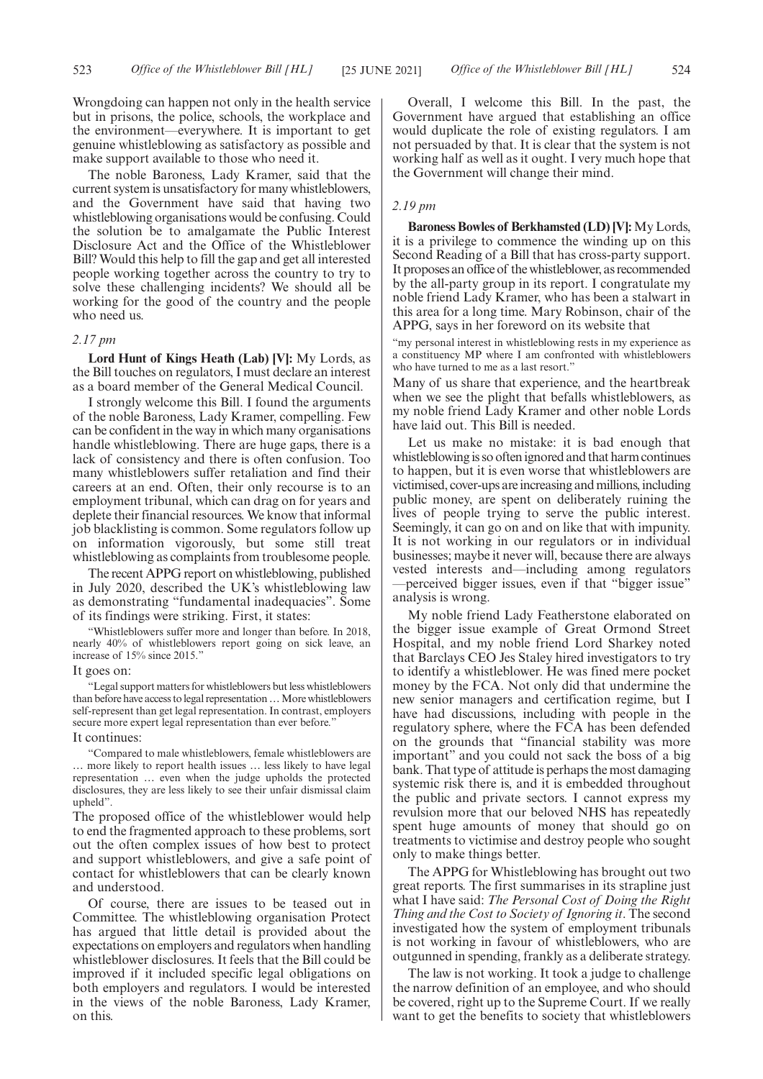Wrongdoing can happen not only in the health service but in prisons, the police, schools, the workplace and the environment—everywhere. It is important to get genuine whistleblowing as satisfactory as possible and make support available to those who need it.

The noble Baroness, Lady Kramer, said that the current system is unsatisfactory for many whistleblowers, and the Government have said that having two whistleblowing organisations would be confusing. Could the solution be to amalgamate the Public Interest Disclosure Act and the Office of the Whistleblower Bill? Would this help to fill the gap and get all interested people working together across the country to try to solve these challenging incidents? We should all be working for the good of the country and the people who need us.

#### *2.17 pm*

**Lord Hunt of Kings Heath (Lab) [V]:** My Lords, as the Bill touches on regulators, I must declare an interest as a board member of the General Medical Council.

I strongly welcome this Bill. I found the arguments of the noble Baroness, Lady Kramer, compelling. Few can be confident in the way in which many organisations handle whistleblowing. There are huge gaps, there is a lack of consistency and there is often confusion. Too many whistleblowers suffer retaliation and find their careers at an end. Often, their only recourse is to an employment tribunal, which can drag on for years and deplete their financial resources. We know that informal job blacklisting is common. Some regulators follow up on information vigorously, but some still treat whistleblowing as complaints from troublesome people.

The recent APPG report on whistleblowing, published in July 2020, described the UK's whistleblowing law as demonstrating "fundamental inadequacies". Some of its findings were striking. First, it states:

"Whistleblowers suffer more and longer than before. In 2018, nearly 40% of whistleblowers report going on sick leave, an increase of 15% since 2015."

# It goes on:

"Legal support matters for whistleblowers but less whistleblowers than before have access to legal representation ... More whistleblowers self-represent than get legal representation. In contrast, employers secure more expert legal representation than ever before."

#### It continues:

"Compared to male whistleblowers, female whistleblowers are … more likely to report health issues … less likely to have legal representation … even when the judge upholds the protected disclosures, they are less likely to see their unfair dismissal claim upheld".

The proposed office of the whistleblower would help to end the fragmented approach to these problems, sort out the often complex issues of how best to protect and support whistleblowers, and give a safe point of contact for whistleblowers that can be clearly known and understood.

Of course, there are issues to be teased out in Committee. The whistleblowing organisation Protect has argued that little detail is provided about the expectations on employers and regulators when handling whistleblower disclosures. It feels that the Bill could be improved if it included specific legal obligations on both employers and regulators. I would be interested in the views of the noble Baroness, Lady Kramer, on this.

Overall, I welcome this Bill. In the past, the Government have argued that establishing an office would duplicate the role of existing regulators. I am not persuaded by that. It is clear that the system is not working half as well as it ought. I very much hope that the Government will change their mind.

# *2.19 pm*

**Baroness Bowles of Berkhamsted (LD) [V]:** My Lords, it is a privilege to commence the winding up on this Second Reading of a Bill that has cross-party support. It proposes an office of the whistleblower, as recommended by the all-party group in its report. I congratulate my noble friend Lady Kramer, who has been a stalwart in this area for a long time. Mary Robinson, chair of the APPG, says in her foreword on its website that

"my personal interest in whistleblowing rests in my experience as a constituency MP where I am confronted with whistleblowers who have turned to me as a last resort."

Many of us share that experience, and the heartbreak when we see the plight that befalls whistleblowers, as my noble friend Lady Kramer and other noble Lords have laid out. This Bill is needed.

Let us make no mistake: it is bad enough that whistleblowing is so often ignored and that harm continues to happen, but it is even worse that whistleblowers are victimised, cover-ups are increasing and millions, including public money, are spent on deliberately ruining the lives of people trying to serve the public interest. Seemingly, it can go on and on like that with impunity. It is not working in our regulators or in individual businesses; maybe it never will, because there are always vested interests and—including among regulators —perceived bigger issues, even if that "bigger issue" analysis is wrong.

My noble friend Lady Featherstone elaborated on the bigger issue example of Great Ormond Street Hospital, and my noble friend Lord Sharkey noted that Barclays CEO Jes Staley hired investigators to try to identify a whistleblower. He was fined mere pocket money by the FCA. Not only did that undermine the new senior managers and certification regime, but I have had discussions, including with people in the regulatory sphere, where the FCA has been defended on the grounds that "financial stability was more important" and you could not sack the boss of a big bank. That type of attitude is perhaps the most damaging systemic risk there is, and it is embedded throughout the public and private sectors. I cannot express my revulsion more that our beloved NHS has repeatedly spent huge amounts of money that should go on treatments to victimise and destroy people who sought only to make things better.

The APPG for Whistleblowing has brought out two great reports. The first summarises in its strapline just what I have said: *The Personal Cost of Doing the Right Thing and the Cost to Society of Ignoring it*. The second investigated how the system of employment tribunals is not working in favour of whistleblowers, who are outgunned in spending, frankly as a deliberate strategy.

The law is not working. It took a judge to challenge the narrow definition of an employee, and who should be covered, right up to the Supreme Court. If we really want to get the benefits to society that whistleblowers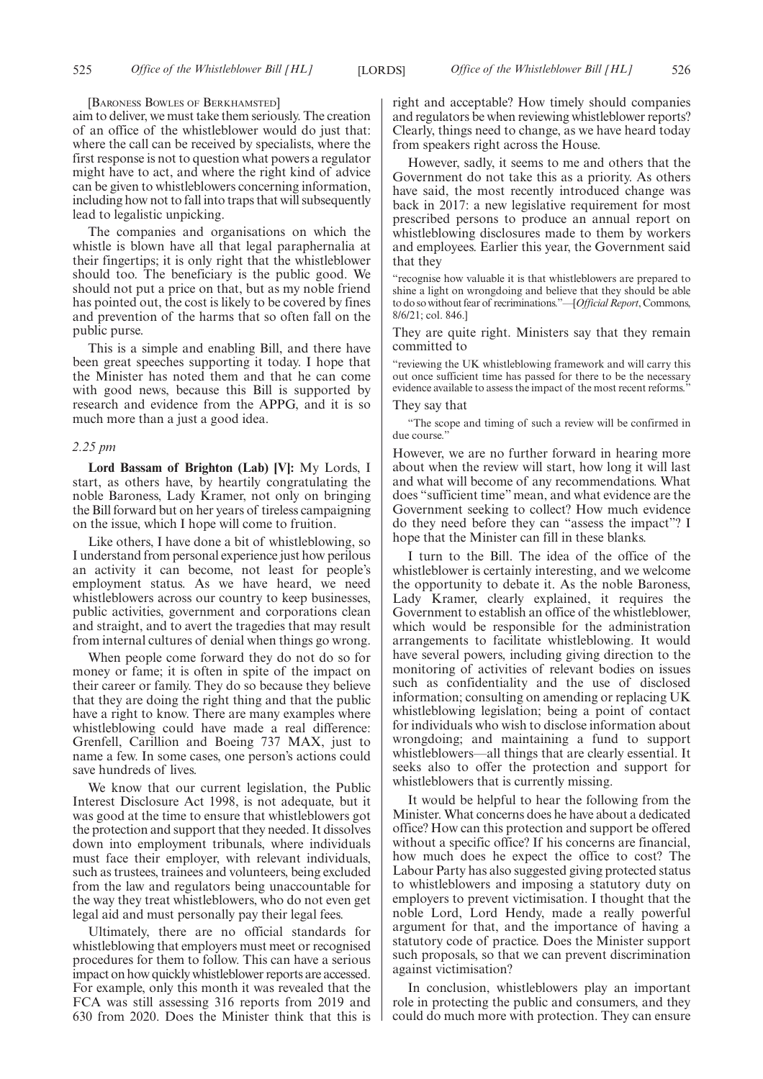[BARONESS BOWLES OF BERKHAMSTED]

aim to deliver, we must take them seriously. The creation of an office of the whistleblower would do just that: where the call can be received by specialists, where the first response is not to question what powers a regulator might have to act, and where the right kind of advice can be given to whistleblowers concerning information, including how not to fall into traps that will subsequently lead to legalistic unpicking.

The companies and organisations on which the whistle is blown have all that legal paraphernalia at their fingertips; it is only right that the whistleblower should too. The beneficiary is the public good. We should not put a price on that, but as my noble friend has pointed out, the cost is likely to be covered by fines and prevention of the harms that so often fall on the public purse.

This is a simple and enabling Bill, and there have been great speeches supporting it today. I hope that the Minister has noted them and that he can come with good news, because this Bill is supported by research and evidence from the APPG, and it is so much more than a just a good idea.

#### *2.25 pm*

**Lord Bassam of Brighton (Lab) [V]:** My Lords, I start, as others have, by heartily congratulating the noble Baroness, Lady Kramer, not only on bringing the Bill forward but on her years of tireless campaigning on the issue, which I hope will come to fruition.

Like others, I have done a bit of whistleblowing, so I understand from personal experience just how perilous an activity it can become, not least for people's employment status. As we have heard, we need whistleblowers across our country to keep businesses, public activities, government and corporations clean and straight, and to avert the tragedies that may result from internal cultures of denial when things go wrong.

When people come forward they do not do so for money or fame; it is often in spite of the impact on their career or family. They do so because they believe that they are doing the right thing and that the public have a right to know. There are many examples where whistleblowing could have made a real difference: Grenfell, Carillion and Boeing 737 MAX, just to name a few. In some cases, one person's actions could save hundreds of lives.

We know that our current legislation, the Public Interest Disclosure Act 1998, is not adequate, but it was good at the time to ensure that whistleblowers got the protection and support that they needed. It dissolves down into employment tribunals, where individuals must face their employer, with relevant individuals, such as trustees, trainees and volunteers, being excluded from the law and regulators being unaccountable for the way they treat whistleblowers, who do not even get legal aid and must personally pay their legal fees.

Ultimately, there are no official standards for whistleblowing that employers must meet or recognised procedures for them to follow. This can have a serious impact on how quickly whistleblower reports are accessed. For example, only this month it was revealed that the FCA was still assessing 316 reports from 2019 and 630 from 2020. Does the Minister think that this is

right and acceptable? How timely should companies and regulators be when reviewing whistleblower reports? Clearly, things need to change, as we have heard today from speakers right across the House.

However, sadly, it seems to me and others that the Government do not take this as a priority. As others have said, the most recently introduced change was back in 2017: a new legislative requirement for most prescribed persons to produce an annual report on whistleblowing disclosures made to them by workers and employees. Earlier this year, the Government said that they

"recognise how valuable it is that whistleblowers are prepared to shine a light on wrongdoing and believe that they should be able to do so without fear of recriminations."—[*Official Report*, Commons, 8/6/21; col. 846.]

They are quite right. Ministers say that they remain committed to

"reviewing the UK whistleblowing framework and will carry this out once sufficient time has passed for there to be the necessary evidence available to assess the impact of the most recent reforms."

They say that

"The scope and timing of such a review will be confirmed in due course.'

However, we are no further forward in hearing more about when the review will start, how long it will last and what will become of any recommendations. What does "sufficient time" mean, and what evidence are the Government seeking to collect? How much evidence do they need before they can "assess the impact"? I hope that the Minister can fill in these blanks.

I turn to the Bill. The idea of the office of the whistleblower is certainly interesting, and we welcome the opportunity to debate it. As the noble Baroness, Lady Kramer, clearly explained, it requires the Government to establish an office of the whistleblower, which would be responsible for the administration arrangements to facilitate whistleblowing. It would have several powers, including giving direction to the monitoring of activities of relevant bodies on issues such as confidentiality and the use of disclosed information; consulting on amending or replacing UK whistleblowing legislation; being a point of contact for individuals who wish to disclose information about wrongdoing; and maintaining a fund to support whistleblowers—all things that are clearly essential. It seeks also to offer the protection and support for whistleblowers that is currently missing.

It would be helpful to hear the following from the Minister. What concerns does he have about a dedicated office? How can this protection and support be offered without a specific office? If his concerns are financial, how much does he expect the office to cost? The Labour Party has also suggested giving protected status to whistleblowers and imposing a statutory duty on employers to prevent victimisation. I thought that the noble Lord, Lord Hendy, made a really powerful argument for that, and the importance of having a statutory code of practice. Does the Minister support such proposals, so that we can prevent discrimination against victimisation?

In conclusion, whistleblowers play an important role in protecting the public and consumers, and they could do much more with protection. They can ensure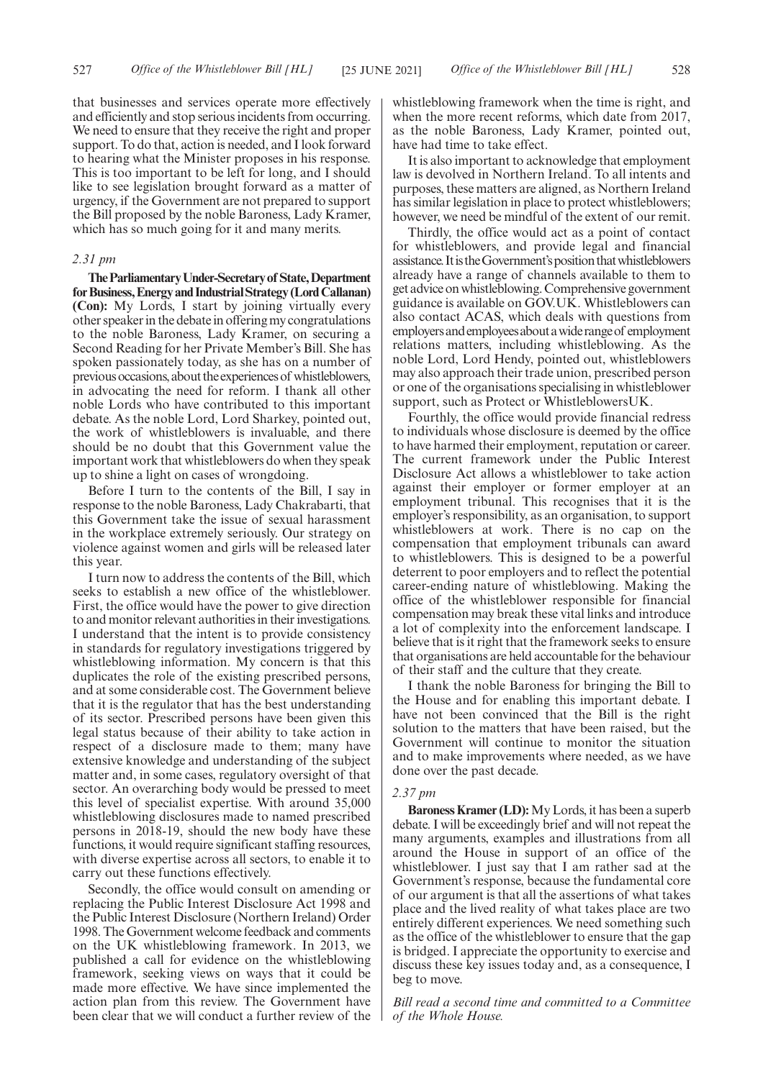that businesses and services operate more effectively and efficiently and stop serious incidents from occurring. We need to ensure that they receive the right and proper support. To do that, action is needed, and I look forward to hearing what the Minister proposes in his response. This is too important to be left for long, and I should like to see legislation brought forward as a matter of urgency, if the Government are not prepared to support the Bill proposed by the noble Baroness, Lady Kramer, which has so much going for it and many merits.

#### *2.31 pm*

**TheParliamentaryUnder-Secretaryof State,Department** for Business, Energy and Industrial Strategy (Lord Callanan) **(Con):** My Lords, I start by joining virtually every other speaker in the debate in offering my congratulations to the noble Baroness, Lady Kramer, on securing a Second Reading for her Private Member's Bill. She has spoken passionately today, as she has on a number of previous occasions, about the experiences of whistleblowers, in advocating the need for reform. I thank all other noble Lords who have contributed to this important debate. As the noble Lord, Lord Sharkey, pointed out, the work of whistleblowers is invaluable, and there should be no doubt that this Government value the important work that whistleblowers do when they speak up to shine a light on cases of wrongdoing.

Before I turn to the contents of the Bill, I say in response to the noble Baroness, Lady Chakrabarti, that this Government take the issue of sexual harassment in the workplace extremely seriously. Our strategy on violence against women and girls will be released later this year.

I turn now to address the contents of the Bill, which seeks to establish a new office of the whistleblower. First, the office would have the power to give direction to and monitor relevant authorities in their investigations. I understand that the intent is to provide consistency in standards for regulatory investigations triggered by whistleblowing information. My concern is that this duplicates the role of the existing prescribed persons, and at some considerable cost. The Government believe that it is the regulator that has the best understanding of its sector. Prescribed persons have been given this legal status because of their ability to take action in respect of a disclosure made to them; many have extensive knowledge and understanding of the subject matter and, in some cases, regulatory oversight of that sector. An overarching body would be pressed to meet this level of specialist expertise. With around 35,000 whistleblowing disclosures made to named prescribed persons in 2018-19, should the new body have these functions, it would require significant staffing resources, with diverse expertise across all sectors, to enable it to carry out these functions effectively.

Secondly, the office would consult on amending or replacing the Public Interest Disclosure Act 1998 and the Public Interest Disclosure (Northern Ireland) Order 1998. The Government welcome feedback and comments on the UK whistleblowing framework. In 2013, we published a call for evidence on the whistleblowing framework, seeking views on ways that it could be made more effective. We have since implemented the action plan from this review. The Government have been clear that we will conduct a further review of the whistleblowing framework when the time is right, and when the more recent reforms, which date from 2017, as the noble Baroness, Lady Kramer, pointed out, have had time to take effect.

It is also important to acknowledge that employment law is devolved in Northern Ireland. To all intents and purposes, these matters are aligned, as Northern Ireland has similar legislation in place to protect whistleblowers; however, we need be mindful of the extent of our remit.

Thirdly, the office would act as a point of contact for whistleblowers, and provide legal and financial assistance.ItistheGovernment'spositionthatwhistleblowers already have a range of channels available to them to get advice on whistleblowing. Comprehensive government guidance is available on GOV.UK. Whistleblowers can also contact ACAS, which deals with questions from employersandemployeesaboutawiderangeof employment relations matters, including whistleblowing. As the noble Lord, Lord Hendy, pointed out, whistleblowers may also approach their trade union, prescribed person or one of the organisations specialising in whistleblower support, such as Protect or WhistleblowersUK.

Fourthly, the office would provide financial redress to individuals whose disclosure is deemed by the office to have harmed their employment, reputation or career. The current framework under the Public Interest Disclosure Act allows a whistleblower to take action against their employer or former employer at an employment tribunal. This recognises that it is the employer's responsibility, as an organisation, to support whistleblowers at work. There is no cap on the compensation that employment tribunals can award to whistleblowers. This is designed to be a powerful deterrent to poor employers and to reflect the potential career-ending nature of whistleblowing. Making the office of the whistleblower responsible for financial compensation may break these vital links and introduce a lot of complexity into the enforcement landscape. I believe that is it right that the framework seeks to ensure that organisations are held accountable for the behaviour of their staff and the culture that they create.

I thank the noble Baroness for bringing the Bill to the House and for enabling this important debate. I have not been convinced that the Bill is the right solution to the matters that have been raised, but the Government will continue to monitor the situation and to make improvements where needed, as we have done over the past decade.

#### *2.37 pm*

**Baroness Kramer (LD):**My Lords, it has been a superb debate. I will be exceedingly brief and will not repeat the many arguments, examples and illustrations from all around the House in support of an office of the whistleblower. I just say that I am rather sad at the Government's response, because the fundamental core of our argument is that all the assertions of what takes place and the lived reality of what takes place are two entirely different experiences. We need something such as the office of the whistleblower to ensure that the gap is bridged. I appreciate the opportunity to exercise and discuss these key issues today and, as a consequence, I beg to move.

*Bill read a second time and committed to a Committee of the Whole House.*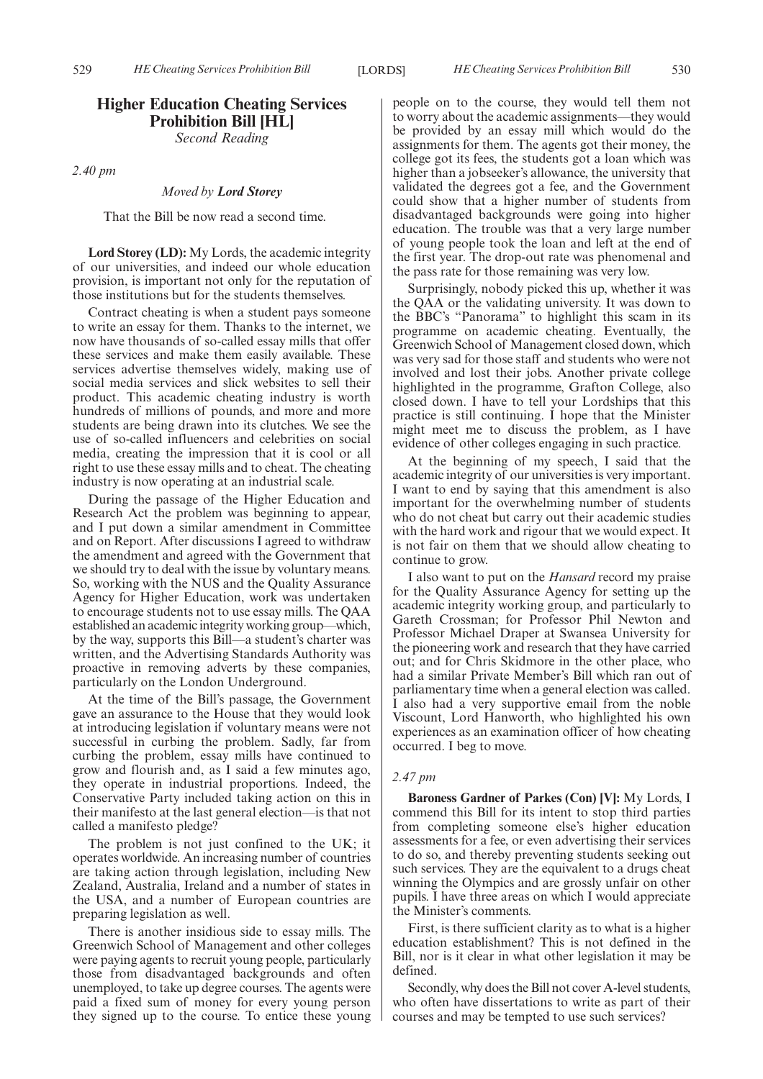# **Higher Education Cheating Services Prohibition Bill [HL]**

*Second Reading*

*2.40 pm*

# *Moved by Lord Storey*

That the Bill be now read a second time.

**Lord Storey (LD):** My Lords, the academic integrity of our universities, and indeed our whole education provision, is important not only for the reputation of those institutions but for the students themselves.

Contract cheating is when a student pays someone to write an essay for them. Thanks to the internet, we now have thousands of so-called essay mills that offer these services and make them easily available. These services advertise themselves widely, making use of social media services and slick websites to sell their product. This academic cheating industry is worth hundreds of millions of pounds, and more and more students are being drawn into its clutches. We see the use of so-called influencers and celebrities on social media, creating the impression that it is cool or all right to use these essay mills and to cheat. The cheating industry is now operating at an industrial scale.

During the passage of the Higher Education and Research Act the problem was beginning to appear, and I put down a similar amendment in Committee and on Report. After discussions I agreed to withdraw the amendment and agreed with the Government that we should try to deal with the issue by voluntary means. So, working with the NUS and the Quality Assurance Agency for Higher Education, work was undertaken to encourage students not to use essay mills. The QAA established an academic integrity working group—which, by the way, supports this Bill—a student's charter was written, and the Advertising Standards Authority was proactive in removing adverts by these companies, particularly on the London Underground.

At the time of the Bill's passage, the Government gave an assurance to the House that they would look at introducing legislation if voluntary means were not successful in curbing the problem. Sadly, far from curbing the problem, essay mills have continued to grow and flourish and, as I said a few minutes ago, they operate in industrial proportions. Indeed, the Conservative Party included taking action on this in their manifesto at the last general election—is that not called a manifesto pledge?

The problem is not just confined to the UK; it operates worldwide. An increasing number of countries are taking action through legislation, including New Zealand, Australia, Ireland and a number of states in the USA, and a number of European countries are preparing legislation as well.

There is another insidious side to essay mills. The Greenwich School of Management and other colleges were paying agents to recruit young people, particularly those from disadvantaged backgrounds and often unemployed, to take up degree courses. The agents were paid a fixed sum of money for every young person they signed up to the course. To entice these young people on to the course, they would tell them not to worry about the academic assignments—they would be provided by an essay mill which would do the assignments for them. The agents got their money, the college got its fees, the students got a loan which was higher than a jobseeker's allowance, the university that validated the degrees got a fee, and the Government could show that a higher number of students from disadvantaged backgrounds were going into higher education. The trouble was that a very large number of young people took the loan and left at the end of the first year. The drop-out rate was phenomenal and the pass rate for those remaining was very low.

Surprisingly, nobody picked this up, whether it was the QAA or the validating university. It was down to the BBC's "Panorama" to highlight this scam in its programme on academic cheating. Eventually, the Greenwich School of Management closed down, which was very sad for those staff and students who were not involved and lost their jobs. Another private college highlighted in the programme, Grafton College, also closed down. I have to tell your Lordships that this practice is still continuing. I hope that the Minister might meet me to discuss the problem, as I have evidence of other colleges engaging in such practice.

At the beginning of my speech, I said that the academic integrity of our universities is very important. I want to end by saying that this amendment is also important for the overwhelming number of students who do not cheat but carry out their academic studies with the hard work and rigour that we would expect. It is not fair on them that we should allow cheating to continue to grow.

I also want to put on the *Hansard* record my praise for the Quality Assurance Agency for setting up the academic integrity working group, and particularly to Gareth Crossman; for Professor Phil Newton and Professor Michael Draper at Swansea University for the pioneering work and research that they have carried out; and for Chris Skidmore in the other place, who had a similar Private Member's Bill which ran out of parliamentary time when a general election was called. I also had a very supportive email from the noble Viscount, Lord Hanworth, who highlighted his own experiences as an examination officer of how cheating occurred. I beg to move.

# *2.47 pm*

**Baroness Gardner of Parkes (Con) [V]:** My Lords, I commend this Bill for its intent to stop third parties from completing someone else's higher education assessments for a fee, or even advertising their services to do so, and thereby preventing students seeking out such services. They are the equivalent to a drugs cheat winning the Olympics and are grossly unfair on other pupils. I have three areas on which I would appreciate the Minister's comments.

First, is there sufficient clarity as to what is a higher education establishment? This is not defined in the Bill, nor is it clear in what other legislation it may be defined.

Secondly, why does the Bill not cover A-level students, who often have dissertations to write as part of their courses and may be tempted to use such services?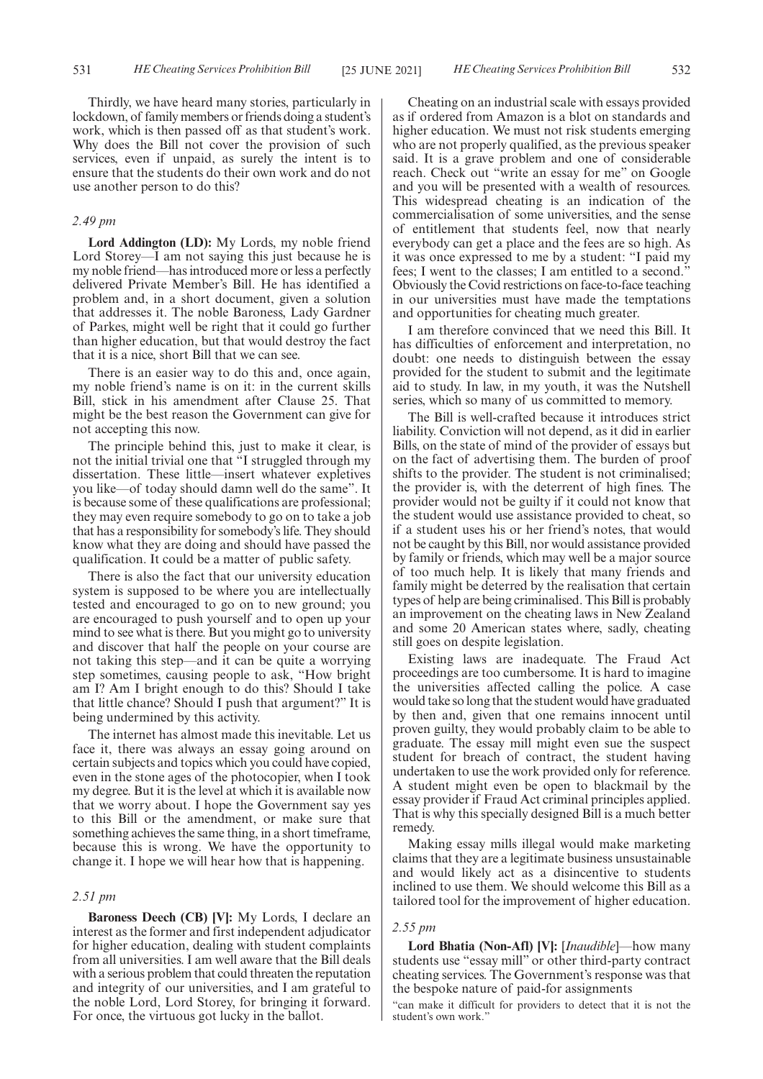Thirdly, we have heard many stories, particularly in lockdown, of family members or friends doing a student's work, which is then passed off as that student's work. Why does the Bill not cover the provision of such services, even if unpaid, as surely the intent is to ensure that the students do their own work and do not use another person to do this?

# *2.49 pm*

**Lord Addington (LD):** My Lords, my noble friend Lord Storey—I am not saying this just because he is my noble friend—has introduced more or less a perfectly delivered Private Member's Bill. He has identified a problem and, in a short document, given a solution that addresses it. The noble Baroness, Lady Gardner of Parkes, might well be right that it could go further than higher education, but that would destroy the fact that it is a nice, short Bill that we can see.

There is an easier way to do this and, once again, my noble friend's name is on it: in the current skills Bill, stick in his amendment after Clause 25. That might be the best reason the Government can give for not accepting this now.

The principle behind this, just to make it clear, is not the initial trivial one that "I struggled through my dissertation. These little—insert whatever expletives you like—of today should damn well do the same". It is because some of these qualifications are professional; they may even require somebody to go on to take a job that has a responsibility for somebody's life. They should know what they are doing and should have passed the qualification. It could be a matter of public safety.

There is also the fact that our university education system is supposed to be where you are intellectually tested and encouraged to go on to new ground; you are encouraged to push yourself and to open up your mind to see what is there. But you might go to university and discover that half the people on your course are not taking this step—and it can be quite a worrying step sometimes, causing people to ask, "How bright am I? Am I bright enough to do this? Should I take that little chance? Should I push that argument?" It is being undermined by this activity.

The internet has almost made this inevitable. Let us face it, there was always an essay going around on certain subjects and topics which you could have copied, even in the stone ages of the photocopier, when I took my degree. But it is the level at which it is available now that we worry about. I hope the Government say yes to this Bill or the amendment, or make sure that something achieves the same thing, in a short timeframe, because this is wrong. We have the opportunity to change it. I hope we will hear how that is happening.

# *2.51 pm*

**Baroness Deech (CB) [V]:** My Lords, I declare an interest as the former and first independent adjudicator for higher education, dealing with student complaints from all universities. I am well aware that the Bill deals with a serious problem that could threaten the reputation and integrity of our universities, and I am grateful to the noble Lord, Lord Storey, for bringing it forward. For once, the virtuous got lucky in the ballot.

Cheating on an industrial scale with essays provided as if ordered from Amazon is a blot on standards and higher education. We must not risk students emerging who are not properly qualified, as the previous speaker said. It is a grave problem and one of considerable reach. Check out "write an essay for me" on Google and you will be presented with a wealth of resources. This widespread cheating is an indication of the commercialisation of some universities, and the sense of entitlement that students feel, now that nearly everybody can get a place and the fees are so high. As it was once expressed to me by a student: "I paid my fees; I went to the classes; I am entitled to a second." Obviously the Covid restrictions on face-to-face teaching in our universities must have made the temptations and opportunities for cheating much greater.

I am therefore convinced that we need this Bill. It has difficulties of enforcement and interpretation, no doubt: one needs to distinguish between the essay provided for the student to submit and the legitimate aid to study. In law, in my youth, it was the Nutshell series, which so many of us committed to memory.

The Bill is well-crafted because it introduces strict liability. Conviction will not depend, as it did in earlier Bills, on the state of mind of the provider of essays but on the fact of advertising them. The burden of proof shifts to the provider. The student is not criminalised; the provider is, with the deterrent of high fines. The provider would not be guilty if it could not know that the student would use assistance provided to cheat, so if a student uses his or her friend's notes, that would not be caught by this Bill, nor would assistance provided by family or friends, which may well be a major source of too much help. It is likely that many friends and family might be deterred by the realisation that certain types of help are being criminalised. This Bill is probably an improvement on the cheating laws in New Zealand and some 20 American states where, sadly, cheating still goes on despite legislation.

Existing laws are inadequate. The Fraud Act proceedings are too cumbersome. It is hard to imagine the universities affected calling the police. A case would take so long that the student would have graduated by then and, given that one remains innocent until proven guilty, they would probably claim to be able to graduate. The essay mill might even sue the suspect student for breach of contract, the student having undertaken to use the work provided only for reference. A student might even be open to blackmail by the essay provider if Fraud Act criminal principles applied. That is why this specially designed Bill is a much better remedy.

Making essay mills illegal would make marketing claims that they are a legitimate business unsustainable and would likely act as a disincentive to students inclined to use them. We should welcome this Bill as a tailored tool for the improvement of higher education.

#### *2.55 pm*

**Lord Bhatia (Non-Afl) [V]:** [*Inaudible*]—how many students use "essay mill" or other third-party contract cheating services. The Government's response was that the bespoke nature of paid-for assignments

"can make it difficult for providers to detect that it is not the student's own work."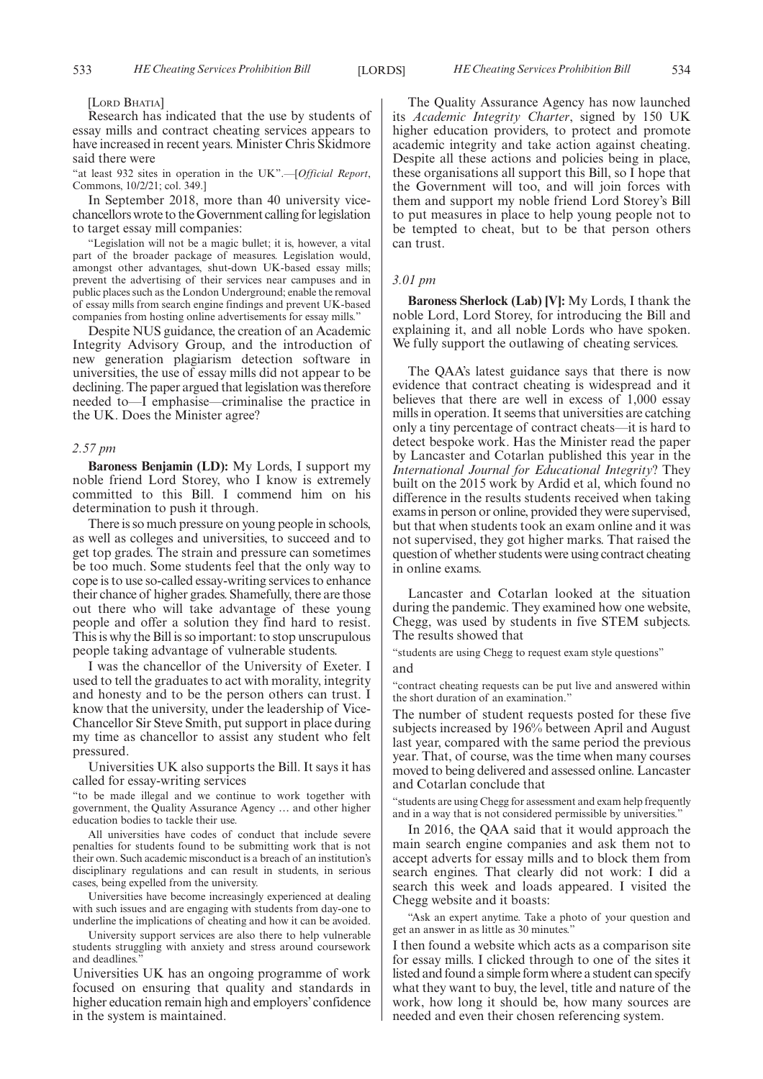[LORD BHATIA]

Research has indicated that the use by students of essay mills and contract cheating services appears to have increased in recent years. Minister Chris Skidmore said there were

"at least 932 sites in operation in the UK".—[*Official Report*, Commons, 10/2/21; col. 349.]

In September 2018, more than 40 university vicechancellors wrote to the Government calling for legislation to target essay mill companies:

"Legislation will not be a magic bullet; it is, however, a vital part of the broader package of measures. Legislation would, amongst other advantages, shut-down UK-based essay mills; prevent the advertising of their services near campuses and in public places such as the London Underground; enable the removal of essay mills from search engine findings and prevent UK-based companies from hosting online advertisements for essay mills."

Despite NUS guidance, the creation of an Academic Integrity Advisory Group, and the introduction of new generation plagiarism detection software in universities, the use of essay mills did not appear to be declining. The paper argued that legislation was therefore needed to—I emphasise—criminalise the practice in the UK. Does the Minister agree?

#### *2.57 pm*

**Baroness Benjamin (LD):** My Lords, I support my noble friend Lord Storey, who I know is extremely committed to this Bill. I commend him on his determination to push it through.

There is so much pressure on young people in schools, as well as colleges and universities, to succeed and to get top grades. The strain and pressure can sometimes be too much. Some students feel that the only way to cope is to use so-called essay-writing services to enhance their chance of higher grades. Shamefully, there are those out there who will take advantage of these young people and offer a solution they find hard to resist. This is why the Bill is so important: to stop unscrupulous people taking advantage of vulnerable students.

I was the chancellor of the University of Exeter. I used to tell the graduates to act with morality, integrity and honesty and to be the person others can trust. I know that the university, under the leadership of Vice-Chancellor Sir Steve Smith, put support in place during my time as chancellor to assist any student who felt pressured.

Universities UK also supports the Bill. It says it has called for essay-writing services

"to be made illegal and we continue to work together with government, the Quality Assurance Agency … and other higher education bodies to tackle their use.

All universities have codes of conduct that include severe penalties for students found to be submitting work that is not their own. Such academic misconduct is a breach of an institution's disciplinary regulations and can result in students, in serious cases, being expelled from the university.

Universities have become increasingly experienced at dealing with such issues and are engaging with students from day-one to underline the implications of cheating and how it can be avoided.

University support services are also there to help vulnerable students struggling with anxiety and stress around coursework and deadlines.

Universities UK has an ongoing programme of work focused on ensuring that quality and standards in higher education remain high and employers'confidence in the system is maintained.

The Quality Assurance Agency has now launched its *Academic Integrity Charter*, signed by 150 UK higher education providers, to protect and promote academic integrity and take action against cheating. Despite all these actions and policies being in place, these organisations all support this Bill, so I hope that the Government will too, and will join forces with them and support my noble friend Lord Storey's Bill to put measures in place to help young people not to be tempted to cheat, but to be that person others can trust.

#### *3.01 pm*

**Baroness Sherlock (Lab) [V]:** My Lords, I thank the noble Lord, Lord Storey, for introducing the Bill and explaining it, and all noble Lords who have spoken. We fully support the outlawing of cheating services.

The QAA's latest guidance says that there is now evidence that contract cheating is widespread and it believes that there are well in excess of 1,000 essay mills in operation. It seems that universities are catching only a tiny percentage of contract cheats—it is hard to detect bespoke work. Has the Minister read the paper by Lancaster and Cotarlan published this year in the *International Journal for Educational Integrity*? They built on the 2015 work by Ardid et al, which found no difference in the results students received when taking exams in person or online, provided they were supervised, but that when students took an exam online and it was not supervised, they got higher marks. That raised the question of whether students were using contract cheating in online exams.

Lancaster and Cotarlan looked at the situation during the pandemic. They examined how one website, Chegg, was used by students in five STEM subjects. The results showed that

"students are using Chegg to request exam style questions" and

"contract cheating requests can be put live and answered within the short duration of an examination."

The number of student requests posted for these five subjects increased by 196% between April and August last year, compared with the same period the previous year. That, of course, was the time when many courses moved to being delivered and assessed online. Lancaster and Cotarlan conclude that

"students are using Chegg for assessment and exam help frequently and in a way that is not considered permissible by universities."

In 2016, the QAA said that it would approach the main search engine companies and ask them not to accept adverts for essay mills and to block them from search engines. That clearly did not work: I did a search this week and loads appeared. I visited the Chegg website and it boasts:

"Ask an expert anytime. Take a photo of your question and get an answer in as little as 30 minutes."

I then found a website which acts as a comparison site for essay mills. I clicked through to one of the sites it listed and found a simple form where a student can specify what they want to buy, the level, title and nature of the work, how long it should be, how many sources are needed and even their chosen referencing system.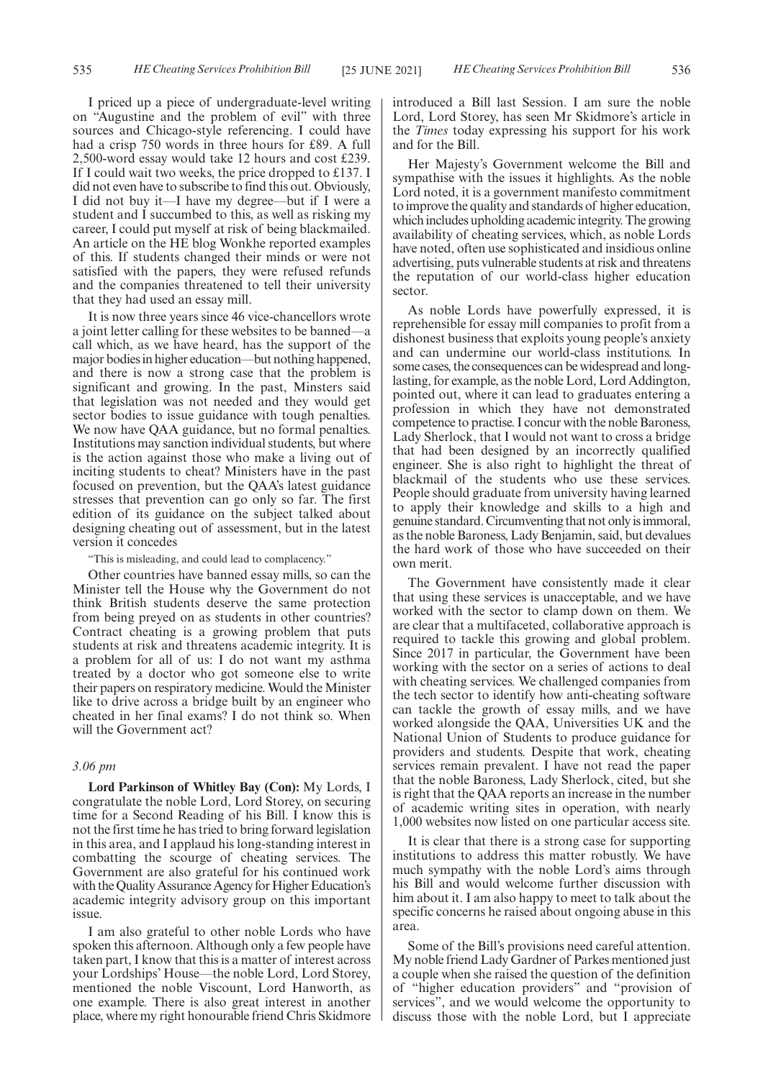I priced up a piece of undergraduate-level writing on "Augustine and the problem of evil" with three sources and Chicago-style referencing. I could have had a crisp 750 words in three hours for £89. A full 2,500-word essay would take 12 hours and cost £239. If I could wait two weeks, the price dropped to £137. I did not even have to subscribe to find this out. Obviously, I did not buy it—I have my degree—but if I were a student and I succumbed to this, as well as risking my career, I could put myself at risk of being blackmailed. An article on the HE blog Wonkhe reported examples of this. If students changed their minds or were not satisfied with the papers, they were refused refunds and the companies threatened to tell their university that they had used an essay mill.

It is now three years since 46 vice-chancellors wrote a joint letter calling for these websites to be banned—a call which, as we have heard, has the support of the major bodies in higher education—but nothing happened, and there is now a strong case that the problem is significant and growing. In the past, Minsters said that legislation was not needed and they would get sector bodies to issue guidance with tough penalties. We now have QAA guidance, but no formal penalties. Institutions may sanction individual students, but where is the action against those who make a living out of inciting students to cheat? Ministers have in the past focused on prevention, but the QAA's latest guidance stresses that prevention can go only so far. The first edition of its guidance on the subject talked about designing cheating out of assessment, but in the latest version it concedes

"This is misleading, and could lead to complacency."

Other countries have banned essay mills, so can the Minister tell the House why the Government do not think British students deserve the same protection from being preyed on as students in other countries? Contract cheating is a growing problem that puts students at risk and threatens academic integrity. It is a problem for all of us: I do not want my asthma treated by a doctor who got someone else to write their papers on respiratory medicine. Would the Minister like to drive across a bridge built by an engineer who cheated in her final exams? I do not think so. When will the Government act?

# *3.06 pm*

**Lord Parkinson of Whitley Bay (Con):** My Lords, I congratulate the noble Lord, Lord Storey, on securing time for a Second Reading of his Bill. I know this is not the first time he has tried to bring forward legislation in this area, and I applaud his long-standing interest in combatting the scourge of cheating services. The Government are also grateful for his continued work with the Quality Assurance Agency for Higher Education's academic integrity advisory group on this important issue.

I am also grateful to other noble Lords who have spoken this afternoon. Although only a few people have taken part, I know that this is a matter of interest across your Lordships' House—the noble Lord, Lord Storey, mentioned the noble Viscount, Lord Hanworth, as one example. There is also great interest in another place, where my right honourable friend Chris Skidmore introduced a Bill last Session. I am sure the noble Lord, Lord Storey, has seen Mr Skidmore's article in the *Times* today expressing his support for his work and for the Bill.

Her Majesty's Government welcome the Bill and sympathise with the issues it highlights. As the noble Lord noted, it is a government manifesto commitment to improve the quality and standards of higher education, which includes upholding academic integrity. The growing availability of cheating services, which, as noble Lords have noted, often use sophisticated and insidious online advertising, puts vulnerable students at risk and threatens the reputation of our world-class higher education sector.

As noble Lords have powerfully expressed, it is reprehensible for essay mill companies to profit from a dishonest business that exploits young people's anxiety and can undermine our world-class institutions. In some cases, the consequences can be widespread and longlasting, for example, as the noble Lord, Lord Addington, pointed out, where it can lead to graduates entering a profession in which they have not demonstrated competence to practise. I concur with the noble Baroness, Lady Sherlock, that I would not want to cross a bridge that had been designed by an incorrectly qualified engineer. She is also right to highlight the threat of blackmail of the students who use these services. People should graduate from university having learned to apply their knowledge and skills to a high and genuine standard. Circumventing that not only is immoral, as the noble Baroness, Lady Benjamin, said, but devalues the hard work of those who have succeeded on their own merit.

The Government have consistently made it clear that using these services is unacceptable, and we have worked with the sector to clamp down on them. We are clear that a multifaceted, collaborative approach is required to tackle this growing and global problem. Since 2017 in particular, the Government have been working with the sector on a series of actions to deal with cheating services. We challenged companies from the tech sector to identify how anti-cheating software can tackle the growth of essay mills, and we have worked alongside the QAA, Universities UK and the National Union of Students to produce guidance for providers and students. Despite that work, cheating services remain prevalent. I have not read the paper that the noble Baroness, Lady Sherlock, cited, but she is right that the QAA reports an increase in the number of academic writing sites in operation, with nearly 1,000 websites now listed on one particular access site.

It is clear that there is a strong case for supporting institutions to address this matter robustly. We have much sympathy with the noble Lord's aims through his Bill and would welcome further discussion with him about it. I am also happy to meet to talk about the specific concerns he raised about ongoing abuse in this area.

Some of the Bill's provisions need careful attention. My noble friend Lady Gardner of Parkes mentioned just a couple when she raised the question of the definition of "higher education providers" and "provision of services", and we would welcome the opportunity to discuss those with the noble Lord, but I appreciate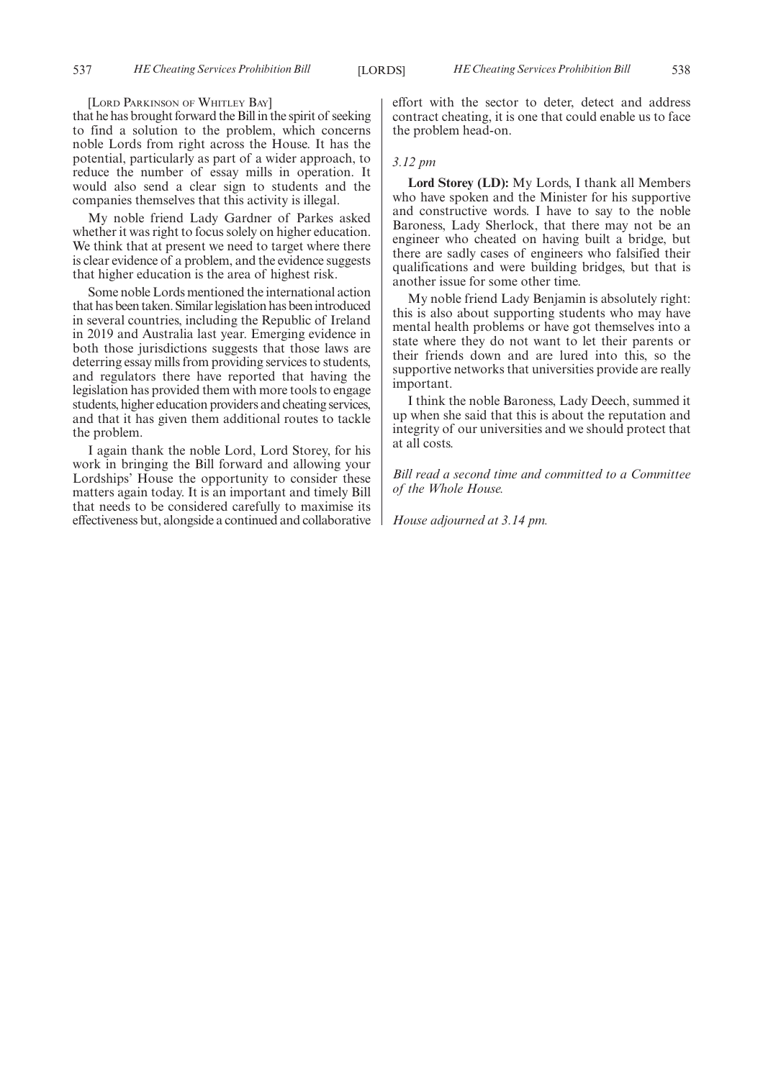[LORD PARKINSON OF WHITLEY BAY]

that he has brought forward the Bill in the spirit of seeking to find a solution to the problem, which concerns noble Lords from right across the House. It has the potential, particularly as part of a wider approach, to reduce the number of essay mills in operation. It would also send a clear sign to students and the companies themselves that this activity is illegal.

My noble friend Lady Gardner of Parkes asked whether it was right to focus solely on higher education. We think that at present we need to target where there is clear evidence of a problem, and the evidence suggests that higher education is the area of highest risk.

Some noble Lords mentioned the international action that has been taken. Similar legislation has been introduced in several countries, including the Republic of Ireland in 2019 and Australia last year. Emerging evidence in both those jurisdictions suggests that those laws are deterring essay mills from providing services to students, and regulators there have reported that having the legislation has provided them with more tools to engage students, higher education providers and cheating services, and that it has given them additional routes to tackle the problem.

I again thank the noble Lord, Lord Storey, for his work in bringing the Bill forward and allowing your Lordships' House the opportunity to consider these matters again today. It is an important and timely Bill that needs to be considered carefully to maximise its effectiveness but, alongside a continued and collaborative effort with the sector to deter, detect and address contract cheating, it is one that could enable us to face the problem head-on.

# *3.12 pm*

**Lord Storey (LD):** My Lords, I thank all Members who have spoken and the Minister for his supportive and constructive words. I have to say to the noble Baroness, Lady Sherlock, that there may not be an engineer who cheated on having built a bridge, but there are sadly cases of engineers who falsified their qualifications and were building bridges, but that is another issue for some other time.

My noble friend Lady Benjamin is absolutely right: this is also about supporting students who may have mental health problems or have got themselves into a state where they do not want to let their parents or their friends down and are lured into this, so the supportive networks that universities provide are really important.

I think the noble Baroness, Lady Deech, summed it up when she said that this is about the reputation and integrity of our universities and we should protect that at all costs.

*Bill read a second time and committed to a Committee of the Whole House.*

*House adjourned at 3.14 pm.*